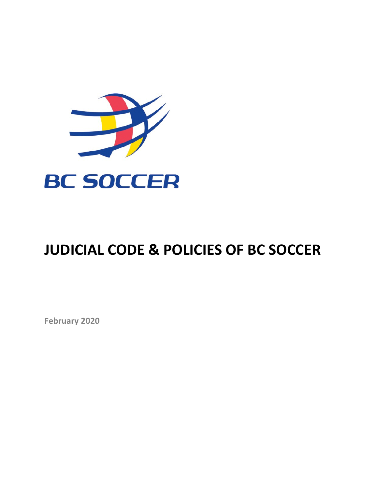

# **JUDICIAL CODE & POLICIES OF BC SOCCER**

**February 2020**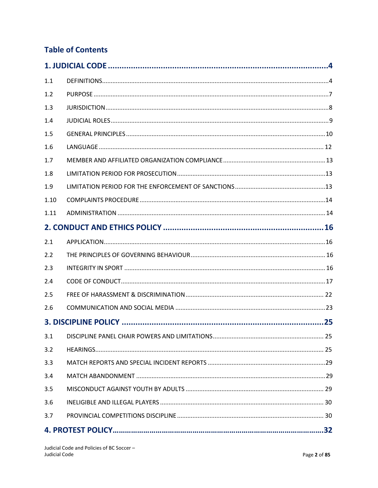# **Table of Contents**

| 1.1  |  |     |  |  |
|------|--|-----|--|--|
| 1.2  |  |     |  |  |
| 1.3  |  |     |  |  |
| 1.4  |  |     |  |  |
| 1.5  |  |     |  |  |
| 1.6  |  |     |  |  |
| 1.7  |  |     |  |  |
| 1.8  |  |     |  |  |
| 1.9  |  |     |  |  |
| 1.10 |  |     |  |  |
| 1.11 |  |     |  |  |
|      |  |     |  |  |
| 2.1  |  |     |  |  |
| 2.2  |  |     |  |  |
| 2.3  |  |     |  |  |
| 2.4  |  |     |  |  |
| 2.5  |  |     |  |  |
| 2.6  |  |     |  |  |
|      |  | 25  |  |  |
| 3.1  |  | .25 |  |  |
| 3.2  |  |     |  |  |
| 3.3  |  |     |  |  |
| 3.4  |  |     |  |  |
| 3.5  |  |     |  |  |
| 3.6  |  |     |  |  |
| 3.7  |  |     |  |  |
|      |  |     |  |  |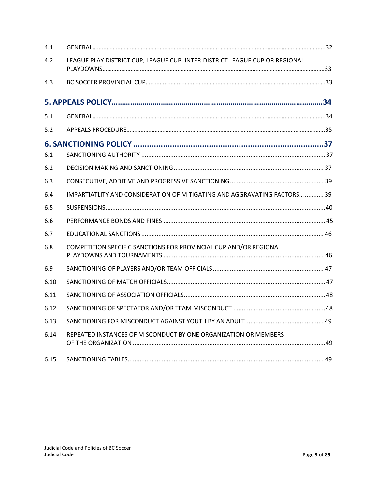<span id="page-2-0"></span>

| 4.1  |                                                                             |  |  |
|------|-----------------------------------------------------------------------------|--|--|
| 4.2  | LEAGUE PLAY DISTRICT CUP, LEAGUE CUP, INTER-DISTRICT LEAGUE CUP OR REGIONAL |  |  |
| 4.3  |                                                                             |  |  |
|      |                                                                             |  |  |
| 5.1  |                                                                             |  |  |
| 5.2  |                                                                             |  |  |
|      |                                                                             |  |  |
| 6.1  |                                                                             |  |  |
| 6.2  |                                                                             |  |  |
| 6.3  |                                                                             |  |  |
| 6.4  | IMPARTIATLITY AND CONSIDERATION OF MITIGATING AND AGGRAVATING FACTORS  39   |  |  |
| 6.5  |                                                                             |  |  |
| 6.6  |                                                                             |  |  |
| 6.7  |                                                                             |  |  |
| 6.8  | COMPETITION SPECIFIC SANCTIONS FOR PROVINCIAL CUP AND/OR REGIONAL           |  |  |
| 6.9  |                                                                             |  |  |
| 6.10 |                                                                             |  |  |
| 6.11 |                                                                             |  |  |
| 6.12 |                                                                             |  |  |
| 6.13 |                                                                             |  |  |
| 6.14 | REPEATED INSTANCES OF MISCONDUCT BY ONE ORGANIZATION OR MEMBERS             |  |  |
| 6.15 |                                                                             |  |  |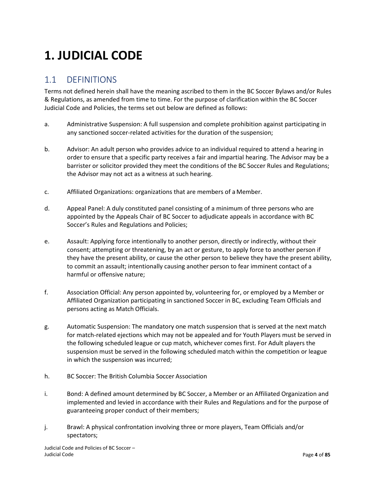# **1. JUDICIAL CODE**

## <span id="page-3-0"></span>1.1 DEFINITIONS

Terms not defined herein shall have the meaning ascribed to them in the BC Soccer Bylaws and/or Rules & Regulations, as amended from time to time. For the purpose of clarification within the BC Soccer Judicial Code and Policies, the terms set out below are defined as follows:

- a. Administrative Suspension: A full suspension and complete prohibition against participating in any sanctioned soccer-related activities for the duration of the suspension;
- b. Advisor: An adult person who provides advice to an individual required to attend a hearing in order to ensure that a specific party receives a fair and impartial hearing. The Advisor may be a barrister or solicitor provided they meet the conditions of the BC Soccer Rules and Regulations; the Advisor may not act as a witness at such hearing.
- c. Affiliated Organizations: organizations that are members of a Member.
- d. Appeal Panel: A duly constituted panel consisting of a minimum of three persons who are appointed by the Appeals Chair of BC Soccer to adjudicate appeals in accordance with BC Soccer's Rules and Regulations and Policies;
- e. Assault: Applying force intentionally to another person, directly or indirectly, without their consent; attempting or threatening, by an act or gesture, to apply force to another person if they have the present ability, or cause the other person to believe they have the present ability, to commit an assault; intentionally causing another person to fear imminent contact of a harmful or offensive nature;
- f. Association Official: Any person appointed by, volunteering for, or employed by a Member or Affiliated Organization participating in sanctioned Soccer in BC, excluding Team Officials and persons acting as Match Officials.
- g. Automatic Suspension: The mandatory one match suspension that is served at the next match for match-related ejections which may not be appealed and for Youth Players must be served in the following scheduled league or cup match, whichever comes first. For Adult players the suspension must be served in the following scheduled match within the competition or league in which the suspension was incurred;
- h. BC Soccer: The British Columbia Soccer Association
- i. Bond: A defined amount determined by BC Soccer, a Member or an Affiliated Organization and implemented and levied in accordance with their Rules and Regulations and for the purpose of guaranteeing proper conduct of their members;
- j. Brawl: A physical confrontation involving three or more players, Team Officials and/or spectators;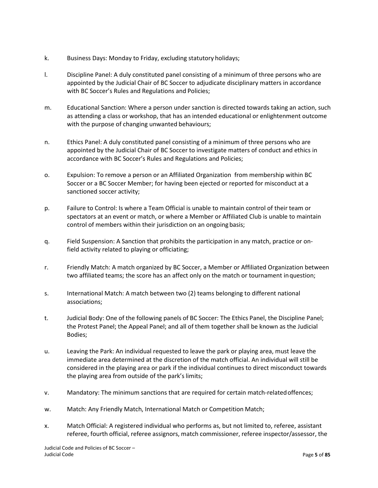- k. Business Days: Monday to Friday, excluding statutory holidays;
- l. Discipline Panel: A duly constituted panel consisting of a minimum of three persons who are appointed by the Judicial Chair of BC Soccer to adjudicate disciplinary matters in accordance with BC Soccer's Rules and Regulations and Policies;
- m. Educational Sanction: Where a person under sanction is directed towards taking an action, such as attending a class or workshop, that has an intended educational or enlightenment outcome with the purpose of changing unwanted behaviours;
- n. Ethics Panel: A duly constituted panel consisting of a minimum of three persons who are appointed by the Judicial Chair of BC Soccer to investigate matters of conduct and ethics in accordance with BC Soccer's Rules and Regulations and Policies;
- o. Expulsion: To remove a person or an Affiliated Organization from membership within BC Soccer or a BC Soccer Member; for having been ejected or reported for misconduct at a sanctioned soccer activity;
- p. Failure to Control: Is where a Team Official is unable to maintain control of their team or spectators at an event or match, or where a Member or Affiliated Club is unable to maintain control of members within their jurisdiction on an ongoing basis;
- q. Field Suspension: A Sanction that prohibits the participation in any match, practice or onfield activity related to playing or officiating;
- r. Friendly Match: A match organized by BC Soccer, a Member or Affiliated Organization between two affiliated teams; the score has an affect only on the match or tournament inquestion;
- s. International Match: A match between two (2) teams belonging to different national associations;
- t. Judicial Body: One of the following panels of BC Soccer: The Ethics Panel, the Discipline Panel; the Protest Panel; the Appeal Panel; and all of them together shall be known as the Judicial Bodies;
- u. Leaving the Park: An individual requested to leave the park or playing area, must leave the immediate area determined at the discretion of the match official. An individual will still be considered in the playing area or park if the individual continues to direct misconduct towards the playing area from outside of the park's limits;
- v. Mandatory: The minimum sanctions that are required for certain match-relatedoffences;
- w. Match: Any Friendly Match, International Match or Competition Match;
- x. Match Official: A registered individual who performs as, but not limited to, referee, assistant referee, fourth official, referee assignors, match commissioner, referee inspector/assessor, the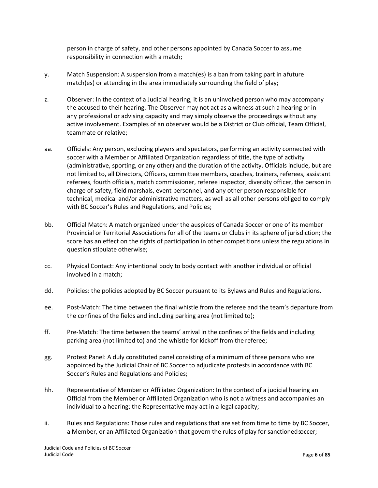person in charge of safety, and other persons appointed by Canada Soccer to assume responsibility in connection with a match;

- y. Match Suspension: A suspension from a match(es) is a ban from taking part in afuture match(es) or attending in the area immediately surrounding the field of play;
- z. Observer: In the context of a Judicial hearing, it is an uninvolved person who may accompany the accused to their hearing. The Observer may not act as a witness at such a hearing or in any professional or advising capacity and may simply observe the proceedings without any active involvement. Examples of an observer would be a District or Club official, Team Official, teammate or relative;
- aa. Officials: Any person, excluding players and spectators, performing an activity connected with soccer with a Member or Affiliated Organization regardless of title, the type of activity (administrative, sporting, or any other) and the duration of the activity. Officials include, but are not limited to, all Directors, Officers, committee members, coaches, trainers, referees, assistant referees, fourth officials, match commissioner, referee inspector, diversity officer, the person in charge of safety, field marshals, event personnel, and any other person responsible for technical, medical and/or administrative matters, as well as all other persons obliged to comply with BC Soccer's Rules and Regulations, and Policies;
- bb. Official Match: A match organized under the auspices of Canada Soccer or one of its member Provincial or Territorial Associations for all of the teams or Clubs in its sphere of jurisdiction; the score has an effect on the rights of participation in other competitions unless the regulations in question stipulate otherwise;
- cc. Physical Contact: Any intentional body to body contact with another individual or official involved in a match;
- dd. Policies: the policies adopted by BC Soccer pursuant to its Bylaws and Rules and Regulations.
- ee. Post-Match: The time between the final whistle from the referee and the team's departure from the confines of the fields and including parking area (not limited to);
- ff. Pre-Match: The time between the teams' arrival in the confines of the fields and including parking area (not limited to) and the whistle for kickoff from the referee;
- gg. Protest Panel: A duly constituted panel consisting of a minimum of three persons who are appointed by the Judicial Chair of BC Soccer to adjudicate protests in accordance with BC Soccer's Rules and Regulations and Policies;
- hh. Representative of Member or Affiliated Organization: In the context of a judicial hearing an Official from the Member or Affiliated Organization who is not a witness and accompanies an individual to a hearing; the Representative may act in a legal capacity;
- ii. Rules and Regulations: Those rules and regulations that are set from time to time by BC Soccer, a Member, or an Affiliated Organization that govern the rules of play for sanctioned soccer;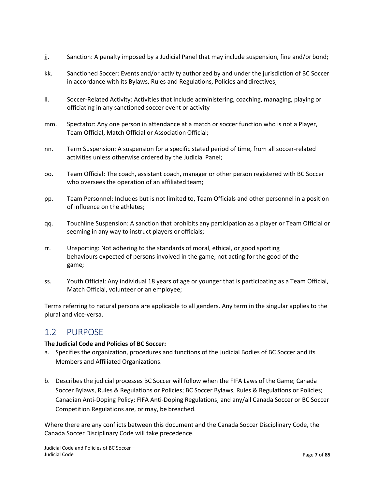- jj. Sanction: A penalty imposed by a Judicial Panel that may include suspension, fine and/or bond;
- kk. Sanctioned Soccer: Events and/or activity authorized by and under the jurisdiction of BC Soccer in accordance with its Bylaws, Rules and Regulations, Policies and directives;
- ll. Soccer-Related Activity: Activities that include administering, coaching, managing, playing or officiating in any sanctioned soccer event or activity
- mm. Spectator: Any one person in attendance at a match or soccer function who is not a Player, Team Official, Match Official or Association Official;
- nn. Term Suspension: A suspension for a specific stated period of time, from all soccer-related activities unless otherwise ordered by the Judicial Panel;
- oo. Team Official: The coach, assistant coach, manager or other person registered with BC Soccer who oversees the operation of an affiliated team;
- pp. Team Personnel: Includes but is not limited to, Team Officials and other personnel in a position of influence on the athletes;
- qq. Touchline Suspension: A sanction that prohibits any participation as a player or Team Official or seeming in any way to instruct players or officials;
- rr. Unsporting: Not adhering to the standards of moral, ethical, or good sporting behaviours expected of persons involved in the game; not acting for the good of the game;
- ss. Youth Official: Any individual 18 years of age or younger that is participating as a Team Official, Match Official, volunteer or an employee;

Terms referring to natural persons are applicable to all genders. Any term in the singular applies to the plural and vice-versa.

## <span id="page-6-0"></span>1.2 PURPOSE

#### **The Judicial Code and Policies of BC Soccer:**

- a. Specifies the organization, procedures and functions of the Judicial Bodies of BC Soccer and its Members and Affiliated Organizations.
- b. Describes the judicial processes BC Soccer will follow when the FIFA Laws of the Game; Canada Soccer Bylaws, Rules & Regulations or Policies; BC Soccer Bylaws, Rules & Regulations or Policies; Canadian Anti-Doping Policy; FIFA Anti-Doping Regulations; and any/all Canada Soccer or BC Soccer Competition Regulations are, or may, be breached.

Where there are any conflicts between this document and the Canada Soccer Disciplinary Code, the Canada Soccer Disciplinary Code will take precedence.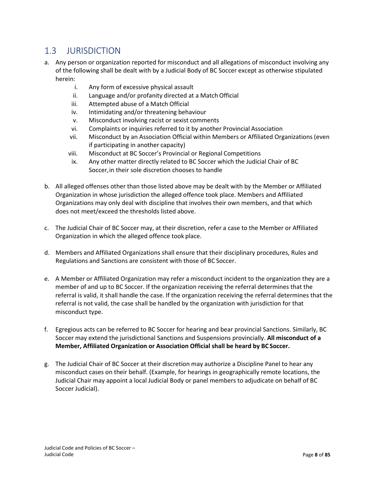## <span id="page-7-0"></span>1.3 JURISDICTION

- a. Any person or organization reported for misconduct and all allegations of misconduct involving any of the following shall be dealt with by a Judicial Body of BC Soccer except as otherwise stipulated herein:
	- i. Any form of excessive physical assault
	- ii. Language and/or profanity directed at a Match Official
	- iii. Attempted abuse of a Match Official
	- iv. Intimidating and/or threatening behaviour
	- v. Misconduct involving racist or sexist comments
	- vi. Complaints or inquiries referred to it by another Provincial Association
	- vii. Misconduct by an Association Official within Members or Affiliated Organizations (even if participating in another capacity)
	- viii. Misconduct at BC Soccer's Provincial or Regional Competitions
	- ix. Any other matter directly related to BC Soccer which the Judicial Chair of BC Soccer,in their sole discretion chooses to handle
- b. All alleged offenses other than those listed above may be dealt with by the Member or Affiliated Organization in whose jurisdiction the alleged offence took place. Members and Affiliated Organizations may only deal with discipline that involves their own members, and that which does not meet/exceed the thresholds listed above.
- c. The Judicial Chair of BC Soccer may, at their discretion, refer a case to the Member or Affiliated Organization in which the alleged offence took place.
- d. Members and Affiliated Organizations shall ensure that their disciplinary procedures, Rules and Regulations and Sanctions are consistent with those of BC Soccer.
- e. A Member or Affiliated Organization may refer a misconduct incident to the organization they are a member of and up to BC Soccer. If the organization receiving the referral determines that the referral is valid, it shall handle the case. If the organization receiving the referral determines that the referral is not valid, the case shall be handled by the organization with jurisdiction for that misconduct type.
- f. Egregious acts can be referred to BC Soccer for hearing and bear provincial Sanctions. Similarly, BC Soccer may extend the jurisdictional Sanctions and Suspensions provincially. **All misconduct of a Member, Affiliated Organization or Association Official shall be heard by BC Soccer.**
- g. The Judicial Chair of BC Soccer at their discretion may authorize a Discipline Panel to hear any misconduct cases on their behalf. (Example, for hearings in geographically remote locations, the Judicial Chair may appoint a local Judicial Body or panel members to adjudicate on behalf of BC Soccer Judicial).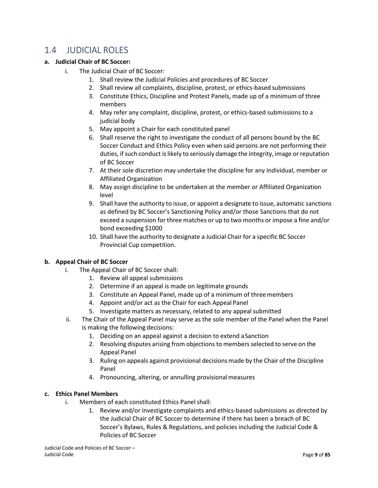## <span id="page-8-0"></span>1.4 JUDICIAL ROLES

#### **a. Judicial Chair of BC Soccer:**

- i. The Judicial Chair of BC Soccer:
	- 1. Shall review the Judicial Policies and procedures of BC Soccer
	- 2. Shall review all complaints, discipline, protest, or ethics-based submissions
	- 3. Constitute Ethics, Discipline and Protest Panels, made up of a minimum of three members
	- 4. May refer any complaint, discipline, protest, or ethics-based submissions to a judicial body
	- 5. May appoint a Chair for each constituted panel
	- 6. Shall reserve the right to investigate the conduct of all persons bound by the BC Soccer Conduct and Ethics Policy even when said persons are not performing their duties, if such conduct is likely to seriously damage the integrity, image or reputation of BC Soccer
	- 7. At their sole discretion may undertake the discipline for any individual, member or Affiliated Organization
	- 8. May assign discipline to be undertaken at the member or Affiliated Organization level
	- 9. Shall have the authority to issue, or appoint a designate to issue, automatic sanctions as defined by BC Soccer's Sanctioning Policy and/or those Sanctions that do not exceed a suspension for three matches or up to two months or impose a fine and/or bond exceeding \$1000
	- 10. Shall have the authority to designate a Judicial Chair for a specific BC Soccer Provincial Cup competition.

### **b. Appeal Chair of BC Soccer**

- i. The Appeal Chair of BC Soccer shall:
	- 1. Review all appeal submissions
	- 2. Determine if an appeal is made on legitimate grounds
	- 3. Constitute an Appeal Panel, made up of a minimum of threemembers
	- 4. Appoint and/or act as the Chair for each Appeal Panel
	- 5. Investigate matters as necessary, related to any appeal submitted
- ii. The Chair of the Appeal Panel may serve as the sole member of the Panel when the Panel is making the following decisions:
	- 1. Deciding on an appeal against a decision to extend aSanction
	- 2. Resolving disputes arising from objections to membersselected to serve on the Appeal Panel
	- 3. Ruling on appeals against provisional decisions made by the Chair of the Discipline Panel
	- 4. Pronouncing, altering, or annulling provisionalmeasures

#### **c. Ethics Panel Members**

- i. Members of each constituted Ethics Panelshall:
	- 1. Review and/or investigate complaints and ethics-based submissions as directed by the Judicial Chair of BC Soccer to determine if there has been a breach of BC Soccer's Bylaws, Rules & Regulations, and policies including the Judicial Code & Policies of BC Soccer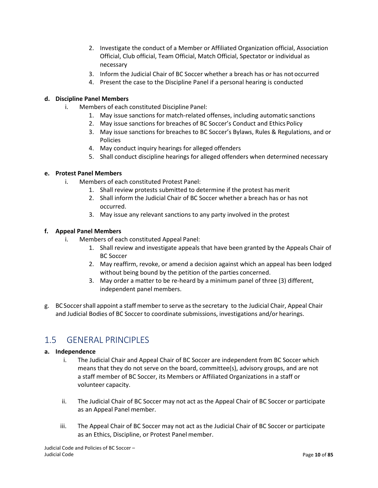- 2. Investigate the conduct of a Member or Affiliated Organization official, Association Official, Club official, Team Official, Match Official, Spectator or individual as necessary
- 3. Inform the Judicial Chair of BC Soccer whether a breach has or has not occurred
- 4. Present the case to the Discipline Panel if a personal hearing is conducted

#### **d. Discipline Panel Members**

- i. Members of each constituted Discipline Panel:
	- 1. May issue sanctions for match-related offenses, including automatic sanctions
	- 2. May issue sanctions for breaches of BC Soccer's Conduct and Ethics Policy
	- 3. May issue sanctions for breaches to BC Soccer's Bylaws, Rules & Regulations, and or Policies
	- 4. May conduct inquiry hearings for alleged offenders
	- 5. Shall conduct discipline hearings for alleged offenders when determined necessary

#### **e. Protest Panel Members**

- i. Members of each constituted Protest Panel:
	- 1. Shall review protests submitted to determine if the protest has merit
	- 2. Shall inform the Judicial Chair of BC Soccer whether a breach has or has not occurred.
	- 3. May issue any relevant sanctions to any party involved in the protest

#### **f. Appeal Panel Members**

- i. Members of each constituted Appeal Panel:
	- 1. Shall review and investigate appeals that have been granted by the Appeals Chair of BC Soccer
	- 2. May reaffirm, revoke, or amend a decision against which an appeal has been lodged without being bound by the petition of the parties concerned.
	- 3. May order a matter to be re-heard by a minimum panel of three (3) different, independent panel members.
- g. BCSoccershall appoint a staff memberto serve asthe secretary to the Judicial Chair, Appeal Chair and Judicial Bodies of BC Soccer to coordinate submissions, investigations and/or hearings.

# <span id="page-9-0"></span>1.5 GENERAL PRINCIPLES

#### **a. Independence**

- i. The Judicial Chair and Appeal Chair of BC Soccer are independent from BC Soccer which means that they do not serve on the board, committee(s), advisory groups, and are not a staff member of BC Soccer, its Members or Affiliated Organizations in a staff or volunteer capacity.
- ii. The Judicial Chair of BC Soccer may not act as the Appeal Chair of BC Soccer or participate as an Appeal Panel member.
- iii. The Appeal Chair of BC Soccer may not act as the Judicial Chair of BC Soccer or participate as an Ethics, Discipline, or Protest Panel member.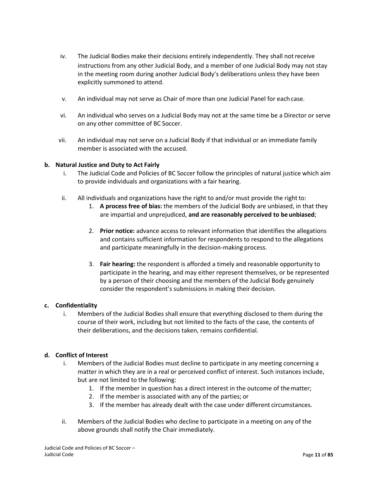- iv. The Judicial Bodies make their decisions entirely independently. They shall notreceive instructions from any other Judicial Body, and a member of one Judicial Body may not stay in the meeting room during another Judicial Body's deliberations unless they have been explicitly summoned to attend.
- v. An individual may not serve as Chair of more than one Judicial Panel for each case.
- vi. An individual who serves on a Judicial Body may not at the same time be a Director or serve on any other committee of BC Soccer.
- vii. An individual may not serve on a Judicial Body if that individual or an immediate family member is associated with the accused.

#### **b. Natural Justice and Duty to Act Fairly**

- i. The Judicial Code and Policies of BC Soccer follow the principles of natural justice which aim to provide individuals and organizations with a fair hearing.
- ii. All individuals and organizations have the right to and/or must provide the right to:
	- 1. **A process free of bias:** the members of the Judicial Body are unbiased, in that they are impartial and unprejudiced, **and are reasonably perceived to be unbiased**;
	- 2. **Prior notice:** advance access to relevant information that identifies the allegations and contains sufficient information for respondents to respond to the allegations and participate meaningfully in the decision-making process.
	- 3. **Fair hearing:** the respondent is afforded a timely and reasonable opportunity to participate in the hearing, and may either represent themselves, or be represented by a person of their choosing and the members of the Judicial Body genuinely consider the respondent's submissions in making their decision.

#### **c. Confidentiality**

i. Members of the Judicial Bodies shall ensure that everything disclosed to them during the course of their work, including but not limited to the facts of the case, the contents of their deliberations, and the decisions taken, remains confidential.

### **d. Conflict of Interest**

- i. Members of the Judicial Bodies must decline to participate in any meeting concerning a matter in which they are in a real or perceived conflict of interest. Such instances include, but are not limited to the following:
	- 1. If the member in question has a direct interest in the outcome of thematter;
	- 2. If the member is associated with any of the parties; or
	- 3. If the member has already dealt with the case under different circumstances.
- ii. Members of the Judicial Bodies who decline to participate in a meeting on any of the above grounds shall notify the Chair immediately.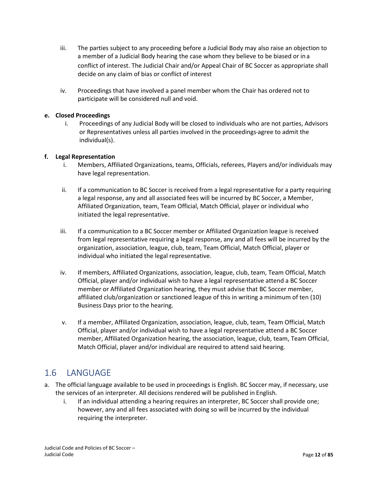- iii. The parties subject to any proceeding before a Judicial Body may also raise an objection to a member of a Judicial Body hearing the case whom they believe to be biased or ina conflict of interest. The Judicial Chair and/or Appeal Chair of BC Soccer as appropriate shall decide on any claim of bias or conflict of interest
- iv. Proceedings that have involved a panel member whom the Chair has ordered not to participate will be considered null and void.

#### **e. Closed Proceedings**

i. Proceedings of any Judicial Body will be closed to individuals who are not parties, Advisors or Representatives unless all parties involved in the proceedings agree to admit the individual(s).

#### **f. Legal Representation**

- i. Members, Affiliated Organizations, teams, Officials, referees, Players and/or individuals may have legal representation.
- ii. If a communication to BC Soccer is received from a legal representative for a party requiring a legal response, any and all associated fees will be incurred by BC Soccer, a Member, Affiliated Organization, team, Team Official, Match Official, player or individual who initiated the legal representative.
- iii. If a communication to a BC Soccer member or Affiliated Organization league is received from legal representative requiring a legal response, any and all fees will be incurred by the organization, association, league, club, team, Team Official, Match Official, player or individual who initiated the legal representative.
- iv. If members, Affiliated Organizations, association, league, club, team, Team Official, Match Official, player and/or individual wish to have a legal representative attend a BC Soccer member or Affiliated Organization hearing, they must advise that BC Soccer member, affiliated club/organization or sanctioned league of this in writing a minimum of ten (10) Business Days prior to the hearing.
- v. If a member, Affiliated Organization, association, league, club, team, Team Official, Match Official, player and/or individual wish to have a legal representative attend a BC Soccer member, Affiliated Organization hearing, the association, league, club, team, Team Official, Match Official, player and/or individual are required to attend said hearing.

## <span id="page-11-0"></span>1.6 LANGUAGE

- a. The official language available to be used in proceedings is English. BC Soccer may, if necessary, use the services of an interpreter. All decisions rendered will be published in English.
	- i. If an individual attending a hearing requires an interpreter, BC Soccer shall provide one; however, any and all fees associated with doing so will be incurred by the individual requiring the interpreter.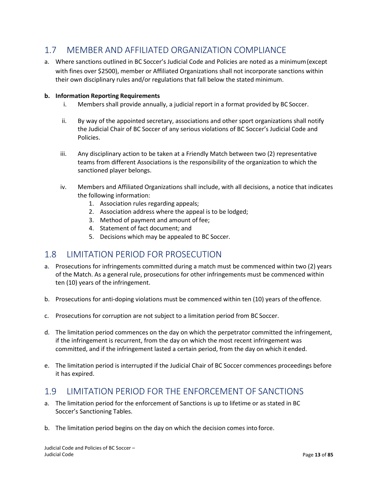# <span id="page-12-0"></span>1.7 MEMBER AND AFFILIATED ORGANIZATION COMPLIANCE

a. Where sanctions outlined in BC Soccer's Judicial Code and Policies are noted as a minimum(except with fines over \$2500), member or Affiliated Organizations shall not incorporate sanctions within their own disciplinary rules and/or regulations that fall below the stated minimum.

#### **b. Information Reporting Requirements**

- i. Members shall provide annually, a judicial report in a format provided by BC Soccer.
- ii. By way of the appointed secretary, associations and other sport organizations shall notify the Judicial Chair of BC Soccer of any serious violations of BC Soccer's Judicial Code and Policies.
- iii. Any disciplinary action to be taken at a Friendly Match between two (2) representative teams from different Associations is the responsibility of the organization to which the sanctioned player belongs.
- iv. Members and Affiliated Organizations shall include, with all decisions, a notice that indicates the following information:
	- 1. Association rules regarding appeals;
	- 2. Association address where the appeal is to be lodged;
	- 3. Method of payment and amount of fee;
	- 4. Statement of fact document; and
	- 5. Decisions which may be appealed to BC Soccer.

## <span id="page-12-1"></span>1.8 LIMITATION PERIOD FOR PROSECUTION

- a. Prosecutions for infringements committed during a match must be commenced within two (2) years of the Match. As a general rule, prosecutions for other infringements must be commenced within ten (10) years of the infringement.
- b. Prosecutions for anti-doping violations must be commenced within ten (10) years of theoffence.
- c. Prosecutions for corruption are not subject to a limitation period from BC Soccer.
- d. The limitation period commences on the day on which the perpetrator committed the infringement, if the infringement is recurrent, from the day on which the most recent infringement was committed, and if the infringement lasted a certain period, from the day on which it ended.
- e. The limitation period is interrupted if the Judicial Chair of BC Soccer commences proceedings before it has expired.

## <span id="page-12-2"></span>1.9 LIMITATION PERIOD FOR THE ENFORCEMENT OF SANCTIONS

- a. The limitation period for the enforcement of Sanctions is up to lifetime or as stated in BC Soccer's Sanctioning Tables.
- b. The limitation period begins on the day on which the decision comes into force.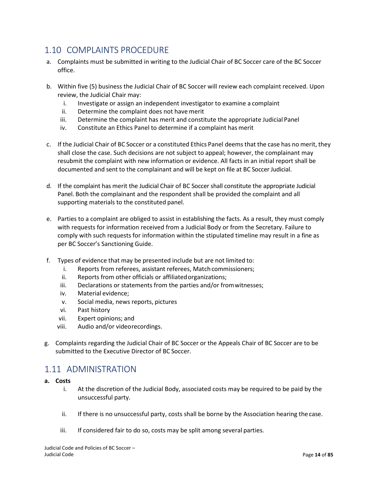## <span id="page-13-0"></span>1.10 COMPLAINTS PROCEDURE

- a. Complaints must be submitted in writing to the Judicial Chair of BC Soccer care of the BC Soccer office.
- b. Within five (5) business the Judicial Chair of BC Soccer will review each complaint received. Upon review, the Judicial Chair may:
	- i. Investigate or assign an independent investigator to examine a complaint
	- ii. Determine the complaint does not have merit
	- iii. Determine the complaint has merit and constitute the appropriate Judicial Panel
	- iv. Constitute an Ethics Panel to determine if a complaint has merit
- c. If the Judicial Chair of BC Soccer or a constituted Ethics Panel deems that the case has no merit, they shall close the case. Such decisions are not subject to appeal; however, the complainant may resubmit the complaint with new information or evidence. All facts in an initial report shall be documented and sent to the complainant and will be kept on file at BC Soccer Judicial.
- d. If the complaint has merit the Judicial Chair of BC Soccer shall constitute the appropriate Judicial Panel. Both the complainant and the respondent shall be provided the complaint and all supporting materials to the constituted panel.
- e. Parties to a complaint are obliged to assist in establishing the facts. As a result, they must comply with requests for information received from a Judicial Body or from the Secretary. Failure to comply with such requests for information within the stipulated timeline may result in a fine as per BC Soccer's Sanctioning Guide.
- f. Types of evidence that may be presented include but are not limited to:
	- i. Reports from referees, assistant referees, Match commissioners;
	- ii. Reports from other officials or affiliatedorganizations;
	- iii. Declarations or statements from the parties and/or fromwitnesses;
	- iv. Material evidence;
	- v. Social media, news reports, pictures
	- vi. Past history
	- vii. Expert opinions; and
	- viii. Audio and/or videorecordings.
- g. Complaints regarding the Judicial Chair of BC Soccer or the Appeals Chair of BC Soccer are to be submitted to the Executive Director of BC Soccer.

## <span id="page-13-1"></span>1.11 ADMINISTRATION

- **a. Costs**
	- i. At the discretion of the Judicial Body, associated costs may be required to be paid by the unsuccessful party.
	- ii. If there is no unsuccessful party, costs shall be borne by the Association hearing the case.
	- iii. If considered fair to do so, costs may be split among several parties.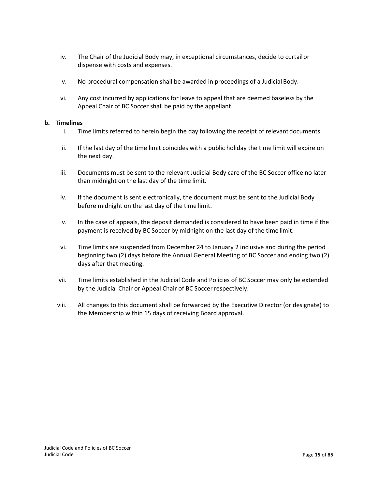- <span id="page-14-0"></span>iv. The Chair of the Judicial Body may, in exceptional circumstances, decide to curtailor dispense with costs and expenses.
- v. No procedural compensation shall be awarded in proceedings of a Judicial Body.
- vi. Any cost incurred by applications for leave to appeal that are deemed baseless by the Appeal Chair of BC Soccer shall be paid by the appellant.

#### **b. Timelines**

- i. Time limits referred to herein begin the day following the receipt of relevantdocuments.
- ii. If the last day of the time limit coincides with a public holiday the time limit will expire on the next day.
- iii. Documents must be sent to the relevant Judicial Body care of the BC Soccer office no later than midnight on the last day of the time limit.
- iv. If the document is sent electronically, the document must be sent to the Judicial Body before midnight on the last day of the time limit.
- v. In the case of appeals, the deposit demanded is considered to have been paid in time if the payment is received by BC Soccer by midnight on the last day of the time limit.
- vi. Time limits are suspended from December 24 to January 2 inclusive and during the period beginning two (2) days before the Annual General Meeting of BC Soccer and ending two (2) days after that meeting.
- vii. Time limits established in the Judicial Code and Policies of BC Soccer may only be extended by the Judicial Chair or Appeal Chair of BC Soccer respectively.
- viii. All changes to this document shall be forwarded by the Executive Director (or designate) to the Membership within 15 days of receiving Board approval.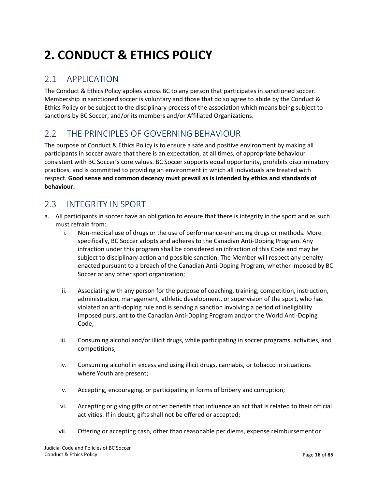# **2. CONDUCT & ETHICS POLICY**

## <span id="page-15-0"></span>2.1 APPLICATION

The Conduct & Ethics Policy applies across BC to any person that participates in sanctioned soccer. Membership in sanctioned soccer is voluntary and those that do so agree to abide by the Conduct & Ethics Policy or be subject to the disciplinary process of the association which means being subject to sanctions by BC Soccer, and/or its members and/or Affiliated Organizations.

## <span id="page-15-1"></span>2.2 THE PRINCIPLES OF GOVERNING BEHAVIOUR

The purpose of Conduct & Ethics Policy is to ensure a safe and positive environment by making all participants in soccer aware that there is an expectation, at all times, of appropriate behaviour consistent with BC Soccer's core values. BC Soccer supports equal opportunity, prohibits discriminatory practices, and is committed to providing an environment in which all individuals are treated with respect. **Good sense and common decency must prevail as is intended by ethics and standards of behaviour.**

## <span id="page-15-2"></span>2.3 INTEGRITY IN SPORT

- a. All participants in soccer have an obligation to ensure that there is integrity in the sport and as such must refrain from:
	- i. Non-medical use of drugs or the use of performance-enhancing drugs or methods. More specifically, BC Soccer adopts and adheres to the Canadian Anti-Doping Program. Any infraction under this program shall be considered an infraction of this Code and may be subject to disciplinary action and possible sanction. The Member will respect any penalty enacted pursuant to a breach of the Canadian Anti-Doping Program, whether imposed by BC Soccer or any other sport organization;
	- ii. Associating with any person for the purpose of coaching, training, competition, instruction, administration, management, athletic development, or supervision of the sport, who has violated an anti-doping rule and is serving a sanction involving a period of ineligibility imposed pursuant to the Canadian Anti-Doping Program and/or the World Anti-Doping Code;
	- iii. Consuming alcohol and/or illicit drugs, while participating in soccer programs, activities, and competitions;
	- iv. Consuming alcohol in excess and using illicit drugs, cannabis, or tobacco in situations where Youth are present;
	- v. Accepting, encouraging, or participating in forms of bribery and corruption;
	- vi. Accepting or giving gifts or other benefits that influence an act that is related to their official activities. If in doubt, gifts shall not be offered or accepted;
	- vii. Offering or accepting cash, other than reasonable per diems, expense reimbursementor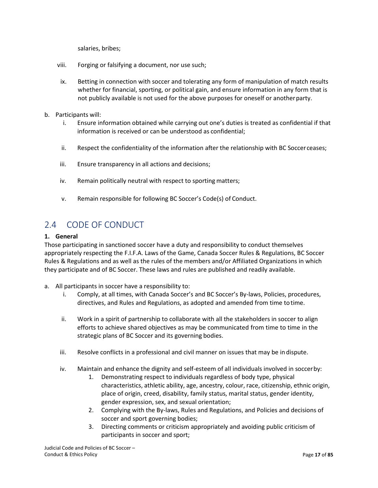salaries, bribes;

- viii. Forging or falsifying a document, nor use such;
- ix. Betting in connection with soccer and tolerating any form of manipulation of match results whether for financial, sporting, or political gain, and ensure information in any form that is not publicly available is not used for the above purposes for oneself or anotherparty.
- b. Participants will:
	- i. Ensure information obtained while carrying out one's duties is treated as confidential if that information is received or can be understood as confidential;
	- ii. Respect the confidentiality of the information after the relationship with BC Soccer ceases;
	- iii. Ensure transparency in all actions and decisions;
	- iv. Remain politically neutral with respect to sporting matters;
	- v. Remain responsible for following BC Soccer's Code(s) of Conduct.

## <span id="page-16-0"></span>2.4 CODE OF CONDUCT

#### **1. General**

Those participating in sanctioned soccer have a duty and responsibility to conduct themselves appropriately respecting the F.I.F.A. Laws of the Game, Canada Soccer Rules & Regulations, BC Soccer Rules & Regulations and as well as the rules of the members and/or Affiliated Organizations in which they participate and of BC Soccer. These laws and rules are published and readily available.

- a. All participants in soccer have a responsibility to:
	- i. Comply, at all times, with Canada Soccer's and BC Soccer's By-laws, Policies, procedures, directives, and Rules and Regulations, as adopted and amended from time totime.
	- ii. Work in a spirit of partnership to collaborate with all the stakeholders in soccer to align efforts to achieve shared objectives as may be communicated from time to time in the strategic plans of BC Soccer and its governing bodies.
	- iii. Resolve conflicts in a professional and civil manner on issues that may be in dispute.
	- iv. Maintain and enhance the dignity and self-esteem of all individuals involved in soccerby:
		- 1. Demonstrating respect to individuals regardless of body type, physical characteristics, athletic ability, age, ancestry, colour, race, citizenship, ethnic origin, place of origin, creed, disability, family status, marital status, gender identity, gender expression, sex, and sexual orientation;
		- 2. Complying with the By-laws, Rules and Regulations, and Policies and decisions of soccer and sport governing bodies;
		- 3. Directing comments or criticism appropriately and avoiding public criticism of participants in soccer and sport;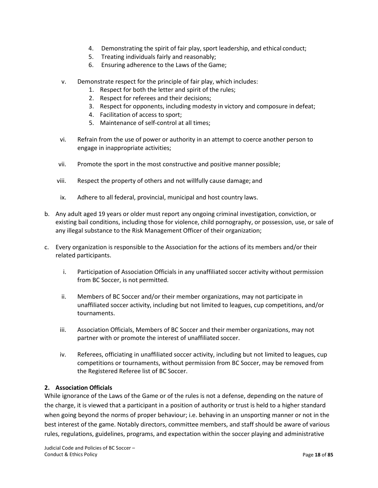- 4. Demonstrating the spirit of fair play, sport leadership, and ethical conduct;
- 5. Treating individuals fairly and reasonably;
- 6. Ensuring adherence to the Laws of the Game;
- v. Demonstrate respect for the principle of fair play, which includes:
	- 1. Respect for both the letter and spirit of the rules;
	- 2. Respect for referees and their decisions;
	- 3. Respect for opponents, including modesty in victory and composure in defeat;
	- 4. Facilitation of access to sport;
	- 5. Maintenance of self-control at all times;
- vi. Refrain from the use of power or authority in an attempt to coerce another person to engage in inappropriate activities;
- vii. Promote the sport in the most constructive and positive manner possible;
- viii. Respect the property of others and not willfully cause damage; and
- ix. Adhere to all federal, provincial, municipal and host country laws.
- b. Any adult aged 19 years or older must report any ongoing criminal investigation, conviction, or existing bail conditions, including those for violence, child pornography, or possession, use, or sale of any illegal substance to the Risk Management Officer of their organization;
- c. Every organization is responsible to the Association for the actions of its members and/or their related participants.
	- i. Participation of Association Officials in any unaffiliated soccer activity without permission from BC Soccer, is not permitted.
	- ii. Members of BC Soccer and/or their member organizations, may not participate in unaffiliated soccer activity, including but not limited to leagues, cup competitions, and/or tournaments.
	- iii. Association Officials, Members of BC Soccer and their member organizations, may not partner with or promote the interest of unaffiliated soccer.
	- iv. Referees, officiating in unaffiliated soccer activity, including but not limited to leagues, cup competitions or tournaments, without permission from BC Soccer, may be removed from the Registered Referee list of BC Soccer.

#### **2. Association Officials**

While ignorance of the Laws of the Game or of the rules is not a defense, depending on the nature of the charge, it is viewed that a participant in a position of authority or trust is held to a higher standard when going beyond the norms of proper behaviour; i.e. behaving in an unsporting manner or not in the best interest of the game. Notably directors, committee members, and staff should be aware of various rules, regulations, guidelines, programs, and expectation within the soccer playing and administrative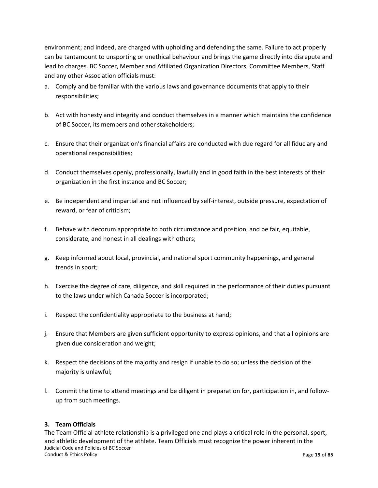environment; and indeed, are charged with upholding and defending the same. Failure to act properly can be tantamount to unsporting or unethical behaviour and brings the game directly into disrepute and lead to charges. BC Soccer, Member and Affiliated Organization Directors, Committee Members, Staff and any other Association officials must:

- a. Comply and be familiar with the various laws and governance documents that apply to their responsibilities;
- b. Act with honesty and integrity and conduct themselves in a manner which maintains the confidence of BC Soccer, its members and other stakeholders;
- c. Ensure that their organization's financial affairs are conducted with due regard for all fiduciary and operational responsibilities;
- d. Conduct themselves openly, professionally, lawfully and in good faith in the best interests of their organization in the first instance and BC Soccer;
- e. Be independent and impartial and not influenced by self-interest, outside pressure, expectation of reward, or fear of criticism;
- f. Behave with decorum appropriate to both circumstance and position, and be fair, equitable, considerate, and honest in all dealings with others;
- g. Keep informed about local, provincial, and national sport community happenings, and general trends in sport;
- h. Exercise the degree of care, diligence, and skill required in the performance of their duties pursuant to the laws under which Canada Soccer is incorporated;
- i. Respect the confidentiality appropriate to the business at hand;
- j. Ensure that Members are given sufficient opportunity to express opinions, and that all opinions are given due consideration and weight;
- k. Respect the decisions of the majority and resign if unable to do so; unless the decision of the majority is unlawful;
- l. Commit the time to attend meetings and be diligent in preparation for, participation in, and followup from such meetings.

#### **3. Team Officials**

Judicial Code and Policies of BC Soccer – Conduct & Ethics Policy Page **19** of **85** The Team Official-athlete relationship is a privileged one and plays a critical role in the personal, sport, and athletic development of the athlete. Team Officials must recognize the power inherent in the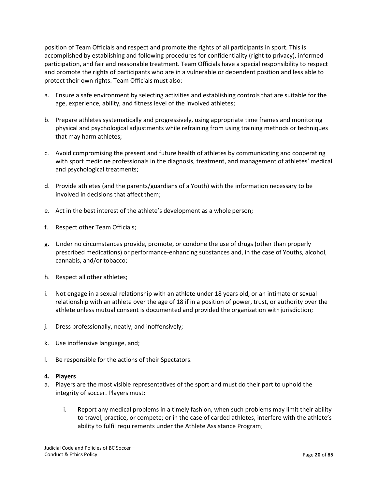position of Team Officials and respect and promote the rights of all participants in sport. This is accomplished by establishing and following procedures for confidentiality (right to privacy), informed participation, and fair and reasonable treatment. Team Officials have a special responsibility to respect and promote the rights of participants who are in a vulnerable or dependent position and less able to protect their own rights. Team Officials must also:

- a. Ensure a safe environment by selecting activities and establishing controls that are suitable for the age, experience, ability, and fitness level of the involved athletes;
- b. Prepare athletes systematically and progressively, using appropriate time frames and monitoring physical and psychological adjustments while refraining from using training methods or techniques that may harm athletes;
- c. Avoid compromising the present and future health of athletes by communicating and cooperating with sport medicine professionals in the diagnosis, treatment, and management of athletes' medical and psychological treatments;
- d. Provide athletes (and the parents/guardians of a Youth) with the information necessary to be involved in decisions that affect them;
- e. Act in the best interest of the athlete's development as a whole person;
- f. Respect other Team Officials;
- g. Under no circumstances provide, promote, or condone the use of drugs (other than properly prescribed medications) or performance-enhancing substances and, in the case of Youths, alcohol, cannabis, and/or tobacco;
- h. Respect all other athletes;
- i. Not engage in a sexual relationship with an athlete under 18 years old, or an intimate or sexual relationship with an athlete over the age of 18 if in a position of power, trust, or authority over the athlete unless mutual consent is documented and provided the organization withjurisdiction;
- j. Dress professionally, neatly, and inoffensively;
- k. Use inoffensive language, and;
- l. Be responsible for the actions of their Spectators.

#### **4. Players**

- a. Players are the most visible representatives of the sport and must do their part to uphold the integrity of soccer. Players must:
	- i. Report any medical problems in a timely fashion, when such problems may limit their ability to travel, practice, or compete; or in the case of carded athletes, interfere with the athlete's ability to fulfil requirements under the Athlete Assistance Program;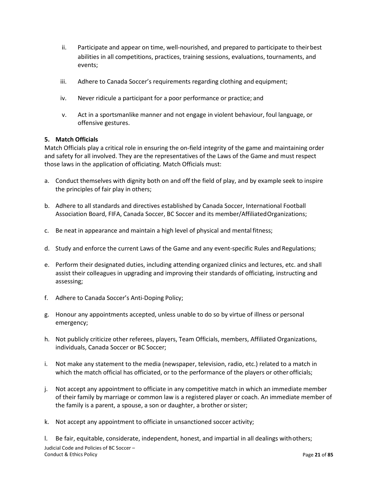- ii. Participate and appear on time, well-nourished, and prepared to participate to their best abilities in all competitions, practices, training sessions, evaluations, tournaments, and events;
- iii. Adhere to Canada Soccer's requirements regarding clothing and equipment;
- iv. Never ridicule a participant for a poor performance or practice; and
- v. Act in a sportsmanlike manner and not engage in violent behaviour, foul language, or offensive gestures.

#### **5. Match Officials**

Match Officials play a critical role in ensuring the on-field integrity of the game and maintaining order and safety for all involved. They are the representatives of the Laws of the Game and must respect those laws in the application of officiating. Match Officials must:

- a. Conduct themselves with dignity both on and off the field of play, and by example seek to inspire the principles of fair play in others;
- b. Adhere to all standards and directives established by Canada Soccer, International Football Association Board, FIFA, Canada Soccer, BC Soccer and its member/AffiliatedOrganizations;
- c. Be neat in appearance and maintain a high level of physical and mental fitness;
- d. Study and enforce the current Laws of the Game and any event-specific Rules and Regulations;
- e. Perform their designated duties, including attending organized clinics and lectures, etc. and shall assist their colleagues in upgrading and improving their standards of officiating, instructing and assessing;
- f. Adhere to Canada Soccer's Anti-Doping Policy;
- g. Honour any appointments accepted, unless unable to do so by virtue of illness or personal emergency;
- h. Not publicly criticize other referees, players, Team Officials, members, Affiliated Organizations, individuals, Canada Soccer or BC Soccer;
- i. Not make any statement to the media (newspaper, television, radio, etc.) related to a match in which the match official has officiated, or to the performance of the players or other officials;
- j. Not accept any appointment to officiate in any competitive match in which an immediate member of their family by marriage or common law is a registered player or coach. An immediate member of the family is a parent, a spouse, a son or daughter, a brother orsister;
- k. Not accept any appointment to officiate in unsanctioned soccer activity;

Judicial Code and Policies of BC Soccer – Conduct & Ethics Policy Page **21** of **85** l. Be fair, equitable, considerate, independent, honest, and impartial in all dealings withothers;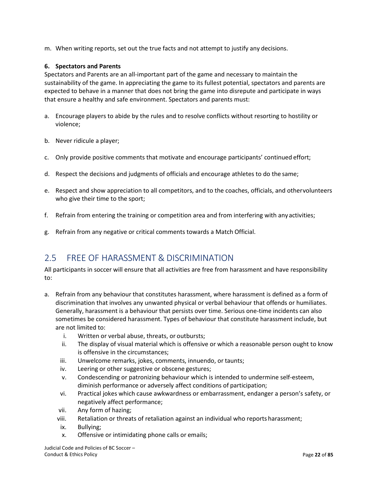m. When writing reports, set out the true facts and not attempt to justify any decisions.

#### **6. Spectators and Parents**

Spectators and Parents are an all-important part of the game and necessary to maintain the sustainability of the game. In appreciating the game to its fullest potential, spectators and parents are expected to behave in a manner that does not bring the game into disrepute and participate in ways that ensure a healthy and safe environment. Spectators and parents must:

- a. Encourage players to abide by the rules and to resolve conflicts without resorting to hostility or violence;
- b. Never ridicule a player;
- c. Only provide positive comments that motivate and encourage participants' continued effort;
- d. Respect the decisions and judgments of officials and encourage athletes to do the same;
- e. Respect and show appreciation to all competitors, and to the coaches, officials, and othervolunteers who give their time to the sport;
- f. Refrain from entering the training or competition area and from interfering with anyactivities;
- g. Refrain from any negative or critical comments towards a Match Official.

## <span id="page-21-0"></span>2.5 FREE OF HARASSMENT & DISCRIMINATION

All participants in soccer will ensure that all activities are free from harassment and have responsibility to:

- a. Refrain from any behaviour that constitutes harassment, where harassment is defined as a form of discrimination that involves any unwanted physical or verbal behaviour that offends or humiliates. Generally, harassment is a behaviour that persists over time. Serious one-time incidents can also sometimes be considered harassment. Types of behaviour that constitute harassment include, but are not limited to:
	- i. Written or verbal abuse, threats, or outbursts;
	- ii. The display of visual material which is offensive or which a reasonable person ought to know is offensive in the circumstances;
	- iii. Unwelcome remarks, jokes, comments, innuendo, or taunts;
	- iv. Leering or other suggestive or obscene gestures;
	- v. Condescending or patronizing behaviour which is intended to undermine self-esteem, diminish performance or adversely affect conditions of participation;
	- vi. Practical jokes which cause awkwardness or embarrassment, endanger a person's safety, or negatively affect performance;
	- vii. Any form of hazing;
	- viii. Retaliation or threats of retaliation against an individual who reports harassment;
	- ix. Bullying;
	- x. Offensive or intimidating phone calls or emails;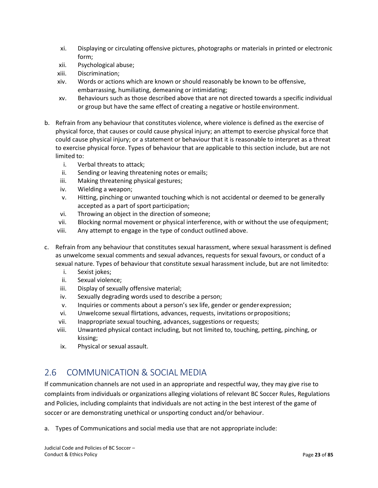- xi. Displaying or circulating offensive pictures, photographs or materials in printed or electronic form;
- xii. Psychological abuse;
- xiii. Discrimination;
- xiv. Words or actions which are known or should reasonably be known to be offensive, embarrassing, humiliating, demeaning or intimidating;
- xv. Behaviours such as those described above that are not directed towards a specific individual or group but have the same effect of creating a negative or hostile environment.
- b. Refrain from any behaviour that constitutes violence, where violence is defined as the exercise of physical force, that causes or could cause physical injury; an attempt to exercise physical force that could cause physical injury; or a statement or behaviour that it is reasonable to interpret as a threat to exercise physical force. Types of behaviour that are applicable to this section include, but are not limited to:
	- i. Verbal threats to attack;
	- ii. Sending or leaving threatening notes or emails;
	- iii. Making threatening physical gestures;
	- iv. Wielding a weapon;
	- v. Hitting, pinching or unwanted touching which is not accidental or deemed to be generally accepted as a part of sport participation;
	- vi. Throwing an object in the direction of someone;
	- vii. Blocking normal movement or physical interference, with or without the use ofequipment;
	- viii. Any attempt to engage in the type of conduct outlined above.
- c. Refrain from any behaviour that constitutes sexual harassment, where sexual harassment is defined as unwelcome sexual comments and sexual advances, requests for sexual favours, or conduct of a sexual nature. Types of behaviour that constitute sexual harassment include, but are not limitedto:
	- i. Sexist jokes;
	- ii. Sexual violence;
	- iii. Display of sexually offensive material;
	- iv. Sexually degrading words used to describe a person;
	- v. Inquiries or comments about a person's sex life, gender or genderexpression;
	- vi. Unwelcome sexual flirtations, advances, requests, invitations orpropositions;
	- vii. Inappropriate sexual touching, advances, suggestions or requests;
	- viii. Unwanted physical contact including, but not limited to, touching, petting, pinching, or kissing;
	- ix. Physical or sexual assault.

# <span id="page-22-0"></span>2.6 COMMUNICATION & SOCIAL MEDIA

If communication channels are not used in an appropriate and respectful way, they may give rise to complaints from individuals or organizations alleging violations of relevant BC Soccer Rules, Regulations and Policies, including complaints that individuals are not acting in the best interest of the game of soccer or are demonstrating unethical or unsporting conduct and/or behaviour.

a. Types of Communications and social media use that are not appropriate include: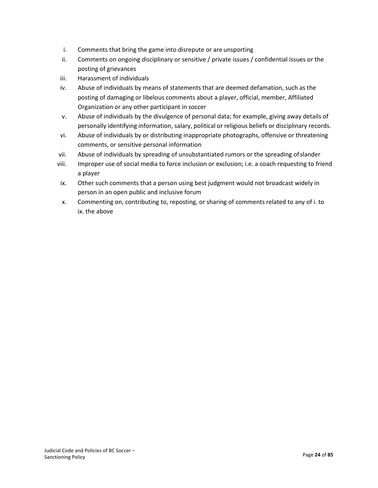- <span id="page-23-0"></span>i. Comments that bring the game into disrepute or are unsporting
- ii. Comments on ongoing disciplinary or sensitive / private issues / confidential issues or the posting of grievances
- iii. Harassment of individuals
- iv. Abuse of individuals by means of statements that are deemed defamation, such as the posting of damaging or libelous comments about a player, official, member, Affiliated Organization or any other participant in soccer
- v. Abuse of individuals by the divulgence of personal data; for example, giving away details of personally identifying information, salary, political or religious beliefs or disciplinary records.
- vi. Abuse of individuals by or distributing inappropriate photographs, offensive or threatening comments, or sensitive personal information
- vii. Abuse of individuals by spreading of unsubstantiated rumors or the spreading ofslander
- viii. Improper use of social media to force inclusion or exclusion; i.e. a coach requesting to friend a player
- ix. Other such comments that a person using best judgment would not broadcast widely in person in an open public and inclusive forum
- x. Commenting on, contributing to, reposting, or sharing of comments related to any of i. to ix. the above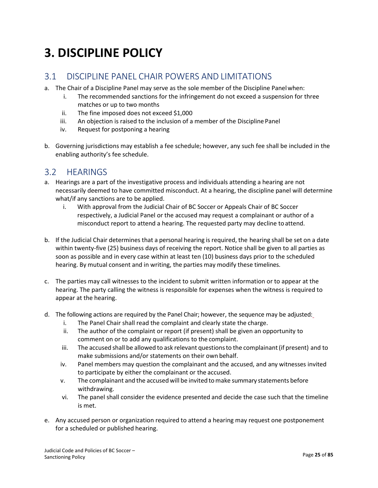# **3. DISCIPLINE POLICY**

## <span id="page-24-0"></span>3.1 DISCIPLINE PANEL CHAIR POWERS AND LIMITATIONS

- a. The Chair of a Discipline Panel may serve as the sole member of the Discipline Panelwhen:
	- i. The recommended sanctions for the infringement do not exceed a suspension for three matches or up to two months
	- ii. The fine imposed does not exceed \$1,000
	- iii. An objection is raised to the inclusion of a member of the Discipline Panel
	- iv. Request for postponing a hearing
- b. Governing jurisdictions may establish a fee schedule; however, any such fee shall be included in the enabling authority's fee schedule.

## <span id="page-24-1"></span>3.2 HEARINGS

- a. Hearings are a part of the investigative process and individuals attending a hearing are not necessarily deemed to have committed misconduct. At a hearing, the discipline panel will determine what/if any sanctions are to be applied.
	- i. With approval from the Judicial Chair of BC Soccer or Appeals Chair of BC Soccer respectively, a Judicial Panel or the accused may request a complainant or author of a misconduct report to attend a hearing. The requested party may decline toattend.
- b. If the Judicial Chair determines that a personal hearing is required, the hearing shall be set on a date within twenty-five (25) business days of receiving the report. Notice shall be given to all parties as soon as possible and in every case within at least ten (10) business days prior to the scheduled hearing. By mutual consent and in writing, the parties may modify these timelines.
- c. The parties may call witnesses to the incident to submit written information or to appear at the hearing. The party calling the witness is responsible for expenses when the witness is required to appear at the hearing.
- d. The following actions are required by the Panel Chair; however, the sequence may be adjusted:
	- i. The Panel Chair shall read the complaint and clearly state the charge.
	- ii. The author of the complaint or report (if present) shall be given an opportunity to comment on or to add any qualifications to the complaint.
	- iii. The accused shall be allowed to ask relevant questionsto the complainant(if present) and to make submissions and/or statements on their own behalf.
	- iv. Panel members may question the complainant and the accused, and any witnesses invited to participate by either the complainant or the accused.
	- v. The complainant and the accused will be invited tomake summary statements before withdrawing.
	- vi. The panel shall consider the evidence presented and decide the case such that the timeline is met.
- e. Any accused person or organization required to attend a hearing may request one postponement for a scheduled or published hearing.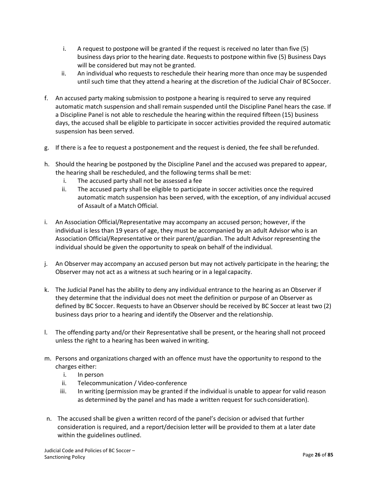- i. A request to postpone will be granted if the request is received no later than five (5) business days prior to the hearing date. Requests to postpone within five (5) Business Days will be considered but may not be granted.
- ii. An individual who requests to reschedule their hearing more than once may be suspended until such time that they attend a hearing at the discretion of the Judicial Chair of BCSoccer.
- f. An accused party making submission to postpone a hearing is required to serve any required automatic match suspension and shall remain suspended until the Discipline Panel hears the case. If a Discipline Panel is not able to reschedule the hearing within the required fifteen (15) business days, the accused shall be eligible to participate in soccer activities provided the required automatic suspension has been served.
- g. If there is a fee to request a postponement and the request is denied, the fee shall be refunded.
- h. Should the hearing be postponed by the Discipline Panel and the accused was prepared to appear, the hearing shall be rescheduled, and the following terms shall be met:
	- i. The accused party shall not be assessed a fee
	- ii. The accused party shall be eligible to participate in soccer activities once the required automatic match suspension has been served, with the exception, of any individual accused of Assault of a Match Official.
- i. An Association Official/Representative may accompany an accused person; however, if the individual is less than 19 years of age, they must be accompanied by an adult Advisor who is an Association Official/Representative or their parent/guardian. The adult Advisor representing the individual should be given the opportunity to speak on behalf of the individual.
- j. An Observer may accompany an accused person but may not actively participate in the hearing; the Observer may not act as a witness at such hearing or in a legal capacity.
- k. The Judicial Panel has the ability to deny any individual entrance to the hearing as an Observer if they determine that the individual does not meet the definition or purpose of an Observer as defined by BC Soccer. Requests to have an Observer should be received by BC Soccer at least two (2) business days prior to a hearing and identify the Observer and the relationship.
- l. The offending party and/or their Representative shall be present, or the hearing shall not proceed unless the right to a hearing has been waived in writing.
- m. Persons and organizations charged with an offence must have the opportunity to respond to the charges either:
	- i. In person
	- ii. Telecommunication / Video-conference
	- iii. In writing (permission may be granted if the individual is unable to appear for valid reason as determined by the panel and has made a written request for such consideration).
- n. The accused shall be given a written record of the panel's decision or advised that further consideration is required, and a report/decision letter will be provided to them at a later date within the guidelines outlined.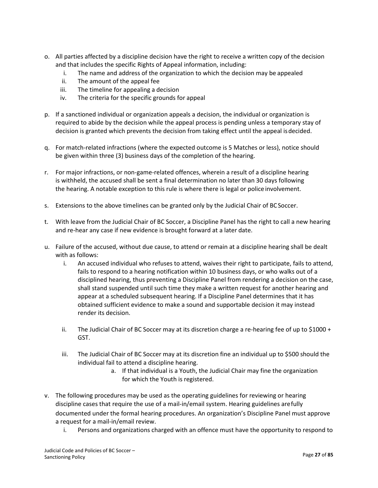- o. All parties affected by a discipline decision have the right to receive a written copy of the decision and that includes the specific Rights of Appeal information, including:
	- i. The name and address of the organization to which the decision may be appealed
	- ii. The amount of the appeal fee
	- iii. The timeline for appealing a decision
	- iv. The criteria for the specific grounds for appeal
- p. If a sanctioned individual or organization appeals a decision, the individual or organization is required to abide by the decision while the appeal process is pending unless a temporary stay of decision is granted which prevents the decision from taking effect until the appeal isdecided.
- q. For match-related infractions (where the expected outcome is 5 Matches or less), notice should be given within three (3) business days of the completion of the hearing.
- r. For major infractions, or non-game-related offences, wherein a result of a discipline hearing is withheld, the accused shall be sent a final determination no later than 30 days following the hearing. A notable exception to this rule is where there is legal or police involvement.
- s. Extensions to the above timelines can be granted only by the Judicial Chair of BCSoccer.
- t. With leave from the Judicial Chair of BC Soccer, a Discipline Panel has the right to call a new hearing and re-hear any case if new evidence is brought forward at a later date.
- u. Failure of the accused, without due cause, to attend or remain at a discipline hearing shall be dealt with as follows:
	- i. An accused individual who refuses to attend, waives their right to participate, fails to attend, fails to respond to a hearing notification within 10 business days, or who walks out of a disciplined hearing, thus preventing a Discipline Panel from rendering a decision on the case, shall stand suspended until such time they make a written request for another hearing and appear at a scheduled subsequent hearing. If a Discipline Panel determines that it has obtained sufficient evidence to make a sound and supportable decision it may instead render its decision.
	- ii. The Judicial Chair of BC Soccer may at its discretion charge a re-hearing fee of up to  $$1000 +$ GST.
	- iii. The Judicial Chair of BC Soccer may at its discretion fine an individual up to \$500 should the individual fail to attend a discipline hearing.
		- a. If that individual is a Youth, the Judicial Chair may fine the organization for which the Youth is registered.
- v. The following procedures may be used as the operating guidelines for reviewing or hearing discipline cases that require the use of a mail-in/email system. Hearing guidelines arefully documented under the formal hearing procedures. An organization's Discipline Panel must approve a request for a mail-in/email review.
	- i. Persons and organizations charged with an offence must have the opportunity to respond to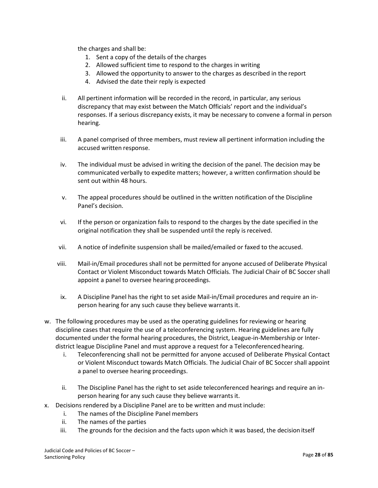the charges and shall be:

- 1. Sent a copy of the details of the charges
- 2. Allowed sufficient time to respond to the charges in writing
- 3. Allowed the opportunity to answer to the charges as described in the report
- 4. Advised the date their reply is expected
- ii. All pertinent information will be recorded in the record, in particular, any serious discrepancy that may exist between the Match Officials' report and the individual's responses. If a serious discrepancy exists, it may be necessary to convene a formal in person hearing.
- iii. A panel comprised of three members, must review all pertinent information including the accused written response.
- iv. The individual must be advised in writing the decision of the panel. The decision may be communicated verbally to expedite matters; however, a written confirmation should be sent out within 48 hours.
- v. The appeal procedures should be outlined in the written notification of the Discipline Panel's decision.
- vi. If the person or organization fails to respond to the charges by the date specified in the original notification they shall be suspended until the reply is received.
- vii. A notice of indefinite suspension shall be mailed/emailed or faxed to the accused.
- viii. Mail-in/Email procedures shall not be permitted for anyone accused of Deliberate Physical Contact or Violent Misconduct towards Match Officials. The Judicial Chair of BC Soccer shall appoint a panel to oversee hearing proceedings.
- ix. A Discipline Panel has the right to set aside Mail-in/Email procedures and require an inperson hearing for any such cause they believe warrants it.
- w. The following procedures may be used as the operating guidelines for reviewing or hearing discipline cases that require the use of a teleconferencing system. Hearing guidelines are fully documented under the formal hearing procedures, the District, League-in-Membership or Interdistrict league Discipline Panel and must approve a request for a Teleconferenced hearing.
	- i. Teleconferencing shall not be permitted for anyone accused of Deliberate Physical Contact or Violent Misconduct towards Match Officials. The Judicial Chair of BC Soccer shall appoint a panel to oversee hearing proceedings.
	- ii. The Discipline Panel has the right to set aside teleconferenced hearings and require an inperson hearing for any such cause they believe warrants it.
- x. Decisions rendered by a Discipline Panel are to be written and must include:
	- i. The names of the Discipline Panel members
	- ii. The names of the parties
	- iii. The grounds for the decision and the facts upon which it was based, the decision itself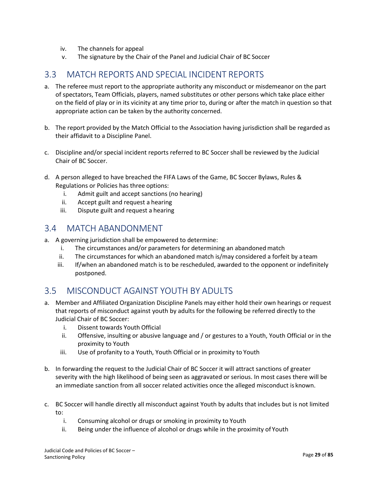- iv. The channels for appeal
- v. The signature by the Chair of the Panel and Judicial Chair of BC Soccer

## <span id="page-28-0"></span>3.3 MATCH REPORTS AND SPECIAL INCIDENT REPORTS

- a. The referee must report to the appropriate authority any misconduct or misdemeanor on the part of spectators, Team Officials, players, named substitutes or other persons which take place either on the field of play or in its vicinity at any time prior to, during or after the match in question so that appropriate action can be taken by the authority concerned.
- b. The report provided by the Match Official to the Association having jurisdiction shall be regarded as their affidavit to a Discipline Panel.
- c. Discipline and/or special incident reports referred to BC Soccer shall be reviewed by the Judicial Chair of BC Soccer.
- d. A person alleged to have breached the FIFA Laws of the Game, BC Soccer Bylaws, Rules & Regulations or Policies has three options:
	- i. Admit guilt and accept sanctions (no hearing)
	- ii. Accept guilt and request a hearing
	- iii. Dispute guilt and request a hearing

### <span id="page-28-1"></span>3.4 MATCH ABANDONMENT

- <span id="page-28-2"></span>a. A governing jurisdiction shall be empowered to determine:
	- i. The circumstances and/or parameters for determining an abandoned match
	- ii. The circumstances for which an abandoned match is/may considered a forfeit by a team
	- iii. If/when an abandoned match is to be rescheduled, awarded to the opponent or indefinitely postponed.

# 3.5 MISCONDUCT AGAINST YOUTH BY ADULTS

- a. Member and Affiliated Organization Discipline Panels may either hold their own hearings or request that reports of misconduct against youth by adults for the following be referred directly to the Judicial Chair of BC Soccer:
	- i. Dissent towards Youth Official
	- ii. Offensive, insulting or abusive language and / or gestures to a Youth, Youth Official or in the proximity to Youth
	- iii. Use of profanity to a Youth, Youth Official or in proximity to Youth
- b. In forwarding the request to the Judicial Chair of BC Soccer it will attract sanctions of greater severity with the high likelihood of being seen as aggravated or serious. In most cases there will be an immediate sanction from all soccer related activities once the alleged misconduct is known.
- c. BC Soccer will handle directly all misconduct against Youth by adults that includes but is not limited to:
	- i. Consuming alcohol or drugs or smoking in proximity to Youth
	- ii. Being under the influence of alcohol or drugs while in the proximity of Youth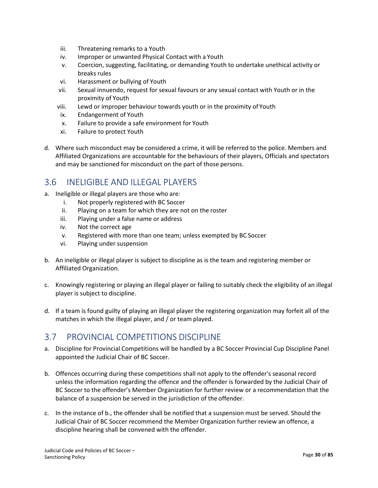- iii. Threatening remarks to a Youth
- iv. Improper or unwanted Physical Contact with a Youth
- v. Coercion, suggesting, facilitating, or demanding Youth to undertake unethical activity or breaks rules
- vi. Harassment or bullying of Youth
- vii. Sexual innuendo, request for sexual favours or any sexual contact with Youth or in the proximity of Youth
- viii. Lewd or improper behaviour towards youth or in the proximity of Youth
- ix. Endangerment of Youth
- x. Failure to provide a safe environment for Youth
- xi. Failure to protect Youth
- d. Where such misconduct may be considered a crime, it will be referred to the police. Members and Affiliated Organizations are accountable for the behaviours of their players, Officials and spectators and may be sanctioned for misconduct on the part of those persons.

## <span id="page-29-0"></span>3.6 INELIGIBLE AND ILLEGAL PLAYERS

- a. Ineligible or illegal players are those who are:
	- i. Not properly registered with BC Soccer
	- ii. Playing on a team for which they are not on the roster
	- iii. Playing under a false name or address
	- iv. Not the correct age
	- v. Registered with more than one team; unless exempted by BC Soccer
	- vi. Playing under suspension
- b. An ineligible or illegal player is subject to discipline as is the team and registering member or Affiliated Organization.
- c. Knowingly registering or playing an illegal player or failing to suitably check the eligibility of an illegal player is subject to discipline.
- <span id="page-29-1"></span>d. If a team is found guilty of playing an illegal player the registering organization may forfeit all of the matches in which the illegal player, and / or team played.

## 3.7 PROVINCIAL COMPETITIONS DISCIPLINE

- a. Discipline for Provincial Competitions will be handled by a BC Soccer Provincial Cup Discipline Panel appointed the Judicial Chair of BC Soccer.
- b. Offences occurring during these competitions shall not apply to the offender's seasonal record unless the information regarding the offence and the offender is forwarded by the Judicial Chair of BC Soccer to the offender's Member Organization for further review or a recommendation that the balance of a suspension be served in the jurisdiction of the offender.
- c. In the instance of b., the offender shall be notified that a suspension must be served. Should the Judicial Chair of BC Soccer recommend the Member Organization further review an offence, a discipline hearing shall be convened with the offender.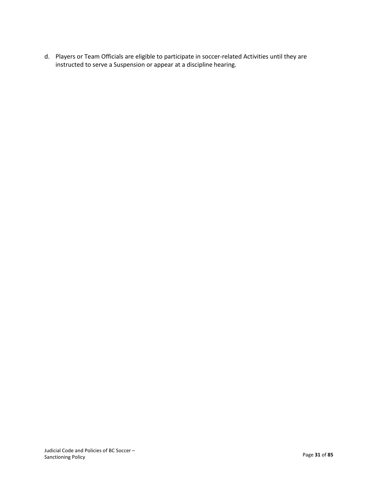d. Players or Team Officials are eligible to participate in soccer-related Activities until they are instructed to serve a Suspension or appear at a discipline hearing.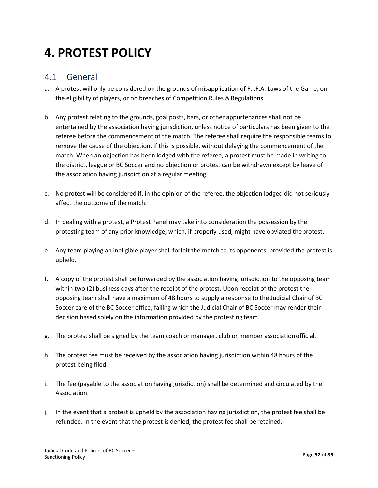# <span id="page-31-1"></span>**4. PROTEST POLICY**

### <span id="page-31-0"></span>4.1 General

- a. A protest will only be considered on the grounds of misapplication of F.I.F.A. Laws of the Game, on the eligibility of players, or on breaches of Competition Rules & Regulations.
- b. Any protest relating to the grounds, goal posts, bars, or other appurtenances shall not be entertained by the association having jurisdiction, unless notice of particulars has been given to the referee before the commencement of the match. The referee shall require the responsible teams to remove the cause of the objection, if this is possible, without delaying the commencement of the match. When an objection has been lodged with the referee, a protest must be made in writing to the district, league or BC Soccer and no objection or protest can be withdrawn except by leave of the association having jurisdiction at a regular meeting.
- c. No protest will be considered if, in the opinion of the referee, the objection lodged did not seriously affect the outcome of the match.
- d. In dealing with a protest, a Protest Panel may take into consideration the possession by the protesting team of any prior knowledge, which, if properly used, might have obviated theprotest.
- e. Any team playing an ineligible player shall forfeit the match to its opponents, provided the protest is upheld.
- f. A copy of the protest shall be forwarded by the association having jurisdiction to the opposing team within two (2) business days after the receipt of the protest. Upon receipt of the protest the opposing team shall have a maximum of 48 hours to supply a response to the Judicial Chair of BC Soccer care of the BC Soccer office, failing which the Judicial Chair of BC Soccer may render their decision based solely on the information provided by the protesting team.
- g. The protest shall be signed by the team coach or manager, club or member associationofficial.
- h. The protest fee must be received by the association having jurisdiction within 48 hours of the protest being filed.
- i. The fee (payable to the association having jurisdiction) shall be determined and circulated by the Association.
- j. In the event that a protest is upheld by the association having jurisdiction, the protest fee shall be refunded. In the event that the protest is denied, the protest fee shall be retained.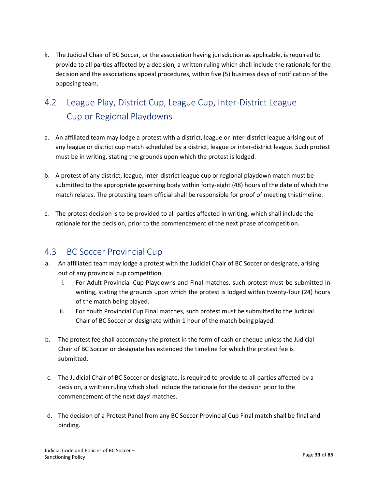k. The Judicial Chair of BC Soccer, or the association having jurisdiction as applicable, is required to provide to all parties affected by a decision, a written ruling which shall include the rationale for the decision and the associations appeal procedures, within five (5) business days of notification of the opposing team.

# <span id="page-32-0"></span>4.2 League Play, District Cup, League Cup, Inter-District League Cup or Regional Playdowns

- a. An affiliated team may lodge a protest with a district, league or inter-district league arising out of any league or district cup match scheduled by a district, league or inter-district league. Such protest must be in writing, stating the grounds upon which the protest islodged.
- b. A protest of any district, league, inter-district league cup or regional playdown match must be submitted to the appropriate governing body within forty-eight (48) hours of the date of which the match relates. The protesting team official shall be responsible for proof of meeting thistimeline.
- c. The protest decision is to be provided to all parties affected in writing, which shall include the rationale for the decision, prior to the commencement of the next phase of competition.

# <span id="page-32-1"></span>4.3 BC Soccer Provincial Cup

- a. An affiliated team may lodge a protest with the Judicial Chair of BC Soccer or designate, arising out of any provincial cup competition.
	- i. For Adult Provincial Cup Playdowns and Final matches, such protest must be submitted in writing, stating the grounds upon which the protest is lodged within twenty-four (24) hours of the match being played.
	- ii. For Youth Provincial Cup Final matches, such protest must be submitted to the Judicial Chair of BC Soccer or designate within 1 hour of the match being played.
- b. The protest fee shall accompany the protest in the form of cash or cheque unless the Judicial Chair of BC Soccer or designate has extended the timeline for which the protest fee is submitted.
- c. The Judicial Chair of BC Soccer or designate, is required to provide to all parties affected by a decision, a written ruling which shall include the rationale for the decision prior to the commencement of the next days' matches.
- d. The decision of a Protest Panel from any BC Soccer Provincial Cup Final match shall be final and binding.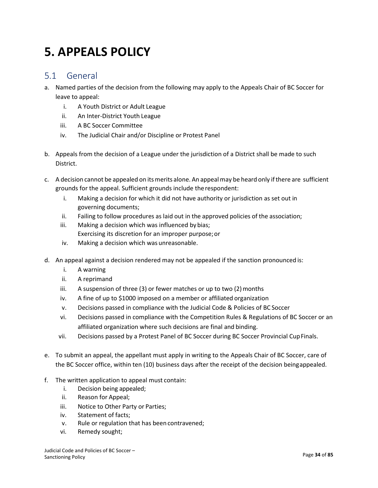# **5. APPEALS POLICY**

## <span id="page-33-0"></span>5.1 General

- a. Named parties of the decision from the following may apply to the Appeals Chair of BC Soccer for leave to appeal:
	- i. A Youth District or Adult League
	- ii. An Inter-District Youth League
	- iii. A BC Soccer Committee
	- iv. The Judicial Chair and/or Discipline or Protest Panel
- b. Appeals from the decision of a League under the jurisdiction of a District shall be made to such District.
- c. A decision cannot be appealed on itsmerits alone. An appealmay be heard only ifthere are sufficient grounds for the appeal. Sufficient grounds include therespondent:
	- i. Making a decision for which it did not have authority or jurisdiction as set out in governing documents;
	- ii. Failing to follow procedures as laid out in the approved policies of the association;
	- iii. Making a decision which was influenced bybias; Exercising its discretion for an improper purpose;or
	- iv. Making a decision which was unreasonable.
- d. An appeal against a decision rendered may not be appealed if the sanction pronounced is:
	- i. A warning
	- ii. A reprimand
	- iii. A suspension of three (3) or fewer matches or up to two (2) months
	- iv. A fine of up to \$1000 imposed on a member or affiliated organization
	- v. Decisions passed in compliance with the Judicial Code & Policies of BC Soccer
	- vi. Decisions passed in compliance with the Competition Rules & Regulations of BC Soccer or an affiliated organization where such decisions are final and binding.
	- vii. Decisions passed by a Protest Panel of BC Soccer during BC Soccer Provincial CupFinals.
- e. To submit an appeal, the appellant must apply in writing to the Appeals Chair of BC Soccer, care of the BC Soccer office, within ten (10) business days after the receipt of the decision beingappealed.
- f. The written application to appeal must contain:
	- i. Decision being appealed;
	- ii. Reason for Appeal;
	- iii. Notice to Other Party or Parties;
	- iv. Statement of facts;
	- v. Rule or regulation that has beencontravened;
	- vi. Remedy sought;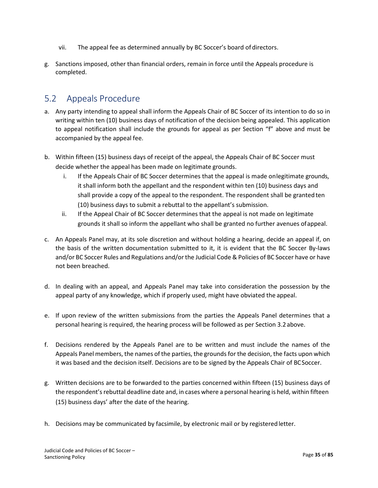- vii. The appeal fee as determined annually by BC Soccer's board of directors.
- g. Sanctions imposed, other than financial orders, remain in force until the Appeals procedure is completed.

## <span id="page-34-0"></span>5.2 Appeals Procedure

- a. Any party intending to appeal shall inform the Appeals Chair of BC Soccer of its intention to do so in writing within ten (10) business days of notification of the decision being appealed. This application to appeal notification shall include the grounds for appeal as per Section "f" above and must be accompanied by the appeal fee.
- b. Within fifteen (15) business days of receipt of the appeal, the Appeals Chair of BC Soccer must decide whether the appeal has been made on legitimate grounds.
	- i. If the Appeals Chair of BC Soccer determines that the appeal is made onlegitimate grounds, it shall inform both the appellant and the respondent within ten (10) business days and shall provide a copy of the appeal to the respondent. The respondent shall be grantedten (10) business days to submit a rebuttal to the appellant's submission.
	- ii. If the Appeal Chair of BC Soccer determines that the appeal is not made on legitimate grounds it shall so inform the appellant who shall be granted no further avenues ofappeal.
- c. An Appeals Panel may, at its sole discretion and without holding a hearing, decide an appeal if, on the basis of the written documentation submitted to it, it is evident that the BC Soccer By-laws and/or BC Soccer Rules and Regulations and/or the Judicial Code & Policies of BC Soccer have or have not been breached.
- d. In dealing with an appeal, and Appeals Panel may take into consideration the possession by the appeal party of any knowledge, which if properly used, might have obviated the appeal.
- e. If upon review of the written submissions from the parties the Appeals Panel determines that a personal hearing is required, the hearing process will be followed as per Section 3.2 above.
- f. Decisions rendered by the Appeals Panel are to be written and must include the names of the Appeals Panel members, the names of the parties, the grounds forthe decision, the facts upon which it was based and the decision itself. Decisions are to be signed by the Appeals Chair of BCSoccer.
- g. Written decisions are to be forwarded to the parties concerned within fifteen (15) business days of the respondent's rebuttal deadline date and, in cases where a personal hearing is held, within fifteen (15) business days' after the date of the hearing.
- h. Decisions may be communicated by facsimile, by electronic mail or by registeredletter.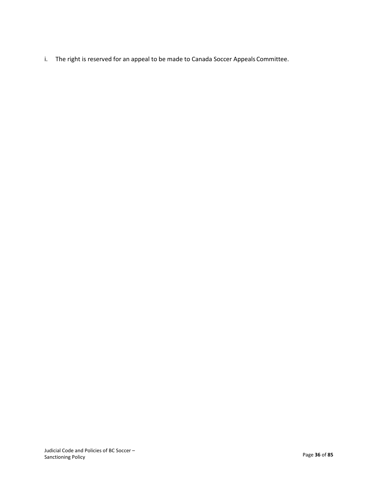i. The right is reserved for an appeal to be made to Canada Soccer Appeals Committee.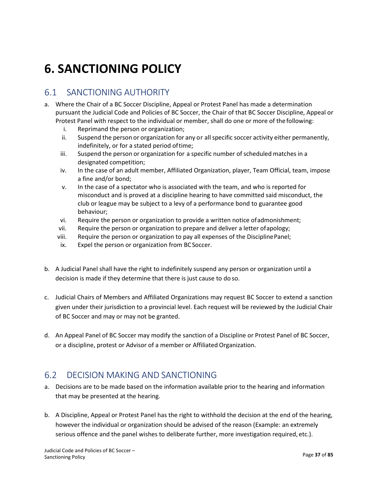# **6. SANCTIONING POLICY**

## 6.1 SANCTIONING AUTHORITY

- a. Where the Chair of a BC Soccer Discipline, Appeal or Protest Panel has made a determination pursuant the Judicial Code and Policies of BC Soccer, the Chair of that BC Soccer Discipline, Appeal or Protest Panel with respect to the individual or member, shall do one or more of the following:
	- i. Reprimand the person or organization;
	- ii. Suspend the person or organization for any or all specific soccer activity either permanently, indefinitely, or for a stated period oftime;
	- iii. Suspend the person or organization for a specific number ofscheduled matches in a designated competition;
	- iv. In the case of an adult member, Affiliated Organization, player, Team Official, team, impose a fine and/or bond;
	- v. In the case of a spectator who is associated with the team, and who is reported for misconduct and is proved at a discipline hearing to have committed said misconduct, the club or league may be subject to a levy of a performance bond to guarantee good behaviour;
	- vi. Require the person or organization to provide a written notice ofadmonishment;
	- vii. Require the person or organization to prepare and deliver a letter ofapology;
	- viii. Require the person or organization to pay all expenses of the DisciplinePanel;
	- ix. Expel the person or organization from BCSoccer.
- b. A Judicial Panel shall have the right to indefinitely suspend any person or organization until a decision is made if they determine that there is just cause to do so.
- c. Judicial Chairs of Members and Affiliated Organizations may request BC Soccer to extend a sanction given under their jurisdiction to a provincial level. Each request will be reviewed by the Judicial Chair of BC Soccer and may or may not be granted.
- d. An Appeal Panel of BC Soccer may modify the sanction of a Discipline or Protest Panel of BC Soccer, or a discipline, protest or Advisor of a member or Affiliated Organization.

## 6.2 DECISION MAKING AND SANCTIONING

- a. Decisions are to be made based on the information available prior to the hearing and information that may be presented at the hearing.
- b. A Discipline, Appeal or Protest Panel has the right to withhold the decision at the end of the hearing, however the individual or organization should be advised of the reason (Example: an extremely serious offence and the panel wishes to deliberate further, more investigation required, etc.).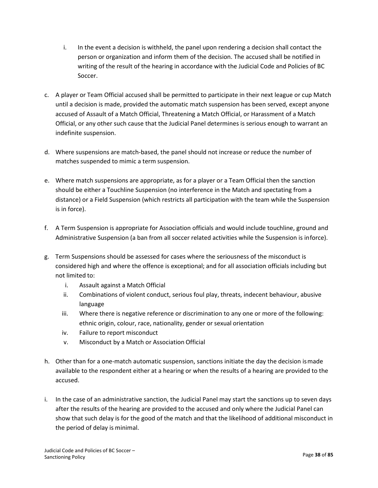- i. In the event a decision is withheld, the panel upon rendering a decision shall contact the person or organization and inform them of the decision. The accused shall be notified in writing of the result of the hearing in accordance with the Judicial Code and Policies of BC Soccer.
- c. A player or Team Official accused shall be permitted to participate in their next league or cup Match until a decision is made, provided the automatic match suspension has been served, except anyone accused of Assault of a Match Official, Threatening a Match Official, or Harassment of a Match Official, or any other such cause that the Judicial Panel determines is serious enough to warrant an indefinite suspension.
- d. Where suspensions are match-based, the panel should not increase or reduce the number of matches suspended to mimic a term suspension.
- e. Where match suspensions are appropriate, as for a player or a Team Official then the sanction should be either a Touchline Suspension (no interference in the Match and spectating from a distance) or a Field Suspension (which restricts all participation with the team while the Suspension is in force).
- f. A Term Suspension is appropriate for Association officials and would include touchline, ground and Administrative Suspension (a ban from all soccer related activities while the Suspension is inforce).
- g. Term Suspensions should be assessed for cases where the seriousness of the misconduct is considered high and where the offence is exceptional; and for all association officials including but not limited to:
	- i. Assault against a Match Official
	- ii. Combinations of violent conduct, serious foul play, threats, indecent behaviour, abusive language
	- iii. Where there is negative reference or discrimination to any one or more of the following: ethnic origin, colour, race, nationality, gender or sexual orientation
	- iv. Failure to report misconduct
	- v. Misconduct by a Match or Association Official
- h. Other than for a one-match automatic suspension, sanctions initiate the day the decision ismade available to the respondent either at a hearing or when the results of a hearing are provided to the accused.
- i. In the case of an administrative sanction, the Judicial Panel may start the sanctions up to seven days after the results of the hearing are provided to the accused and only where the Judicial Panel can show that such delay is for the good of the match and that the likelihood of additional misconduct in the period of delay is minimal.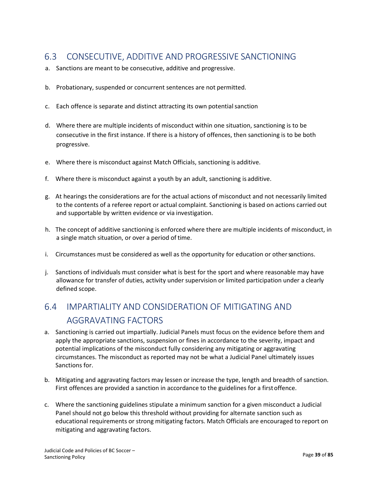## 6.3 CONSECUTIVE, ADDITIVE AND PROGRESSIVE SANCTIONING

- a. Sanctions are meant to be consecutive, additive and progressive.
- b. Probationary, suspended or concurrent sentences are not permitted.
- c. Each offence is separate and distinct attracting its own potential sanction
- d. Where there are multiple incidents of misconduct within one situation, sanctioning is to be consecutive in the first instance. If there is a history of offences, then sanctioning is to be both progressive.
- e. Where there is misconduct against Match Officials, sanctioning is additive.
- f. Where there is misconduct against a youth by an adult, sanctioning is additive.
- g. At hearings the considerations are for the actual actions of misconduct and not necessarily limited to the contents of a referee report or actual complaint. Sanctioning is based on actions carried out and supportable by written evidence or via investigation.
- h. The concept of additive sanctioning is enforced where there are multiple incidents of misconduct, in a single match situation, or over a period of time.
- i. Circumstances must be considered as well as the opportunity for education or othersanctions.
- j. Sanctions of individuals must consider what is best for the sport and where reasonable may have allowance for transfer of duties, activity under supervision or limited participation under a clearly defined scope.

## 6.4 IMPARTIALITY AND CONSIDERATION OF MITIGATING AND AGGRAVATING FACTORS

- a. Sanctioning is carried out impartially. Judicial Panels must focus on the evidence before them and apply the appropriate sanctions, suspension or fines in accordance to the severity, impact and potential implications of the misconduct fully considering any mitigating or aggravating circumstances. The misconduct as reported may not be what a Judicial Panel ultimately issues Sanctions for.
- b. Mitigating and aggravating factors may lessen or increase the type, length and breadth of sanction. First offences are provided a sanction in accordance to the guidelines for a firstoffence.
- c. Where the sanctioning guidelines stipulate a minimum sanction for a given misconduct a Judicial Panel should not go below this threshold without providing for alternate sanction such as educational requirements or strong mitigating factors. Match Officials are encouraged to report on mitigating and aggravating factors.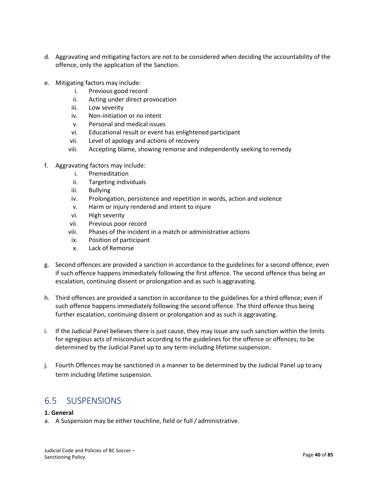- d. Aggravating and mitigating factors are not to be considered when deciding the accountability of the offence, only the application of the Sanction.
- e. Mitigating factors may include:
	- i. Previous good record
	- ii. Acting under direct provocation
	- iii. Low severity
	- iv. Non-initiation or no intent
	- v. Personal and medical issues
	- vi. Educational result or event has enlightened participant
	- vii. Level of apology and actions of recovery
	- viii. Accepting blame, showing remorse and independently seeking to remedy
- f. Aggravating factors may include:
	- i. Premeditation
	- ii. Targeting individuals
	- iii. Bullying
	- iv. Prolongation, persistence and repetition in words, action and violence
	- v. Harm or injury rendered and intent to injure
	- vi. High severity
	- vii. Previous poor record
	- viii. Phases of the incident in a match or administrative actions
	- ix. Position of participant
	- x. Lack of Remorse
- g. Second offences are provided a sanction in accordance to the guidelines for a second offence; even if such offence happens immediately following the first offence. The second offence thus being an escalation, continuing dissent or prolongation and as such is aggravating.
- h. Third offences are provided a sanction in accordance to the guidelines for a third offence; even if such offence happens immediately following the second offence. The third offence thus being further escalation, continuing dissent or prolongation and as such is aggravating.
- i. If the Judicial Panel believes there is just cause, they may issue any such sanction within the limits for egregious acts of misconduct according to the guidelines for the offence or offences; to be determined by the Judicial Panel up to any term including lifetime suspension.
- j. Fourth Offences may be sanctioned in a manner to be determined by the Judicial Panel up toany term including lifetime suspension.

## 6.5 SUSPENSIONS

#### **1. General**

a. A Suspension may be either touchline, field or full / administrative.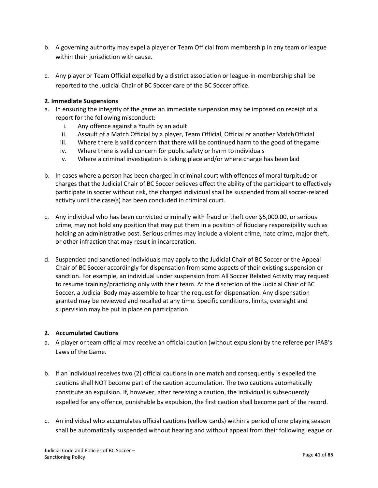- b. A governing authority may expel a player or Team Official from membership in any team or league within their jurisdiction with cause.
- c. Any player or Team Official expelled by a district association or league-in-membership shall be reported to the Judicial Chair of BC Soccer care of the BC Soccer office.

#### **2. Immediate Suspensions**

- a. In ensuring the integrity of the game an immediate suspension may be imposed on receipt of a report for the following misconduct:
	- i. Any offence against a Youth by an adult
	- ii. Assault of a Match Official by a player, Team Official, Official or another MatchOfficial
	- iii. Where there is valid concern that there will be continued harm to the good of thegame
	- iv. Where there is valid concern for public safety or harm to individuals
	- v. Where a criminal investigation is taking place and/or where charge has been laid
- b. In cases where a person has been charged in criminal court with offences of moral turpitude or charges that the Judicial Chair of BC Soccer believes effect the ability of the participant to effectively participate in soccer without risk, the charged individual shall be suspended from all soccer-related activity until the case(s) has been concluded in criminal court.
- c. Any individual who has been convicted criminally with fraud or theft over \$5,000.00, or serious crime, may not hold any position that may put them in a position of fiduciary responsibility such as holding an administrative post. Serious crimes may include a violent crime, hate crime, major theft, or other infraction that may result in incarceration.
- d. Suspended and sanctioned individuals may apply to the Judicial Chair of BC Soccer or the Appeal Chair of BC Soccer accordingly for dispensation from some aspects of their existing suspension or sanction. For example, an individual under suspension from All Soccer Related Activity may request to resume training/practicing only with their team. At the discretion of the Judicial Chair of BC Soccer, a Judicial Body may assemble to hear the request for dispensation. Any dispensation granted may be reviewed and recalled at any time. Specific conditions, limits, oversight and supervision may be put in place on participation.

#### **2. Accumulated Cautions**

- a. A player or team official may receive an official caution (without expulsion) by the referee per IFAB's Laws of the Game.
- b. If an individual receives two (2) official cautions in one match and consequently is expelled the cautions shall NOT become part of the caution accumulation. The two cautions automatically constitute an expulsion. If, however, after receiving a caution, the individual is subsequently expelled for any offence, punishable by expulsion, the first caution shall become part of the record.
- c. An individual who accumulates official cautions (yellow cards) within a period of one playing season shall be automatically suspended without hearing and without appeal from their following league or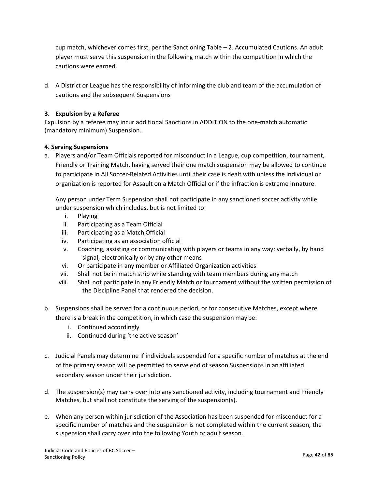cup match, whichever comes first, per the Sanctioning Table – 2. Accumulated Cautions. An adult player must serve this suspension in the following match within the competition in which the cautions were earned.

d. A District or League has the responsibility of informing the club and team of the accumulation of cautions and the subsequent Suspensions

#### **3. Expulsion by a Referee**

Expulsion by a referee may incur additional Sanctions in ADDITION to the one-match automatic (mandatory minimum) Suspension.

#### **4. Serving Suspensions**

a. Players and/or Team Officials reported for misconduct in a League, cup competition, tournament, Friendly or Training Match, having served their one match suspension may be allowed to continue to participate in All Soccer-Related Activities until their case is dealt with unless the individual or organization is reported for Assault on a Match Official or if the infraction is extreme innature.

Any person under Term Suspension shall not participate in any sanctioned soccer activity while under suspension which includes, but is not limited to:

- i. Playing
- ii. Participating as a Team Official
- iii. Participating as a Match Official
- iv. Participating as an association official
- v. Coaching, assisting or communicating with players or teams in any way: verbally, by hand signal, electronically or by any other means
- vi. Or participate in any member or Affiliated Organization activities
- vii. Shall not be in match strip while standing with team members during anymatch
- viii. Shall not participate in any Friendly Match or tournament without the written permission of the Discipline Panel that rendered the decision.
- b. Suspensions shall be served for a continuous period, or for consecutive Matches, except where there is a break in the competition, in which case the suspension may be:
	- i. Continued accordingly
	- ii. Continued during 'the active season'
- c. Judicial Panels may determine if individuals suspended for a specific number of matches at the end of the primary season will be permitted to serve end of season Suspensions in anaffiliated secondary season under their jurisdiction.
- d. The suspension(s) may carry over into any sanctioned activity, including tournament and Friendly Matches, but shall not constitute the serving of the suspension(s).
- e. When any person within jurisdiction of the Association has been suspended for misconduct for a specific number of matches and the suspension is not completed within the current season, the suspension shall carry over into the following Youth or adult season.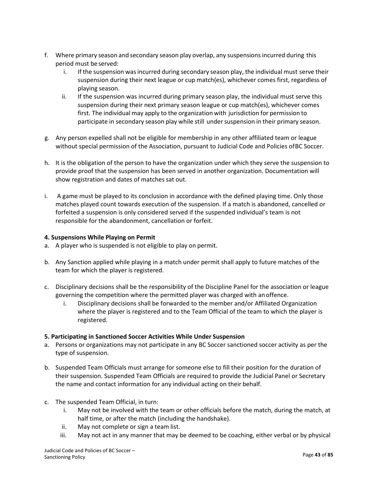- f. Where primary season and secondary season play overlap, any suspensionsincurred during this period must be served:
	- i. If the suspension wasincurred during secondary season play, the individual must serve their suspension during their next league or cup match(es), whichever comes first, regardless of playing season.
	- ii. If the suspension was incurred during primary season play, the individual must serve this suspension during their next primary season league or cup match(es), whichever comes first. The individual may apply to the organization with jurisdiction for permission to participate in secondary season play while still under suspension in their primary season.
- g. Any person expelled shall not be eligible for membership in any other affiliated team or league without special permission of the Association, pursuant to Judicial Code and Policies ofBC Soccer.
- h. It is the obligation of the person to have the organization under which they serve the suspension to provide proof that the suspension has been served in another organization. Documentation will show registration and dates of matches sat out.
- i. A game must be played to its conclusion in accordance with the defined playing time. Only those matches played count towards execution of the suspension. If a match is abandoned, cancelled or forfeited a suspension is only considered served if the suspended individual's team is not responsible for the abandonment, cancellation or forfeit.

#### **4. Suspensions While Playing on Permit**

- a. A player who is suspended is not eligible to play on permit.
- b. Any Sanction applied while playing in a match under permit shall apply to future matches of the team for which the player is registered.
- c. Disciplinary decisions shall be the responsibility of the Discipline Panel for the association or league governing the competition where the permitted player was charged with an offence.
	- i. Disciplinary decisions shall be forwarded to the member and/or Affiliated Organization where the player is registered and to the Team Official of the team to which the player is registered.

#### **5. Participating in Sanctioned Soccer Activities While Under Suspension**

- a. Persons or organizations may not participate in any BC Soccer sanctioned soccer activity as per the type of suspension.
- b. Suspended Team Officials must arrange for someone else to fill their position for the duration of their suspension. Suspended Team Officials are required to provide the Judicial Panel or Secretary the name and contact information for any individual acting on their behalf.
- c. The suspended Team Official, in turn:
	- i. May not be involved with the team or other officials before the match, during the match, at half time, or after the match (including the handshake).
	- ii. May not complete or sign a team list.
	- iii. May not act in any manner that may be deemed to be coaching, either verbal or by physical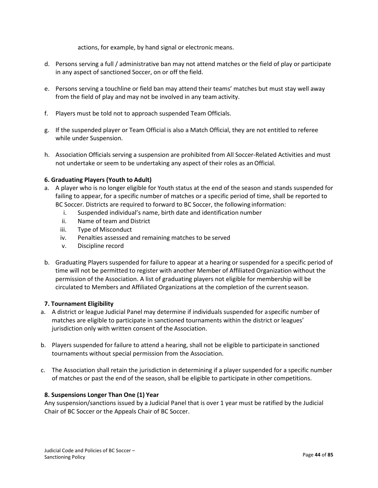actions, for example, by hand signal or electronic means.

- d. Persons serving a full / administrative ban may not attend matches or the field of play or participate in any aspect of sanctioned Soccer, on or off the field.
- e. Persons serving a touchline or field ban may attend their teams' matches but must stay well away from the field of play and may not be involved in any team activity.
- f. Players must be told not to approach suspended Team Officials.
- g. If the suspended player or Team Official is also a Match Official, they are not entitled to referee while under Suspension.
- h. Association Officials serving a suspension are prohibited from All Soccer-Related Activities and must not undertake or seem to be undertaking any aspect of their roles as anOfficial.

#### **6. Graduating Players (Youth to Adult)**

- a. A player who is no longer eligible for Youth status at the end of the season and stands suspended for failing to appear, for a specific number of matches or a specific period of time, shall be reported to BC Soccer. Districts are required to forward to BC Soccer, the following information:
	- i. Suspended individual's name, birth date and identification number
	- ii. Name of team and District
	- iii. Type of Misconduct
	- iv. Penalties assessed and remaining matches to be served
	- v. Discipline record
- b. Graduating Players suspended for failure to appear at a hearing or suspended for a specific period of time will not be permitted to register with another Member of Affiliated Organization without the permission of the Association. A list of graduating players not eligible for membership will be circulated to Members and Affiliated Organizations at the completion of the currentseason.

#### **7. Tournament Eligibility**

- a. A district or league Judicial Panel may determine if individuals suspended for aspecific number of matches are eligible to participate in sanctioned tournaments within the district or leagues' jurisdiction only with written consent of the Association.
- b. Players suspended for failure to attend a hearing, shall not be eligible to participatein sanctioned tournaments without special permission from the Association.
- c. The Association shall retain the jurisdiction in determining if a player suspended for a specific number of matches or past the end of the season, shall be eligible to participate in other competitions.

#### **8. Suspensions Longer Than One (1) Year**

Any suspension/sanctions issued by a Judicial Panel that is over 1 year must be ratified by the Judicial Chair of BC Soccer or the Appeals Chair of BC Soccer.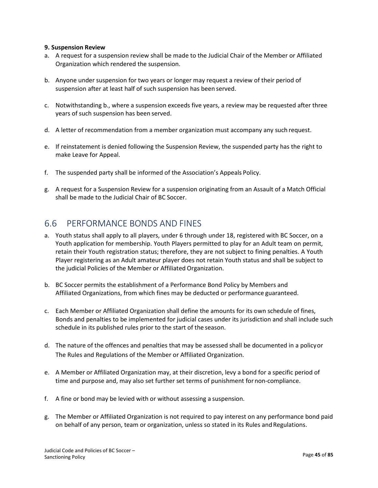#### **9. Suspension Review**

- a. A request for a suspension review shall be made to the Judicial Chair of the Member or Affiliated Organization which rendered the suspension.
- b. Anyone under suspension for two years or longer may request a review of their period of suspension after at least half of such suspension has been served.
- c. Notwithstanding b., where a suspension exceeds five years, a review may be requested after three years of such suspension has been served.
- d. A letter of recommendation from a member organization must accompany any such request.
- e. If reinstatement is denied following the Suspension Review, the suspended party has the right to make Leave for Appeal.
- f. The suspended party shall be informed of the Association's Appeals Policy.
- g. A request for a Suspension Review for a suspension originating from an Assault of a Match Official shall be made to the Judicial Chair of BC Soccer.

## 6.6 PERFORMANCE BONDS AND FINES

- a. Youth status shall apply to all players, under 6 through under 18, registered with BC Soccer, on a Youth application for membership. Youth Players permitted to play for an Adult team on permit, retain their Youth registration status; therefore, they are not subject to fining penalties. A Youth Player registering as an Adult amateur player does not retain Youth status and shall be subject to the judicial Policies of the Member or Affiliated Organization.
- b. BC Soccer permits the establishment of a Performance Bond Policy by Members and Affiliated Organizations, from which fines may be deducted or performance guaranteed.
- c. Each Member or Affiliated Organization shall define the amounts for its own schedule of fines, Bonds and penalties to be implemented for judicial cases under its jurisdiction and shall include such schedule in its published rules prior to the start of the season.
- d. The nature of the offences and penalties that may be assessed shall be documented in a policyor The Rules and Regulations of the Member or Affiliated Organization.
- e. A Member or Affiliated Organization may, at their discretion, levy a bond for a specific period of time and purpose and, may also set further set terms of punishment for non-compliance.
- f. A fine or bond may be levied with or without assessing a suspension.
- g. The Member or Affiliated Organization is not required to pay interest on any performance bond paid on behalf of any person, team or organization, unless so stated in its Rules and Regulations.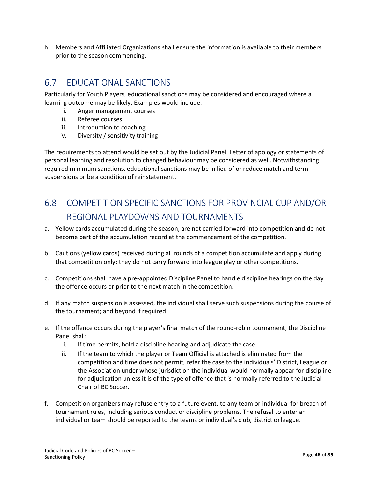h. Members and Affiliated Organizations shall ensure the information is available to their members prior to the season commencing.

## 6.7 EDUCATIONAL SANCTIONS

Particularly for Youth Players, educational sanctions may be considered and encouraged where a learning outcome may be likely. Examples would include:

- i. Anger management courses
- ii. Referee courses
- iii. Introduction to coaching
- iv. Diversity / sensitivity training

The requirements to attend would be set out by the Judicial Panel. Letter of apology or statements of personal learning and resolution to changed behaviour may be considered as well. Notwithstanding required minimum sanctions, educational sanctions may be in lieu of or reduce match and term suspensions or be a condition of reinstatement.

## 6.8 COMPETITION SPECIFIC SANCTIONS FOR PROVINCIAL CUP AND/OR REGIONAL PLAYDOWNS AND TOURNAMENTS

- a. Yellow cards accumulated during the season, are not carried forward into competition and do not become part of the accumulation record at the commencement of the competition.
- b. Cautions (yellow cards) received during all rounds of a competition accumulate and apply during that competition only; they do not carry forward into league play or other competitions.
- c. Competitions shall have a pre-appointed Discipline Panel to handle discipline hearings on the day the offence occurs or prior to the next match in the competition.
- d. If any match suspension is assessed, the individual shall serve such suspensions during the course of the tournament; and beyond if required.
- e. If the offence occurs during the player's final match of the round-robin tournament, the Discipline Panel shall:
	- i. If time permits, hold a discipline hearing and adjudicate the case.
	- ii. If the team to which the player or Team Official is attached is eliminated from the competition and time does not permit, refer the case to the individuals' District, League or the Association under whose jurisdiction the individual would normally appear for discipline for adjudication unless it is of the type of offence that is normally referred to the Judicial Chair of BC Soccer.
- f. Competition organizers may refuse entry to a future event, to any team or individual for breach of tournament rules, including serious conduct or discipline problems. The refusal to enter an individual or team should be reported to the teams or individual's club, district orleague.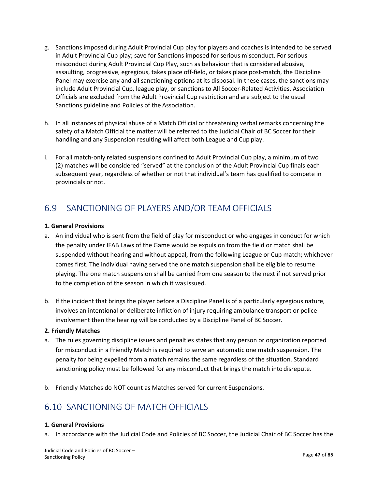- g. Sanctions imposed during Adult Provincial Cup play for players and coaches is intended to be served in Adult Provincial Cup play; save for Sanctions imposed for serious misconduct. For serious misconduct during Adult Provincial Cup Play, such as behaviour that is considered abusive, assaulting, progressive, egregious, takes place off-field, or takes place post-match, the Discipline Panel may exercise any and all sanctioning options at its disposal. In these cases, the sanctions may include Adult Provincial Cup, league play, or sanctions to All Soccer-Related Activities. Association Officials are excluded from the Adult Provincial Cup restriction and are subject to the usual Sanctions guideline and Policies of the Association.
- h. In all instances of physical abuse of a Match Official or threatening verbal remarks concerning the safety of a Match Official the matter will be referred to the Judicial Chair of BC Soccer for their handling and any Suspension resulting will affect both League and Cup play.
- i. For all match-only related suspensions confined to Adult Provincial Cup play, a minimum of two (2) matches will be considered "served" at the conclusion of the Adult Provincial Cup finals each subsequent year, regardless of whether or not that individual's team has qualified to compete in provincials or not.

## 6.9 SANCTIONING OF PLAYERS AND/OR TEAM OFFICIALS

#### **1. General Provisions**

- a. An individual who is sent from the field of play for misconduct or who engages in conduct for which the penalty under IFAB Laws of the Game would be expulsion from the field or match shall be suspended without hearing and without appeal, from the following League or Cup match; whichever comes first. The individual having served the one match suspension shall be eligible to resume playing. The one match suspension shall be carried from one season to the next if not served prior to the completion of the season in which it wasissued.
- b. If the incident that brings the player before a Discipline Panel is of a particularly egregious nature, involves an intentional or deliberate infliction of injury requiring ambulance transport or police involvement then the hearing will be conducted by a Discipline Panel of BC Soccer.

#### **2. Friendly Matches**

- a. The rules governing discipline issues and penalties states that any person or organization reported for misconduct in a Friendly Match is required to serve an automatic one match suspension. The penalty for being expelled from a match remains the same regardless of the situation. Standard sanctioning policy must be followed for any misconduct that brings the match into disrepute.
- b. Friendly Matches do NOT count as Matches served for current Suspensions.

## 6.10 SANCTIONING OF MATCH OFFICIALS

#### **1. General Provisions**

a. In accordance with the Judicial Code and Policies of BC Soccer, the Judicial Chair of BC Soccer has the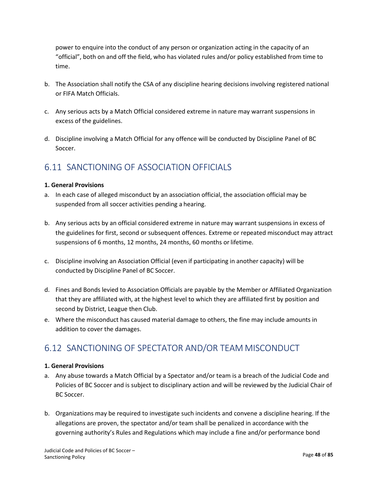power to enquire into the conduct of any person or organization acting in the capacity of an "official", both on and off the field, who has violated rules and/or policy established from time to time.

- b. The Association shall notify the CSA of any discipline hearing decisions involving registered national or FIFA Match Officials.
- c. Any serious acts by a Match Official considered extreme in nature may warrant suspensions in excess of the guidelines.
- d. Discipline involving a Match Official for any offence will be conducted by Discipline Panel of BC Soccer.

## 6.11 SANCTIONING OF ASSOCIATION OFFICIALS

#### **1. General Provisions**

- a. In each case of alleged misconduct by an association official, the association official may be suspended from all soccer activities pending a hearing.
- b. Any serious acts by an official considered extreme in nature may warrant suspensions in excess of the guidelines for first, second or subsequent offences. Extreme or repeated misconduct may attract suspensions of 6 months, 12 months, 24 months, 60 months or lifetime.
- c. Discipline involving an Association Official (even if participating in another capacity) will be conducted by Discipline Panel of BC Soccer.
- d. Fines and Bonds levied to Association Officials are payable by the Member or Affiliated Organization that they are affiliated with, at the highest level to which they are affiliated first by position and second by District, League then Club.
- e. Where the misconduct has caused material damage to others, the fine may include amounts in addition to cover the damages.

## 6.12 SANCTIONING OF SPECTATOR AND/OR TEAM MISCONDUCT

#### **1. General Provisions**

- a. Any abuse towards a Match Official by a Spectator and/or team is a breach of the Judicial Code and Policies of BC Soccer and is subject to disciplinary action and will be reviewed by the Judicial Chair of BC Soccer.
- b. Organizations may be required to investigate such incidents and convene a discipline hearing. If the allegations are proven, the spectator and/or team shall be penalized in accordance with the governing authority's Rules and Regulations which may include a fine and/or performance bond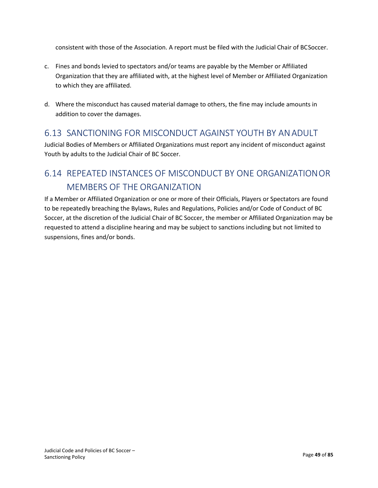consistent with those of the Association. A report must be filed with the Judicial Chair of BCSoccer.

- c. Fines and bonds levied to spectators and/or teams are payable by the Member or Affiliated Organization that they are affiliated with, at the highest level of Member or Affiliated Organization to which they are affiliated.
- d. Where the misconduct has caused material damage to others, the fine may include amounts in addition to cover the damages.

## 6.13 SANCTIONING FOR MISCONDUCT AGAINST YOUTH BY ANADULT

Judicial Bodies of Members or Affiliated Organizations must report any incident of misconduct against Youth by adults to the Judicial Chair of BC Soccer.

## 6.14 REPEATED INSTANCES OF MISCONDUCT BY ONE ORGANIZATIONOR MEMBERS OF THE ORGANIZATION

If a Member or Affiliated Organization or one or more of their Officials, Players or Spectators are found to be repeatedly breaching the Bylaws, Rules and Regulations, Policies and/or Code of Conduct of BC Soccer, at the discretion of the Judicial Chair of BC Soccer, the member or Affiliated Organization may be requested to attend a discipline hearing and may be subject to sanctions including but not limited to suspensions, fines and/or bonds.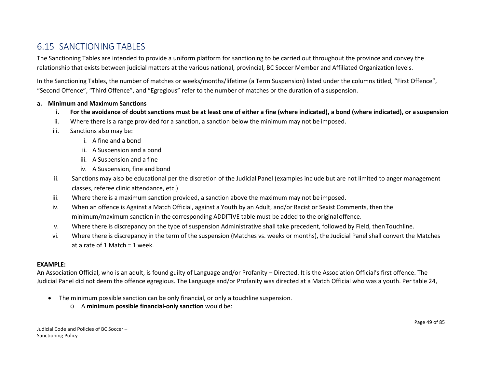## 6.15 SANCTIONING TABLES

The Sanctioning Tables are intended to provide a uniform platform for sanctioning to be carried out throughout the province and convey the relationship that exists between judicial matters at the various national, provincial, BC Soccer Member and Affiliated Organization levels.

In the Sanctioning Tables, the number of matches or weeks/months/lifetime (a Term Suspension) listed under the columns titled, "First Offence", "Second Offence", "Third Offence", and "Egregious" refer to the number of matches or the duration of a suspension.

#### **a. Minimum and Maximum Sanctions**

- **i. For the avoidance of doubt sanctions must be at least one of either a fine (where indicated), a bond (where indicated), or a suspension**
- ii. Where there is a range provided for a sanction, a sanction below the minimum may not be imposed.
- iii. Sanctions also may be:
	- i. A fine and a bond
	- ii. A Suspension and a bond
	- iii. A Suspension and a fine
	- iv. A Suspension, fine and bond
- ii. Sanctions may also be educational per the discretion of the Judicial Panel (examples include but are not limited to anger management classes, referee clinic attendance, etc.)
- iii. Where there is a maximum sanction provided, a sanction above the maximum may not be imposed.
- iv. When an offence is Against a Match Official, against a Youth by an Adult, and/or Racist or Sexist Comments, then the minimum/maximum sanction in the corresponding ADDITIVE table must be added to the originaloffence.
- v. Where there is discrepancy on the type of suspension Administrative shall take precedent, followed by Field, thenTouchline.
- vi. Where there is discrepancy in the term of the suspension (Matches vs. weeks or months), the Judicial Panel shall convert the Matches at a rate of 1 Match = 1 week.

#### **EXAMPLE:**

An Association Official, who is an adult, is found guilty of Language and/or Profanity – Directed. It is the Association Official's first offence. The Judicial Panel did not deem the offence egregious. The Language and/or Profanity was directed at a Match Official who was a youth. Per table 24,

- The minimum possible sanction can be only financial, or only a touchline suspension.
	- o A **minimum possible financial-only sanction** would be: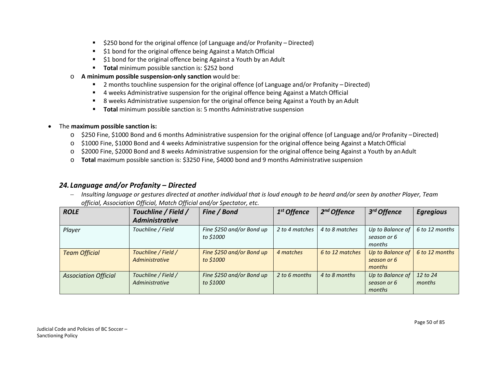- \$250 bond for the original offence (of Language and/or Profanity Directed)
- **51 bond for the original offence being Against a Match Official**
- **51 bond for the original offence being Against a Youth by an Adult**
- **Total minimum possible sanction is: \$252 bond**
- o **A minimum possible suspension-only sanction** would be:
	- 2 months touchline suspension for the original offence (of Language and/or Profanity Directed)
	- 4 weeks Administrative suspension for the original offence being Against a Match Official
	- 8 weeks Administrative suspension for the original offence being Against a Youth by an Adult
	- **Total minimum possible sanction is: 5 months Administrative suspension**

#### • The **maximum possible sanction is:**

- o \$250 Fine, \$1000 Bond and 6 months Administrative suspension for the original offence (of Language and/or Profanity –Directed)
- o \$1000 Fine, \$1000 Bond and 4 weeks Administrative suspension for the original offence being Against a MatchOfficial
- o \$2000 Fine, \$2000 Bond and 8 weeks Administrative suspension for the original offence being Against a Youth by anAdult
- o **Total** maximum possible sanction is: \$3250 Fine, \$4000 bond and 9 months Administrative suspension

#### *24. Language and/or Profanity – Directed*

− *Insulting language or gestures directed at another individual that is loud enough to be heard and/or seen by another Player, Team official, Association Official, Match Official and/or Spectator, etc.*

| <b>ROLE</b>                 | Touchline / Field /<br><b>Administrative</b> | Fine / Bond                            | 1 <sup>st</sup> Offence | 2 <sup>nd</sup> Offence | 3rd Offence                               | <b>Egregious</b>   |
|-----------------------------|----------------------------------------------|----------------------------------------|-------------------------|-------------------------|-------------------------------------------|--------------------|
| Player                      | Touchline / Field                            | Fine \$250 and/or Bond up<br>to \$1000 | 2 to 4 matches          | 4 to 8 matches          | Up to Balance of<br>season or 6<br>months | 6 to 12 months     |
| <b>Team Official</b>        | Touchline / Field /<br>Administrative        | Fine \$250 and/or Bond up<br>to \$1000 | 4 matches               | 6 to 12 matches         | Up to Balance of<br>season or 6<br>months | 6 to 12 months     |
| <b>Association Official</b> | Touchline / Field /<br>Administrative        | Fine \$250 and/or Bond up<br>to \$1000 | 2 to 6 months           | 4 to 8 months           | Up to Balance of<br>season or 6<br>months | 12 to 24<br>months |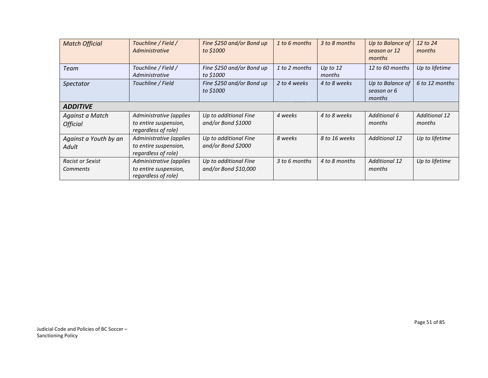| <b>Match Official</b>                      | Touchline / Field /<br>Administrative                                   | Fine \$250 and/or Bond up<br>to \$1000        | 1 to 6 months | 3 to 8 months        | Up to Balance of<br>season or 12<br>months | 12 to 24<br>months             |  |  |  |
|--------------------------------------------|-------------------------------------------------------------------------|-----------------------------------------------|---------------|----------------------|--------------------------------------------|--------------------------------|--|--|--|
| Team                                       | Touchline / Field /<br>Administrative                                   | Fine \$250 and/or Bond up<br>to \$1000        | 1 to 2 months | Up to $12$<br>months | 12 to 60 months                            | Up to lifetime                 |  |  |  |
| Spectator                                  | Touchline / Field                                                       | Fine \$250 and/or Bond up<br>to \$1000        | 2 to 4 weeks  | 4 to 8 weeks         | Up to Balance of<br>season or 6<br>months  | 6 to 12 months                 |  |  |  |
| <b>ADDITIVE</b>                            |                                                                         |                                               |               |                      |                                            |                                |  |  |  |
| Against a Match<br><b>Official</b>         | Administrative (applies<br>to entire suspension,<br>regardless of role) | Up to additional Fine<br>and/or Bond \$1000   | 4 weeks       | 4 to 8 weeks         | <b>Additional 6</b><br>months              | <b>Additional 12</b><br>months |  |  |  |
| Against a Youth by an<br>Adult             | Administrative (applies<br>to entire suspension,<br>regardless of role) | Up to additional Fine<br>and/or Bond \$2000   | 8 weeks       | 8 to 16 weeks        | <b>Additional 12</b>                       | Up to lifetime                 |  |  |  |
| <b>Racist or Sexist</b><br><b>Comments</b> | Administrative (applies<br>to entire suspension,<br>regardless of role) | Up to additional Fine<br>and/or Bond \$10,000 | 3 to 6 months | 4 to 8 months        | <b>Additional 12</b><br>months             | Up to lifetime                 |  |  |  |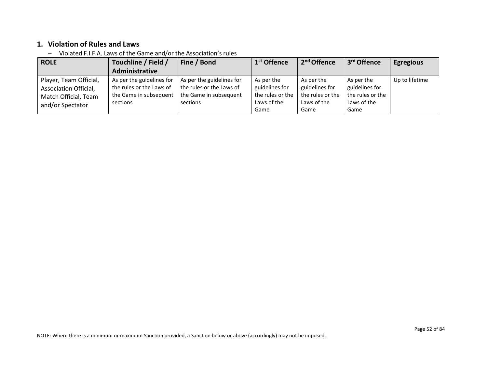## **1. Violation of Rules and Laws**

− Violated F.I.F.A. Laws of the Game and/or the Association's rules

| <b>ROLE</b>                                                                                 | Touchline / Field /                                                                         | Fine / Bond                                                                                 | 1 <sup>st</sup> Offence                                                 | 2 <sup>nd</sup> Offence                                                 | 3 <sup>rd</sup> Offence                                                 | <b>Egregious</b> |
|---------------------------------------------------------------------------------------------|---------------------------------------------------------------------------------------------|---------------------------------------------------------------------------------------------|-------------------------------------------------------------------------|-------------------------------------------------------------------------|-------------------------------------------------------------------------|------------------|
|                                                                                             | Administrative                                                                              |                                                                                             |                                                                         |                                                                         |                                                                         |                  |
| Player, Team Official,<br>Association Official,<br>Match Official, Team<br>and/or Spectator | As per the guidelines for<br>the rules or the Laws of<br>the Game in subsequent<br>sections | As per the guidelines for<br>the rules or the Laws of<br>the Game in subsequent<br>sections | As per the<br>guidelines for<br>the rules or the<br>Laws of the<br>Game | As per the<br>guidelines for<br>the rules or the<br>Laws of the<br>Game | As per the<br>guidelines for<br>the rules or the<br>Laws of the<br>Game | Up to lifetime   |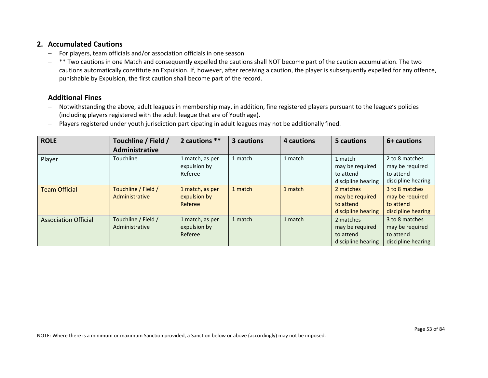#### **2. Accumulated Cautions**

- − For players, team officials and/or association officials in one season
- − \*\* Two cautions in one Match and consequently expelled the cautions shall NOT become part of the caution accumulation. The two cautions automatically constitute an Expulsion. If, however, after receiving a caution, the player is subsequently expelled for any offence, punishable by Expulsion, the first caution shall become part of the record.

## **Additional Fines**

- − Notwithstanding the above, adult leagues in membership may, in addition, fine registered players pursuant to the league's policies (including players registered with the adult league that are of Youth age).
- − Players registered under youth jurisdiction participating in adult leagues may not be additionally fined.

| <b>ROLE</b>                 | Touchline / Field /                   | 2 cautions **                              | 3 cautions | 4 cautions | 5 cautions                                                      | 6+ cautions                                                          |
|-----------------------------|---------------------------------------|--------------------------------------------|------------|------------|-----------------------------------------------------------------|----------------------------------------------------------------------|
|                             | <b>Administrative</b>                 |                                            |            |            |                                                                 |                                                                      |
| Player                      | Touchline                             | 1 match, as per<br>expulsion by<br>Referee | 1 match    | 1 match    | 1 match<br>may be required<br>to attend<br>discipline hearing   | 2 to 8 matches<br>may be required<br>to attend<br>discipline hearing |
| <b>Team Official</b>        | Touchline / Field /<br>Administrative | 1 match, as per<br>expulsion by<br>Referee | 1 match    | 1 match    | 2 matches<br>may be required<br>to attend<br>discipline hearing | 3 to 8 matches<br>may be required<br>to attend<br>discipline hearing |
| <b>Association Official</b> | Touchline / Field /<br>Administrative | 1 match, as per<br>expulsion by<br>Referee | 1 match    | 1 match    | 2 matches<br>may be required<br>to attend<br>discipline hearing | 3 to 8 matches<br>may be required<br>to attend<br>discipline hearing |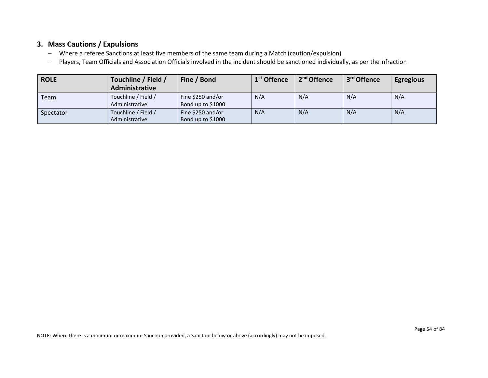### **3. Mass Cautions / Expulsions**

- − Where a referee Sanctions at least five members of the same team during a Match (caution/expulsion)
- − Players, Team Officials and Association Officials involved in the incident should be sanctioned individually, as per theinfraction

| <b>ROLE</b> | Touchline / Field /<br>Administrative | Fine / Bond       | 1 <sup>st</sup> Offence | 2 <sup>nd</sup> Offence | 3 <sup>rd</sup> Offence | <b>Egregious</b> |
|-------------|---------------------------------------|-------------------|-------------------------|-------------------------|-------------------------|------------------|
| Team        | Touchline / Field /                   | Fine \$250 and/or | N/A                     | N/A                     | N/A                     | N/A              |
|             | Administrative                        | Bond up to \$1000 |                         |                         |                         |                  |
| Spectator   | Touchline / Field /                   | Fine \$250 and/or | N/A                     | N/A                     | N/A                     | N/A              |
|             | Administrative                        | Bond up to \$1000 |                         |                         |                         |                  |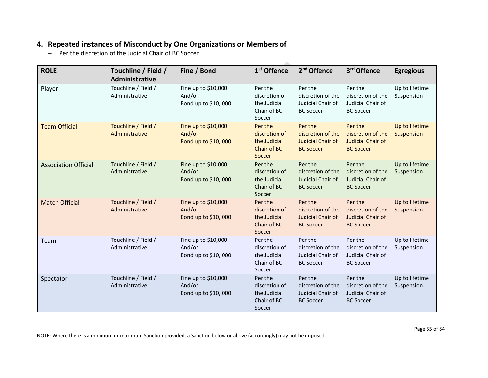## **4. Repeated instances of Misconduct by One Organizations or Members of**

− Per the discretion of the Judicial Chair of BC Soccer

| <b>ROLE</b>                 | Touchline / Field /<br>Administrative | Fine / Bond                                          | 1 <sup>st</sup> Offence                                           | 2 <sup>nd</sup> Offence                                                      | 3rd Offence                                                                  | <b>Egregious</b>             |
|-----------------------------|---------------------------------------|------------------------------------------------------|-------------------------------------------------------------------|------------------------------------------------------------------------------|------------------------------------------------------------------------------|------------------------------|
| Player                      | Touchline / Field /<br>Administrative | Fine up to \$10,000<br>And/or<br>Bond up to \$10,000 | Per the<br>discretion of<br>the Judicial<br>Chair of BC<br>Soccer | Per the<br>discretion of the<br>Judicial Chair of<br><b>BC Soccer</b>        | Per the<br>discretion of the<br>Judicial Chair of<br><b>BC Soccer</b>        | Up to lifetime<br>Suspension |
| <b>Team Official</b>        | Touchline / Field /<br>Administrative | Fine up to \$10,000<br>And/or<br>Bond up to \$10,000 | Per the<br>discretion of<br>the Judicial<br>Chair of BC<br>Soccer | Per the<br>discretion of the<br><b>Judicial Chair of</b><br><b>BC Soccer</b> | Per the<br>discretion of the<br><b>Judicial Chair of</b><br><b>BC Soccer</b> | Up to lifetime<br>Suspension |
| <b>Association Official</b> | Touchline / Field /<br>Administrative | Fine up to \$10,000<br>And/or<br>Bond up to \$10,000 | Per the<br>discretion of<br>the Judicial<br>Chair of BC<br>Soccer | Per the<br>discretion of the<br>Judicial Chair of<br><b>BC Soccer</b>        | Per the<br>discretion of the<br>Judicial Chair of<br><b>BC Soccer</b>        | Up to lifetime<br>Suspension |
| <b>Match Official</b>       | Touchline / Field /<br>Administrative | Fine up to \$10,000<br>And/or<br>Bond up to \$10,000 | Per the<br>discretion of<br>the Judicial<br>Chair of BC<br>Soccer | Per the<br>discretion of the<br><b>Judicial Chair of</b><br><b>BC Soccer</b> | Per the<br>discretion of the<br>Judicial Chair of<br><b>BC Soccer</b>        | Up to lifetime<br>Suspension |
| Team                        | Touchline / Field /<br>Administrative | Fine up to \$10,000<br>And/or<br>Bond up to \$10,000 | Per the<br>discretion of<br>the Judicial<br>Chair of BC<br>Soccer | Per the<br>discretion of the<br>Judicial Chair of<br><b>BC Soccer</b>        | Per the<br>discretion of the<br>Judicial Chair of<br><b>BC Soccer</b>        | Up to lifetime<br>Suspension |
| Spectator                   | Touchline / Field /<br>Administrative | Fine up to \$10,000<br>And/or<br>Bond up to \$10,000 | Per the<br>discretion of<br>the Judicial<br>Chair of BC<br>Soccer | Per the<br>discretion of the<br>Judicial Chair of<br><b>BC Soccer</b>        | Per the<br>discretion of the<br>Judicial Chair of<br><b>BC Soccer</b>        | Up to lifetime<br>Suspension |

Ā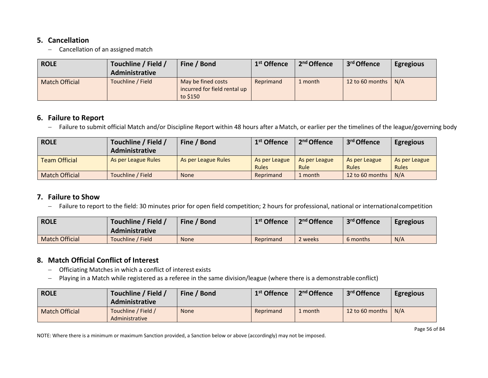### **5. Cancellation**

− Cancellation of an assigned match

| <b>ROLE</b>           | Touchline / Field /<br>Administrative | Fine / Bond                                                    | 1 <sup>st</sup> Offence | 2 <sup>nd</sup> Offence | 3 <sup>rd</sup> Offence | <b>Egregious</b> |
|-----------------------|---------------------------------------|----------------------------------------------------------------|-------------------------|-------------------------|-------------------------|------------------|
| <b>Match Official</b> | Touchline / Field                     | May be fined costs<br>incurred for field rental up<br>to \$150 | Reprimand               | 1 month                 | 12 to 60 months         | N/A              |

## **6. Failure to Report**

− Failure to submit official Match and/or Discipline Report within 48 hours after a Match, or earlier per the timelines of the league/governing body

| <b>ROLE</b>           | Touchline / Field /<br>Administrative | Fine / Bond         | 1 <sup>st</sup> Offence       | 2 <sup>nd</sup> Offence      | 3 <sup>rd</sup> Offence       | <b>Egregious</b>       |
|-----------------------|---------------------------------------|---------------------|-------------------------------|------------------------------|-------------------------------|------------------------|
| <b>Team Official</b>  | As per League Rules                   | As per League Rules | As per League<br><b>Rules</b> | As per League<br><b>Rule</b> | As per League<br><b>Rules</b> | As per League<br>Rules |
| <b>Match Official</b> | Touchline / Field                     | <b>None</b>         | Reprimand                     | 1 month                      | 12 to 60 months               | N/A                    |

## **7. Failure to Show**

− Failure to report to the field: 30 minutes prior for open field competition; 2 hours for professional, national or internationalcompetition

| <b>ROLE</b>           | Touchline / Field<br><b>Administrative</b> | Fine / Bond | 1 <sup>st</sup> Offence | 2 <sup>nd</sup> Offence | 3 <sup>rd</sup> Offence | <b>Egregious</b> |
|-----------------------|--------------------------------------------|-------------|-------------------------|-------------------------|-------------------------|------------------|
| <b>Match Official</b> | Touchline / Field                          | <b>None</b> | Reprimand               | 2 weeks                 | 6 months                | N/A              |

## **8. Match Official Conflict of Interest**

- − Officiating Matches in which a conflict of interest exists
- − Playing in a Match while registered as a referee in the same division/league (where there is a demonstrable conflict)

| <b>ROLE</b>           | Touchline / Field /<br><b>Administrative</b> | Fine / Bond | 1 <sup>st</sup> Offence | 2 <sup>nd</sup> Offence | 3 <sup>rd</sup> Offence | <b>Egregious</b> |
|-----------------------|----------------------------------------------|-------------|-------------------------|-------------------------|-------------------------|------------------|
| <b>Match Official</b> | Touchline / Field /<br><b>Administrative</b> | <b>None</b> | Reprimand               | 1 month                 | 12 to 60 months $\vert$ | N/A              |

NOTE: Where there is a minimum or maximum Sanction provided, a Sanction below or above (accordingly) may not be imposed.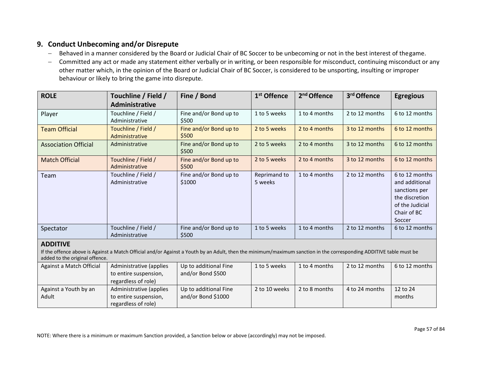### **9. Conduct Unbecoming and/or Disrepute**

Adult

- − Behaved in a manner considered by the Board or Judicial Chair of BC Soccer to be unbecoming or not in the best interest of thegame.
- − Committed any act or made any statement either verbally or in writing, or been responsible for misconduct, continuing misconduct or any other matter which, in the opinion of the Board or Judicial Chair of BC Soccer, is considered to be unsporting, insulting or improper behaviour or likely to bring the game into disrepute.

| <b>ROLE</b>                                                                                                                                                                                                             | Touchline / Field /<br>Administrative                                   | Fine / Bond                                | 1 <sup>st</sup> Offence | 2 <sup>nd</sup> Offence | 3rd Offence    | <b>Egregious</b>                                                                                                |  |  |
|-------------------------------------------------------------------------------------------------------------------------------------------------------------------------------------------------------------------------|-------------------------------------------------------------------------|--------------------------------------------|-------------------------|-------------------------|----------------|-----------------------------------------------------------------------------------------------------------------|--|--|
| Player                                                                                                                                                                                                                  | Touchline / Field /<br>Administrative                                   | Fine and/or Bond up to<br>\$500            | 1 to 5 weeks            | 1 to 4 months           | 2 to 12 months | 6 to 12 months                                                                                                  |  |  |
| <b>Team Official</b>                                                                                                                                                                                                    | Touchline / Field /<br>Administrative                                   | Fine and/or Bond up to<br>\$500            | 2 to 5 weeks            | 2 to 4 months           | 3 to 12 months | 6 to 12 months                                                                                                  |  |  |
| <b>Association Official</b>                                                                                                                                                                                             | Administrative                                                          | Fine and/or Bond up to<br>\$500            | 2 to 5 weeks            | 2 to 4 months           | 3 to 12 months | 6 to 12 months                                                                                                  |  |  |
| <b>Match Official</b>                                                                                                                                                                                                   | Touchline / Field /<br>Administrative                                   | Fine and/or Bond up to<br>\$500            | 2 to 5 weeks            | 2 to 4 months           | 3 to 12 months | 6 to 12 months                                                                                                  |  |  |
| Team                                                                                                                                                                                                                    | Touchline / Field /<br>Administrative                                   | Fine and/or Bond up to<br>\$1000           | Reprimand to<br>5 weeks | 1 to 4 months           | 2 to 12 months | 6 to 12 months<br>and additional<br>sanctions per<br>the discretion<br>of the Judicial<br>Chair of BC<br>Soccer |  |  |
| Spectator                                                                                                                                                                                                               | Touchline / Field /<br>Administrative                                   | Fine and/or Bond up to<br>\$500            | 1 to 5 weeks            | 1 to 4 months           | 2 to 12 months | 6 to 12 months                                                                                                  |  |  |
| <b>ADDITIVE</b><br>If the offence above is Against a Match Official and/or Against a Youth by an Adult, then the minimum/maximum sanction in the corresponding ADDITIVE table must be<br>added to the original offence. |                                                                         |                                            |                         |                         |                |                                                                                                                 |  |  |
| Against a Match Official                                                                                                                                                                                                | Administrative (applies<br>to entire suspension,<br>regardless of role) | Up to additional Fine<br>and/or Bond \$500 | 1 to 5 weeks            | 1 to 4 months           | 2 to 12 months | 6 to 12 months                                                                                                  |  |  |
| Against a Youth by an                                                                                                                                                                                                   | Administrative (applies                                                 | Up to additional Fine                      | 2 to 10 weeks           | 2 to 8 months           | 4 to 24 months | 12 to 24                                                                                                        |  |  |

and/or Bond \$1000

to entire suspension, regardless of role)

months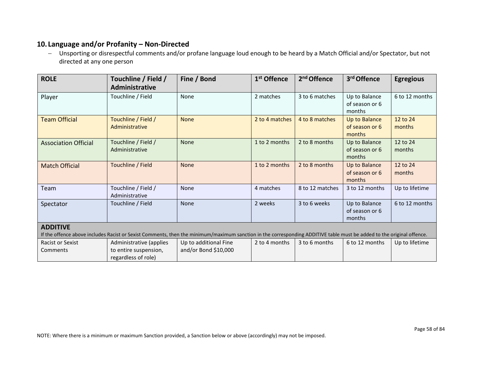### **10. Language and/or Profanity – Non-Directed**

− Unsporting or disrespectful comments and/or profane language loud enough to be heard by a Match Official and/or Spectator, but not directed at any one person

| <b>ROLE</b>                 | Touchline / Field /<br><b>Administrative</b> | Fine / Bond                                                                                                                                                           | 1 <sup>st</sup> Offence | 2 <sup>nd</sup> Offence | 3rd Offence                               | <b>Egregious</b>   |
|-----------------------------|----------------------------------------------|-----------------------------------------------------------------------------------------------------------------------------------------------------------------------|-------------------------|-------------------------|-------------------------------------------|--------------------|
| Player                      | Touchline / Field                            | <b>None</b>                                                                                                                                                           | 2 matches               | 3 to 6 matches          | Up to Balance<br>of season or 6<br>months | 6 to 12 months     |
| <b>Team Official</b>        | Touchline / Field /<br>Administrative        | <b>None</b>                                                                                                                                                           | 2 to 4 matches          | 4 to 8 matches          | Up to Balance<br>of season or 6<br>months | 12 to 24<br>months |
| <b>Association Official</b> | Touchline / Field /<br>Administrative        | <b>None</b>                                                                                                                                                           | 1 to 2 months           | 2 to 8 months           | Up to Balance<br>of season or 6<br>months | 12 to 24<br>months |
| <b>Match Official</b>       | Touchline / Field                            | <b>None</b>                                                                                                                                                           | 1 to 2 months           | 2 to 8 months           | Up to Balance<br>of season or 6<br>months | 12 to 24<br>months |
| Team                        | Touchline / Field /<br>Administrative        | None                                                                                                                                                                  | 4 matches               | 8 to 12 matches         | 3 to 12 months                            | Up to lifetime     |
| Spectator                   | Touchline / Field                            | None                                                                                                                                                                  | 2 weeks                 | 3 to 6 weeks            | Up to Balance<br>of season or 6<br>months | 6 to 12 months     |
| <b>ADDITIVE</b>             |                                              |                                                                                                                                                                       |                         |                         |                                           |                    |
|                             |                                              | If the offence above includes Racist or Sexist Comments, then the minimum/maximum sanction in the corresponding ADDITIVE table must be added to the original offence. |                         |                         |                                           |                    |
| <b>Racist or Sexist</b>     | Administrative (applies                      | Up to additional Fine                                                                                                                                                 | 2 to 4 months           | 3 to 6 months           | 6 to 12 months                            | Up to lifetime     |
| Comments                    | to entire suspension,<br>regardless of role) | and/or Bond \$10,000                                                                                                                                                  |                         |                         |                                           |                    |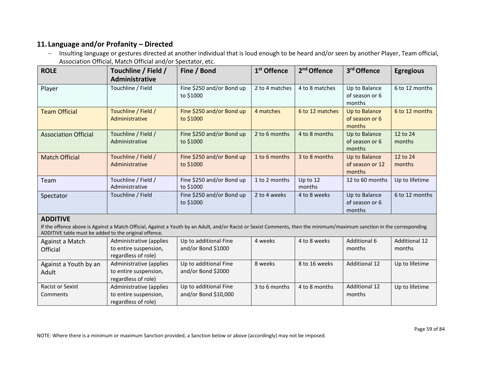## **11. Language and/or Profanity – Directed**

Against a Youth by an

Adult

Racist or Sexist Comments

− Insulting language or gestures directed at another individual that is loud enough to be heard and/or seen by another Player, Team official, Association Official, Match Official and/or Spectator, etc.

| <b>ROLE</b>                                                                                                                                                                                                                      | Touchline / Field /<br>Administrative                                   | Fine / Bond                                 | 1 <sup>st</sup> Offence | 2 <sup>nd</sup> Offence | 3 <sup>rd</sup> Offence                    | <b>Egregious</b>               |  |  |
|----------------------------------------------------------------------------------------------------------------------------------------------------------------------------------------------------------------------------------|-------------------------------------------------------------------------|---------------------------------------------|-------------------------|-------------------------|--------------------------------------------|--------------------------------|--|--|
| Player                                                                                                                                                                                                                           | Touchline / Field                                                       | Fine \$250 and/or Bond up<br>to \$1000      | 2 to 4 matches          | 4 to 8 matches          | Up to Balance<br>of season or 6<br>months  | 6 to 12 months                 |  |  |
| <b>Team Official</b>                                                                                                                                                                                                             | Touchline / Field /<br>Administrative                                   | Fine \$250 and/or Bond up<br>to \$1000      | 4 matches               | 6 to 12 matches         | Up to Balance<br>of season or 6<br>months  | 6 to 12 months                 |  |  |
| <b>Association Official</b>                                                                                                                                                                                                      | Touchline / Field /<br>Administrative                                   | Fine \$250 and/or Bond up<br>to \$1000      | 2 to 6 months           | 4 to 8 months           | Up to Balance<br>of season or 6<br>months  | 12 to 24<br>months             |  |  |
| <b>Match Official</b>                                                                                                                                                                                                            | Touchline / Field /<br>Administrative                                   | Fine \$250 and/or Bond up<br>to \$1000      | 1 to 6 months           | 3 to 8 months           | Up to Balance<br>of season or 12<br>months | 12 to 24<br>months             |  |  |
| Team                                                                                                                                                                                                                             | Touchline / Field /<br>Administrative                                   | Fine \$250 and/or Bond up<br>to \$1000      | 1 to 2 months           | Up to 12<br>months      | 12 to 60 months                            | Up to lifetime                 |  |  |
| Spectator                                                                                                                                                                                                                        | Touchline / Field                                                       | Fine \$250 and/or Bond up<br>to \$1000      | 2 to 4 weeks            | 4 to 8 weeks            | Up to Balance<br>of season or 6<br>months  | 6 to 12 months                 |  |  |
| <b>ADDITIVE</b>                                                                                                                                                                                                                  |                                                                         |                                             |                         |                         |                                            |                                |  |  |
| If the offence above is Against a Match Official, Against a Youth by an Adult, and/or Racist or Sexist Comments, then the minimum/maximum sanction in the corresponding<br>ADDITIVE table must be added to the original offence. |                                                                         |                                             |                         |                         |                                            |                                |  |  |
| Against a Match<br>Official                                                                                                                                                                                                      | Administrative (applies<br>to entire suspension,<br>regardless of role) | Up to additional Fine<br>and/or Bond \$1000 | 4 weeks                 | 4 to 8 weeks            | Additional 6<br>months                     | <b>Additional 12</b><br>months |  |  |

NOTE: Where there is a minimum or maximum Sanction provided, a Sanction below or above (accordingly) may not be imposed.

Up to additional Fine and/or Bond \$2000

Up to additional Fine and/or Bond \$10,000

Administrative (applies to entire suspension, regardless of role)

Administrative (applies to entire suspension, regardless of role)

Up to lifetime

8 weeks 8 to 16 weeks Additional 12 Up to lifetime

months

 $3$  to 6 months  $\vert$  4 to 8 months  $\vert$  Additional 12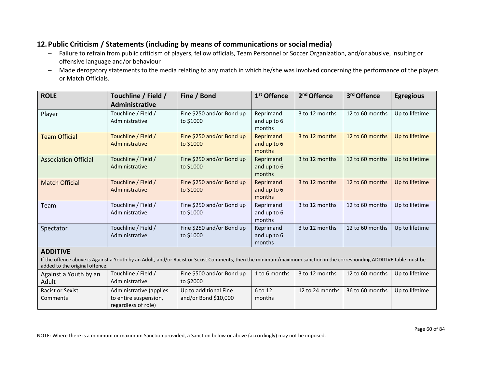## **12.Public Criticism / Statements (including by means of communications or social media)**

- − Failure to refrain from public criticism of players, fellow officials, Team Personnel or Soccer Organization, and/or abusive, insulting or offensive language and/or behaviour
- − Made derogatory statements to the media relating to any match in which he/she was involved concerning the performance of the players or Match Officials.

| <b>ROLE</b>                                                                                                                                                                                            | Touchline / Field /     | Fine / Bond               | 1 <sup>st</sup> Offence | 2 <sup>nd</sup> Offence | 3rd Offence     | <b>Egregious</b> |  |  |
|--------------------------------------------------------------------------------------------------------------------------------------------------------------------------------------------------------|-------------------------|---------------------------|-------------------------|-------------------------|-----------------|------------------|--|--|
|                                                                                                                                                                                                        | Administrative          |                           |                         |                         |                 |                  |  |  |
| Player                                                                                                                                                                                                 | Touchline / Field /     | Fine \$250 and/or Bond up | Reprimand               | 3 to 12 months          | 12 to 60 months | Up to lifetime   |  |  |
|                                                                                                                                                                                                        | Administrative          | to \$1000                 | and up to 6<br>months   |                         |                 |                  |  |  |
| <b>Team Official</b>                                                                                                                                                                                   | Touchline / Field /     | Fine \$250 and/or Bond up | Reprimand               | 3 to 12 months          | 12 to 60 months | Up to lifetime   |  |  |
|                                                                                                                                                                                                        | Administrative          | to \$1000                 | and up to 6<br>months   |                         |                 |                  |  |  |
| <b>Association Official</b>                                                                                                                                                                            | Touchline / Field /     | Fine \$250 and/or Bond up | Reprimand               | 3 to 12 months          | 12 to 60 months | Up to lifetime   |  |  |
|                                                                                                                                                                                                        | Administrative          | to \$1000                 | and up to 6<br>months   |                         |                 |                  |  |  |
| <b>Match Official</b>                                                                                                                                                                                  | Touchline / Field /     | Fine \$250 and/or Bond up | Reprimand               | 3 to 12 months          | 12 to 60 months | Up to lifetime   |  |  |
|                                                                                                                                                                                                        | Administrative          | to \$1000                 | and up to 6<br>months   |                         |                 |                  |  |  |
| Team                                                                                                                                                                                                   | Touchline / Field /     | Fine \$250 and/or Bond up | Reprimand               | 3 to 12 months          | 12 to 60 months | Up to lifetime   |  |  |
|                                                                                                                                                                                                        | Administrative          | to \$1000                 | and up to 6<br>months   |                         |                 |                  |  |  |
| Spectator                                                                                                                                                                                              | Touchline / Field /     | Fine \$250 and/or Bond up | Reprimand               | 3 to 12 months          | 12 to 60 months | Up to lifetime   |  |  |
|                                                                                                                                                                                                        | Administrative          | to \$1000                 | and up to 6<br>months   |                         |                 |                  |  |  |
| <b>ADDITIVE</b>                                                                                                                                                                                        |                         |                           |                         |                         |                 |                  |  |  |
| If the offence above is Against a Youth by an Adult, and/or Racist or Sexist Comments, then the minimum/maximum sanction in the corresponding ADDITIVE table must be<br>added to the original offence. |                         |                           |                         |                         |                 |                  |  |  |
| Against a Youth by an                                                                                                                                                                                  | Touchline / Field /     | Fine \$500 and/or Bond up | 1 to 6 months           | 3 to 12 months          | 12 to 60 months | Up to lifetime   |  |  |
| Adult                                                                                                                                                                                                  | Administrative          | to \$2000                 |                         |                         |                 |                  |  |  |
| <b>Racist or Sexist</b>                                                                                                                                                                                | Administrative (applies | Up to additional Fine     | 6 to 12                 | 12 to 24 months         | 36 to 60 months | Up to lifetime   |  |  |

months

NOTE: Where there is a minimum or maximum Sanction provided, a Sanction below or above (accordingly) may not be imposed.

and/or Bond \$10,000

to entire suspension, regardless of role)

Comments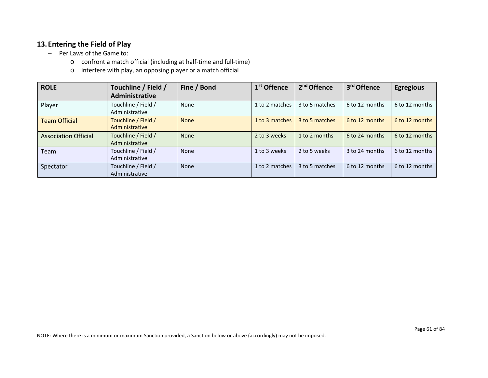### **13. Entering the Field of Play**

- − Per Laws of the Game to:
	- o confront a match official (including at half-time and full-time)
	- o interfere with play, an opposing player or a match official

| <b>ROLE</b>                 | Touchline / Field /<br>Administrative | Fine / Bond | 1 <sup>st</sup> Offence | 2 <sup>nd</sup> Offence | 3rd Offence    | <b>Egregious</b> |
|-----------------------------|---------------------------------------|-------------|-------------------------|-------------------------|----------------|------------------|
| Player                      | Touchline / Field /<br>Administrative | None        | 1 to 2 matches          | 3 to 5 matches          | 6 to 12 months | 6 to 12 months   |
| <b>Team Official</b>        | Touchline / Field /<br>Administrative | <b>None</b> | 1 to 3 matches          | 3 to 5 matches          | 6 to 12 months | 6 to 12 months   |
| <b>Association Official</b> | Touchline / Field /<br>Administrative | <b>None</b> | 2 to 3 weeks            | 1 to 2 months           | 6 to 24 months | 6 to 12 months   |
| Team                        | Touchline / Field /<br>Administrative | None        | 1 to 3 weeks            | 2 to 5 weeks            | 3 to 24 months | 6 to 12 months   |
| Spectator                   | Touchline / Field /<br>Administrative | None        | 1 to 2 matches          | 3 to 5 matches          | 6 to 12 months | 6 to 12 months   |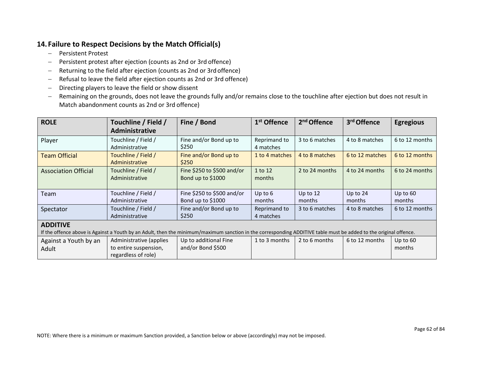## **14. Failure to Respect Decisions by the Match Official(s)**

- − Persistent Protest
- − Persistent protest after ejection (counts as 2nd or 3rd offence)
- − Returning to the field after ejection (counts as 2nd or 3rdoffence)
- − Refusal to leave the field after ejection counts as 2nd or 3rd offence)
- − Directing players to leave the field or show dissent
- − Remaining on the grounds, does not leave the grounds fully and/or remains close to the touchline after ejection but does not result in Match abandonment counts as 2nd or 3rd offence)

| <b>ROLE</b>                                                                                                                                                                          | Touchline / Field /<br><b>Administrative</b>                            | Fine / Bond                                     | 1 <sup>st</sup> Offence   | 2 <sup>nd</sup> Offence | 3rd Offence          | <b>Egregious</b>     |  |  |
|--------------------------------------------------------------------------------------------------------------------------------------------------------------------------------------|-------------------------------------------------------------------------|-------------------------------------------------|---------------------------|-------------------------|----------------------|----------------------|--|--|
| Player                                                                                                                                                                               | Touchline / Field /<br>Administrative                                   | Fine and/or Bond up to<br>\$250                 | Reprimand to<br>4 matches | 3 to 6 matches          | 4 to 8 matches       | 6 to 12 months       |  |  |
| <b>Team Official</b>                                                                                                                                                                 | Touchline / Field /<br>Administrative                                   | Fine and/or Bond up to<br>\$250                 | 1 to 4 matches            | 4 to 8 matches          | 6 to 12 matches      | 6 to 12 months       |  |  |
| <b>Association Official</b>                                                                                                                                                          | Touchline / Field /<br>Administrative                                   | Fine \$250 to \$500 and/or<br>Bond up to \$1000 | 1 to 12<br>months         | 2 to 24 months          | 4 to 24 months       | 6 to 24 months       |  |  |
| Team                                                                                                                                                                                 | Touchline / Field /<br>Administrative                                   | Fine \$250 to \$500 and/or<br>Bond up to \$1000 | Up to 6<br>months         | Up to $12$<br>months    | Up to $24$<br>months | Up to $60$<br>months |  |  |
| Spectator                                                                                                                                                                            | Touchline / Field /<br>Administrative                                   | Fine and/or Bond up to<br>\$250                 | Reprimand to<br>4 matches | 3 to 6 matches          | 4 to 8 matches       | 6 to 12 months       |  |  |
| <b>ADDITIVE</b><br>If the offence above is Against a Youth by an Adult, then the minimum/maximum sanction in the corresponding ADDITIVE table must be added to the original offence. |                                                                         |                                                 |                           |                         |                      |                      |  |  |
| Against a Youth by an<br>Adult                                                                                                                                                       | Administrative (applies<br>to entire suspension,<br>regardless of role) | Up to additional Fine<br>and/or Bond \$500      | 1 to 3 months             | 2 to 6 months           | 6 to 12 months       | Up to $60$<br>months |  |  |

NOTE: Where there is a minimum or maximum Sanction provided, a Sanction below or above (accordingly) may not be imposed.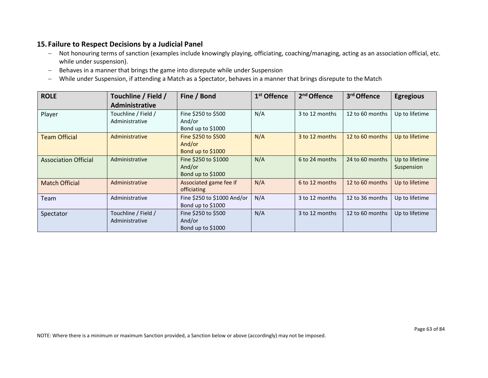### **15. Failure to Respect Decisions by a Judicial Panel**

- − Not honouring terms of sanction (examples include knowingly playing, officiating, coaching/managing, acting as an association official, etc. while under suspension).
- − Behaves in a manner that brings the game into disrepute while under Suspension
- − While under Suspension, if attending a Match as a Spectator, behaves in a manner that brings disrepute to the Match

| <b>ROLE</b>                 | Touchline / Field /<br>Administrative | Fine / Bond                                         | 1 <sup>st</sup> Offence | 2 <sup>nd</sup> Offence | 3rd Offence     | <b>Egregious</b>             |
|-----------------------------|---------------------------------------|-----------------------------------------------------|-------------------------|-------------------------|-----------------|------------------------------|
| Player                      | Touchline / Field /<br>Administrative | Fine \$250 to \$500<br>And/or<br>Bond up to \$1000  | N/A                     | 3 to 12 months          | 12 to 60 months | Up to lifetime               |
| <b>Team Official</b>        | Administrative                        | Fine \$250 to \$500<br>And/or<br>Bond up to \$1000  | N/A                     | 3 to 12 months          | 12 to 60 months | Up to lifetime               |
| <b>Association Official</b> | Administrative                        | Fine \$250 to \$1000<br>And/or<br>Bond up to \$1000 | N/A                     | 6 to 24 months          | 24 to 60 months | Up to lifetime<br>Suspension |
| <b>Match Official</b>       | Administrative                        | Associated game fee if<br>officiating               | N/A                     | 6 to 12 months          | 12 to 60 months | Up to lifetime               |
| Team                        | Administrative                        | Fine \$250 to \$1000 And/or<br>Bond up to \$1000    | N/A                     | 3 to 12 months          | 12 to 36 months | Up to lifetime               |
| Spectator                   | Touchline / Field /<br>Administrative | Fine \$250 to \$500<br>And/or<br>Bond up to \$1000  | N/A                     | 3 to 12 months          | 12 to 60 months | Up to lifetime               |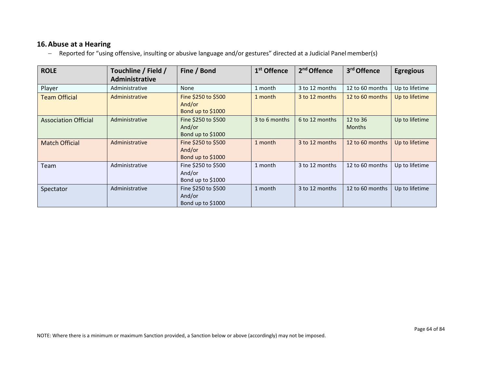### **16.Abuse at a Hearing**

− Reported for "using offensive, insulting or abusive language and/or gestures" directed at a Judicial Panelmember(s)

| <b>ROLE</b>                 | Touchline / Field /<br><b>Administrative</b> | Fine / Bond                                        | 1 <sup>st</sup> Offence | 2 <sup>nd</sup> Offence | 3rd Offence               | <b>Egregious</b> |
|-----------------------------|----------------------------------------------|----------------------------------------------------|-------------------------|-------------------------|---------------------------|------------------|
| Player                      | Administrative                               | None                                               | 1 month                 | 3 to 12 months          | 12 to 60 months           | Up to lifetime   |
| <b>Team Official</b>        | Administrative                               | Fine \$250 to \$500<br>And/or<br>Bond up to \$1000 | 1 month                 | 3 to 12 months          | 12 to 60 months           | Up to lifetime   |
| <b>Association Official</b> | Administrative                               | Fine \$250 to \$500<br>And/or<br>Bond up to \$1000 | 3 to 6 months           | 6 to 12 months          | 12 to 36<br><b>Months</b> | Up to lifetime   |
| <b>Match Official</b>       | Administrative                               | Fine \$250 to \$500<br>And/or<br>Bond up to \$1000 | 1 month                 | 3 to 12 months          | 12 to 60 months           | Up to lifetime   |
| Team                        | Administrative                               | Fine \$250 to \$500<br>And/or<br>Bond up to \$1000 | 1 month                 | 3 to 12 months          | 12 to 60 months           | Up to lifetime   |
| Spectator                   | Administrative                               | Fine \$250 to \$500<br>And/or<br>Bond up to \$1000 | 1 month                 | 3 to 12 months          | 12 to 60 months           | Up to lifetime   |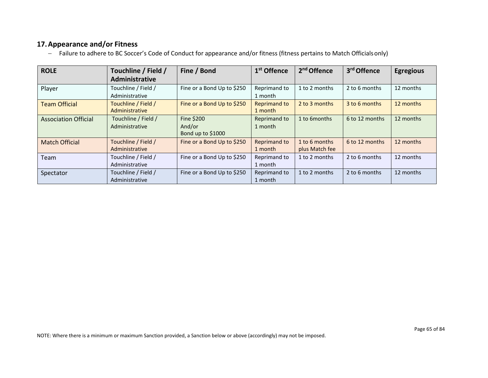## **17.Appearance and/or Fitness**

− Failure to adhere to BC Soccer's Code of Conduct for appearance and/or fitness (fitness pertains to Match Officialsonly)

| <b>ROLE</b>                 | Touchline / Field /<br>Administrative | Fine / Bond                               | 1 <sup>st</sup> Offence        | 2 <sup>nd</sup> Offence         | 3rd Offence    | <b>Egregious</b> |
|-----------------------------|---------------------------------------|-------------------------------------------|--------------------------------|---------------------------------|----------------|------------------|
| Player                      | Touchline / Field /<br>Administrative | Fine or a Bond Up to \$250                | Reprimand to<br>1 month        | 1 to 2 months                   | 2 to 6 months  | 12 months        |
| <b>Team Official</b>        | Touchline / Field /<br>Administrative | Fine or a Bond Up to \$250                | <b>Reprimand to</b><br>1 month | 2 to 3 months                   | 3 to 6 months  | 12 months        |
| <b>Association Official</b> | Touchline / Field /<br>Administrative | Fine \$200<br>And/or<br>Bond up to \$1000 | Reprimand to<br>1 month        | 1 to 6 months                   | 6 to 12 months | 12 months        |
| <b>Match Official</b>       | Touchline / Field /<br>Administrative | Fine or a Bond Up to \$250                | <b>Reprimand to</b><br>1 month | 1 to 6 months<br>plus Match fee | 6 to 12 months | 12 months        |
| Team                        | Touchline / Field /<br>Administrative | Fine or a Bond Up to \$250                | Reprimand to<br>1 month        | 1 to 2 months                   | 2 to 6 months  | 12 months        |
| Spectator                   | Touchline / Field /<br>Administrative | Fine or a Bond Up to \$250                | Reprimand to<br>1 month        | 1 to 2 months                   | 2 to 6 months  | 12 months        |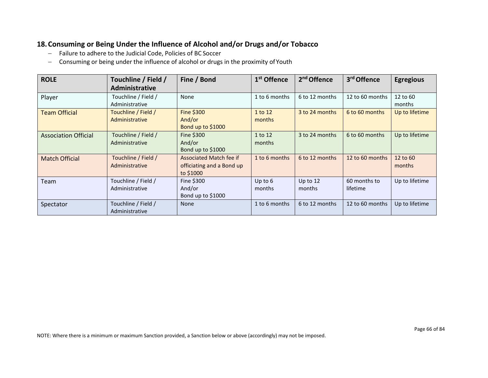## **18.Consuming or Being Under the Influence of Alcohol and/or Drugs and/or Tobacco**

- − Failure to adhere to the Judicial Code, Policies of BC Soccer
- − Consuming or being under the influence of alcohol or drugs in the proximity ofYouth

| <b>ROLE</b>                 | Touchline / Field /<br>Administrative | Fine / Bond                                                       | 1 <sup>st</sup> Offence | 2 <sup>nd</sup> Offence | 3 <sup>rd</sup> Offence  | <b>Egregious</b>   |
|-----------------------------|---------------------------------------|-------------------------------------------------------------------|-------------------------|-------------------------|--------------------------|--------------------|
| Player                      | Touchline / Field /<br>Administrative | None                                                              | 1 to 6 months           | 6 to 12 months          | 12 to 60 months          | 12 to 60<br>months |
| <b>Team Official</b>        | Touchline / Field /<br>Administrative | Fine \$300<br>And/or<br>Bond up to \$1000                         | 1 to 12<br>months       | 3 to 24 months          | 6 to 60 months           | Up to lifetime     |
| <b>Association Official</b> | Touchline / Field /<br>Administrative | Fine \$300<br>And/or<br>Bond up to \$1000                         | 1 to 12<br>months       | 3 to 24 months          | 6 to 60 months           | Up to lifetime     |
| <b>Match Official</b>       | Touchline / Field /<br>Administrative | Associated Match fee if<br>officiating and a Bond up<br>to \$1000 | 1 to 6 months           | 6 to 12 months          | 12 to 60 months          | 12 to 60<br>months |
| Team                        | Touchline / Field /<br>Administrative | Fine \$300<br>And/or<br>Bond up to \$1000                         | Up to $6$<br>months     | Up to $12$<br>months    | 60 months to<br>lifetime | Up to lifetime     |
| Spectator                   | Touchline / Field /<br>Administrative | None                                                              | 1 to 6 months           | 6 to 12 months          | 12 to 60 months          | Up to lifetime     |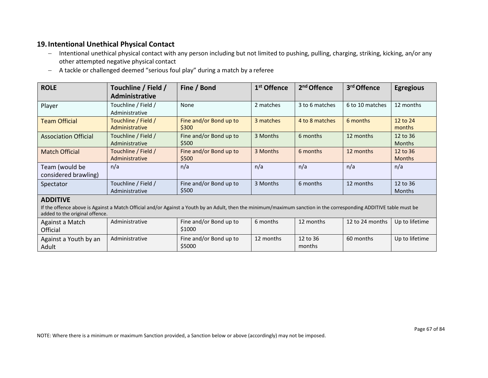### **19.Intentional Unethical Physical Contact**

- − Intentional unethical physical contact with any person including but not limited to pushing, pulling, charging, striking, kicking, an/or any other attempted negative physical contact
- − A tackle or challenged deemed "serious foul play" during a match by a referee

| <b>ROLE</b>                            | Touchline / Field /<br>Administrative                                                                                                                              | Fine / Bond                     | 1 <sup>st</sup> Offence | 2 <sup>nd</sup> Offence | 3rd Offence     | <b>Egregious</b>          |  |  |  |
|----------------------------------------|--------------------------------------------------------------------------------------------------------------------------------------------------------------------|---------------------------------|-------------------------|-------------------------|-----------------|---------------------------|--|--|--|
| Player                                 | Touchline / Field /<br>Administrative                                                                                                                              | None                            | 2 matches               | 3 to 6 matches          | 6 to 10 matches | 12 months                 |  |  |  |
| <b>Team Official</b>                   | Touchline / Field /<br>Administrative                                                                                                                              | Fine and/or Bond up to<br>\$300 | 3 matches               | 4 to 8 matches          | 6 months        | 12 to 24<br>months        |  |  |  |
| <b>Association Official</b>            | Touchline / Field /<br>Administrative                                                                                                                              | Fine and/or Bond up to<br>\$500 | 3 Months                | 6 months                | 12 months       | 12 to 36<br><b>Months</b> |  |  |  |
| <b>Match Official</b>                  | Touchline / Field /<br>Administrative                                                                                                                              | Fine and/or Bond up to<br>\$500 | 3 Months                | 6 months                | 12 months       | 12 to 36<br><b>Months</b> |  |  |  |
| Team (would be<br>considered brawling) | n/a                                                                                                                                                                | n/a                             | n/a                     | n/a                     | n/a             | n/a                       |  |  |  |
| Spectator                              | Touchline / Field /<br>Administrative                                                                                                                              | Fine and/or Bond up to<br>\$500 | 3 Months                | 6 months                | 12 months       | 12 to 36<br><b>Months</b> |  |  |  |
| <b>ADDITIVE</b>                        | If the offence above is Against a Match Official and/or Against a Youth by an Adult, then the minimum/maximum sanction in the corresponding ADDITIVE table must be |                                 |                         |                         |                 |                           |  |  |  |

### $\frac{1}{2}$  added to the original offer

| added to the original offence. |                |                                  |           |                    |                 |                |  |  |  |
|--------------------------------|----------------|----------------------------------|-----------|--------------------|-----------------|----------------|--|--|--|
| Against a Match<br>Official    | Administrative | Fine and/or Bond up to<br>\$1000 | 6 months  | 12 months          | 12 to 24 months | Up to lifetime |  |  |  |
| Against a Youth by an<br>Adult | Administrative | Fine and/or Bond up to<br>\$5000 | 12 months | 12 to 36<br>months | 60 months       | Up to lifetime |  |  |  |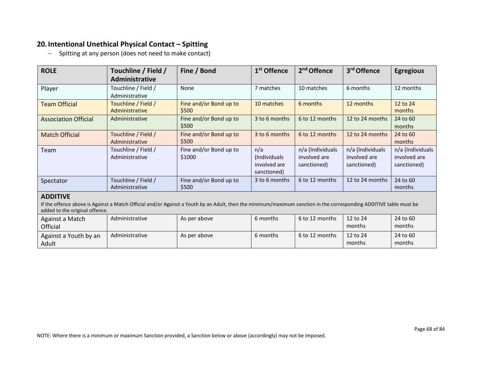### **20.Intentional Unethical Physical Contact – Spitting**

− Spitting at any person (does not need to make contact)

| <b>ROLE</b>                                                                                                                                                                                                             | Touchline / Field /<br><b>Administrative</b> | Fine / Bond                      | 1 <sup>st</sup> Offence                            | 2 <sup>nd</sup> Offence                         | 3rd Offence                                     | <b>Egregious</b>                                |  |  |
|-------------------------------------------------------------------------------------------------------------------------------------------------------------------------------------------------------------------------|----------------------------------------------|----------------------------------|----------------------------------------------------|-------------------------------------------------|-------------------------------------------------|-------------------------------------------------|--|--|
| Player                                                                                                                                                                                                                  | Touchline / Field /<br>Administrative        | None                             | 7 matches                                          | 10 matches                                      | 6 months                                        | 12 months                                       |  |  |
| <b>Team Official</b>                                                                                                                                                                                                    | Touchline / Field /<br>Administrative        | Fine and/or Bond up to<br>\$500  | 10 matches                                         | 6 months                                        | 12 months                                       | 12 to 24<br>months                              |  |  |
| <b>Association Official</b>                                                                                                                                                                                             | Administrative                               | Fine and/or Bond up to<br>\$500  | 3 to 6 months                                      | 6 to 12 months                                  | 12 to 24 months                                 | 24 to 60<br>months                              |  |  |
| <b>Match Official</b>                                                                                                                                                                                                   | Touchline / Field /<br>Administrative        | Fine and/or Bond up to<br>\$500  | 3 to 6 months                                      | 6 to 12 months                                  | 12 to 24 months                                 | 24 to 60<br>months                              |  |  |
| Team                                                                                                                                                                                                                    | Touchline / Field /<br>Administrative        | Fine and/or Bond up to<br>\$1000 | n/a<br>(Individuals<br>involved are<br>sanctioned) | n/a (Individuals<br>involved are<br>sanctioned) | n/a (Individuals<br>involved are<br>sanctioned) | n/a (Individuals<br>involved are<br>sanctioned) |  |  |
| Spectator                                                                                                                                                                                                               | Touchline / Field /<br>Administrative        | Fine and/or Bond up to<br>\$500  | 3 to 6 months                                      | 6 to 12 months                                  | 12 to 24 months                                 | 24 to 60<br>months                              |  |  |
| <b>ADDITIVE</b><br>If the offence above is Against a Match Official and/or Against a Youth by an Adult, then the minimum/maximum sanction in the corresponding ADDITIVE table must be<br>added to the original offence. |                                              |                                  |                                                    |                                                 |                                                 |                                                 |  |  |
| Against a Match<br>Official                                                                                                                                                                                             | Administrative                               | As per above                     | 6 months                                           | 6 to 12 months                                  | 12 to 24<br>months                              | 24 to 60<br>months                              |  |  |
| Against a Youth by an<br>Adult                                                                                                                                                                                          | Administrative                               | As per above                     | 6 months                                           | 6 to 12 months                                  | 12 to 24<br>months                              | 24 to 60<br>months                              |  |  |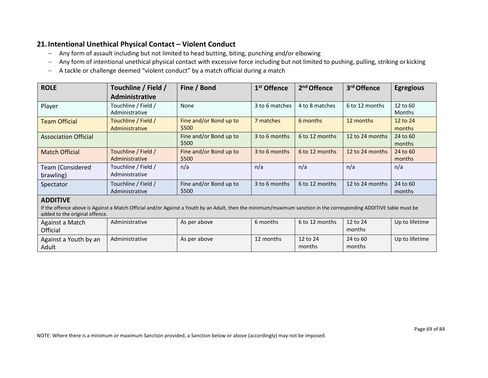### **21.Intentional Unethical Physical Contact – Violent Conduct**

- − Any form of assault including but not limited to head butting, biting, punching and/or elbowing
- − Any form of intentional unethical physical contact with excessive force including but not limited to pushing, pulling, striking or kicking
- − A tackle or challenge deemed "violent conduct" by a match official during a match

| <b>ROLE</b>                   | Touchline / Field /                   | Fine / Bond                     | 1 <sup>st</sup> Offence | 2 <sup>nd</sup> Offence | 3rd Offence     | <b>Egregious</b>          |
|-------------------------------|---------------------------------------|---------------------------------|-------------------------|-------------------------|-----------------|---------------------------|
|                               | <b>Administrative</b>                 |                                 |                         |                         |                 |                           |
| Player                        | Touchline / Field /<br>Administrative | None                            | 3 to 6 matches          | 4 to 8 matches          | 6 to 12 months  | 12 to 60<br><b>Months</b> |
| <b>Team Official</b>          | Touchline / Field /<br>Administrative | Fine and/or Bond up to<br>\$500 | 7 matches               | 6 months                | 12 months       | 12 to 24<br>months        |
| <b>Association Official</b>   |                                       | Fine and/or Bond up to<br>\$500 | 3 to 6 months           | 6 to 12 months          | 12 to 24 months | 24 to 60<br>months        |
| <b>Match Official</b>         | Touchline / Field /<br>Administrative | Fine and/or Bond up to<br>\$500 | 3 to 6 months           | 6 to 12 months          | 12 to 24 months | 24 to 60<br>months        |
| Team (Considered<br>brawling) | Touchline / Field /<br>Administrative | n/a                             | n/a                     | n/a                     | n/a             | n/a                       |
| Spectator                     | Touchline / Field /<br>Administrative | Fine and/or Bond up to<br>\$500 | 3 to 6 months           | 6 to 12 months          | 12 to 24 months | 24 to 60<br>months        |
| <b>ADDITIVE</b>               |                                       |                                 |                         |                         |                 |                           |

#### **ADDITIVE**

If the offence above is Against a Match Official and/or Against a Youth by an Adult, then the minimum/maximum sanction in the corresponding ADDITIVE table must be added to the original offence.

| Against a Match<br>Official    | Administrative | As per above | 6 months  | 6 to 12 months     | 12 to 24<br>months | Up to lifetime |
|--------------------------------|----------------|--------------|-----------|--------------------|--------------------|----------------|
| Against a Youth by an<br>Adult | Administrative | As per above | 12 months | 12 to 24<br>months | 24 to 60<br>months | Up to lifetime |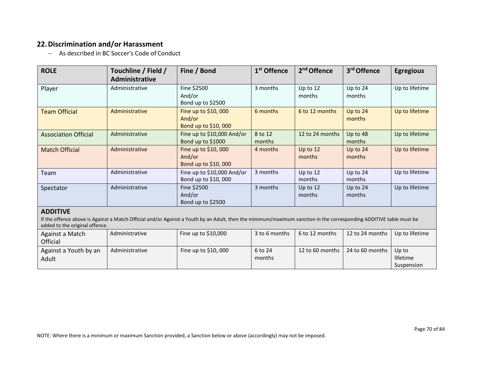## **22.Discrimination and/or Harassment**

− As described in BC Soccer's Code of Conduct

| <b>ROLE</b>                                                                                                                                                                                                            | Touchline / Field /<br><b>Administrative</b> | Fine / Bond                                          | 1 <sup>st</sup> Offence | 2 <sup>nd</sup> Offence | 3rd Offence          | <b>Egregious</b> |
|------------------------------------------------------------------------------------------------------------------------------------------------------------------------------------------------------------------------|----------------------------------------------|------------------------------------------------------|-------------------------|-------------------------|----------------------|------------------|
| Player                                                                                                                                                                                                                 | Administrative                               | Fine \$2500<br>And/or<br>Bond up to \$2500           | 3 months                | Up to $12$<br>months    | Up to $24$<br>months | Up to lifetime   |
| <b>Team Official</b>                                                                                                                                                                                                   | Administrative                               | Fine up to \$10,000<br>And/or<br>Bond up to \$10,000 | 6 months                | 6 to 12 months          | Up to 24<br>months   | Up to lifetime   |
| <b>Association Official</b>                                                                                                                                                                                            | Administrative                               | Fine up to \$10,000 And/or<br>Bond up to \$1000      | 8 to 12<br>months       | 12 to 24 months         | Up to 48<br>months   | Up to lifetime   |
| <b>Match Official</b>                                                                                                                                                                                                  | Administrative                               | Fine up to \$10,000<br>And/or<br>Bond up to \$10,000 | 4 months                | Up to $12$<br>months    | Up to 24<br>months   | Up to lifetime   |
| Team                                                                                                                                                                                                                   | Administrative                               | Fine up to \$10,000 And/or<br>Bond up to \$10,000    | 3 months                | Up to 12<br>months      | Up to 24<br>months   | Up to lifetime   |
| Spectator                                                                                                                                                                                                              | Administrative                               | Fine \$2500<br>And/or<br>Bond up to \$2500           | 3 months                | Up to 12<br>months      | Up to 24<br>months   | Up to lifetime   |
| <b>ADDITIVE</b><br>If the offence above is Against a Match Official and/or Against a Youth by an Adult, then the minimum/maximum sanction in the corresponding ADDITIVE table must be<br>addod to the original offence |                                              |                                                      |                         |                         |                      |                  |

| added to the original offered. |                |                      |                   |                 |                 |                                 |  |
|--------------------------------|----------------|----------------------|-------------------|-----------------|-----------------|---------------------------------|--|
| Against a Match<br>Official    | Administrative | Fine up to $$10,000$ | 3 to 6 months     | 6 to 12 months  | 12 to 24 months | Up to lifetime                  |  |
| Against a Youth by an<br>Adult | Administrative | Fine up to $$10,000$ | 6 to 24<br>months | 12 to 60 months | 24 to 60 months | Up to<br>lifetime<br>Suspension |  |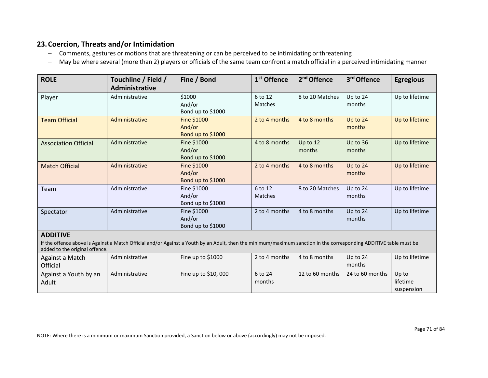### **23.Coercion, Threats and/or Intimidation**

- − Comments, gestures or motions that are threatening or can be perceived to be intimidating orthreatening
- − May be where several (more than 2) players or officials of the same team confront a match official in a perceived intimidating manner

| <b>ROLE</b>                                                                                                                                                                           | Touchline / Field /<br>Administrative | Fine / Bond                                | 1 <sup>st</sup> Offence | 2 <sup>nd</sup> Offence | 3 <sup>rd</sup> Offence | <b>Egregious</b> |
|---------------------------------------------------------------------------------------------------------------------------------------------------------------------------------------|---------------------------------------|--------------------------------------------|-------------------------|-------------------------|-------------------------|------------------|
| Player                                                                                                                                                                                | Administrative                        | \$1000<br>And/or<br>Bond up to \$1000      | 6 to 12<br>Matches      | 8 to 20 Matches         | Up to 24<br>months      | Up to lifetime   |
| <b>Team Official</b>                                                                                                                                                                  | Administrative                        | Fine \$1000<br>And/or<br>Bond up to \$1000 | 2 to 4 months           | 4 to 8 months           | Up to 24<br>months      | Up to lifetime   |
| <b>Association Official</b>                                                                                                                                                           | Administrative                        | Fine \$1000<br>And/or<br>Bond up to \$1000 | 4 to 8 months           | Up to 12<br>months      | Up to 36<br>months      | Up to lifetime   |
| <b>Match Official</b>                                                                                                                                                                 | Administrative                        | Fine \$1000<br>And/or<br>Bond up to \$1000 | 2 to 4 months           | 4 to 8 months           | Up to 24<br>months      | Up to lifetime   |
| Team                                                                                                                                                                                  | Administrative                        | Fine \$1000<br>And/or<br>Bond up to \$1000 | 6 to 12<br>Matches      | 8 to 20 Matches         | Up to 24<br>months      | Up to lifetime   |
| Spectator                                                                                                                                                                             | Administrative                        | Fine \$1000<br>And/or<br>Bond up to \$1000 | 2 to 4 months           | 4 to 8 months           | Up to 24<br>months      | Up to lifetime   |
| <b>ADDITIVE</b><br>If the offence above is Against a Match Official and/or Against a Youth by an Adult, then the minimum/maximum sanction in the corresponding ADDITIVE table must be |                                       |                                            |                         |                         |                         |                  |

added to the original offence. Against a Match **Official** Administrative Fine up to \$1000 | 2 to 4 months | 4 to 8 months | Up to 24 months Up to lifetime Against a Youth by an Adult Administrative | Fine up to \$10,000 | 6 to 24 months 12 to 60 months  $\vert$  24 to 60 months  $\vert$  Up to lifetime suspension

NOTE: Where there is a minimum or maximum Sanction provided, a Sanction below or above (accordingly) may not be imposed.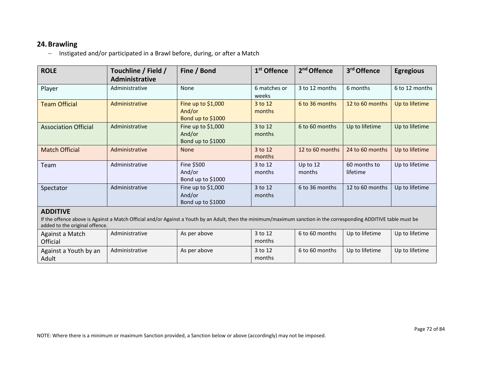#### **24.Brawling**

− Instigated and/or participated in a Brawl before, during, or after a Match

| <b>ROLE</b>                 | Touchline / Field /<br>Administrative | Fine / Bond                                        | 1 <sup>st</sup> Offence | 2 <sup>nd</sup> Offence | 3rd Offence              | <b>Egregious</b> |
|-----------------------------|---------------------------------------|----------------------------------------------------|-------------------------|-------------------------|--------------------------|------------------|
| Player                      | Administrative                        | None                                               | 6 matches or<br>weeks   | 3 to 12 months          | 6 months                 | 6 to 12 months   |
| <b>Team Official</b>        | Administrative                        | Fine up to \$1,000<br>And/or<br>Bond up to $$1000$ | 3 to 12<br>months       | 6 to 36 months          | 12 to 60 months          | Up to lifetime   |
| <b>Association Official</b> | Administrative                        | Fine up to \$1,000<br>And/or<br>Bond up to \$1000  | 3 to 12<br>months       | 6 to 60 months          | Up to lifetime           | Up to lifetime   |
| <b>Match Official</b>       | Administrative                        | <b>None</b>                                        | 3 to 12<br>months       | 12 to 60 months         | 24 to 60 months          | Up to lifetime   |
| Team                        | Administrative                        | Fine \$500<br>And/or<br>Bond up to \$1000          | 3 to 12<br>months       | Up to $12$<br>months    | 60 months to<br>lifetime | Up to lifetime   |
| Spectator                   | Administrative                        | Fine up to $$1,000$<br>And/or<br>Bond up to \$1000 | 3 to 12<br>months       | 6 to 36 months          | 12 to 60 months          | Up to lifetime   |

#### **ADDITIVE**

If the offence above is Against a Match Official and/or Against a Youth by an Adult, then the minimum/maximum sanction in the corresponding ADDITIVE table must be added to the original offence.

| Against a Match<br>Official    | Administrative | As per above | 3 to 12<br>months | 6 to 60 months | Up to lifetime | Up to lifetime |
|--------------------------------|----------------|--------------|-------------------|----------------|----------------|----------------|
| Against a Youth by an<br>Adult | Administrative | As per above | 3 to 12<br>months | 6 to 60 months | Up to lifetime | Up to lifetime |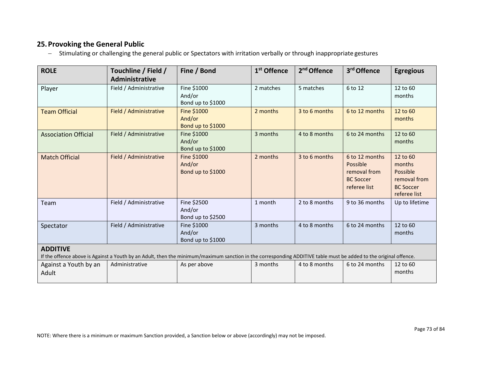# **25.Provoking the General Public**

− Stimulating or challenging the general public or Spectators with irritation verbally or through inappropriate gestures

| <b>ROLE</b>                                                                                                                                                                          | Touchline / Field /<br>Administrative | Fine / Bond                                | 1 <sup>st</sup> Offence | 2 <sup>nd</sup> Offence | 3rd Offence                                                                    | <b>Egregious</b>                                                                   |  |
|--------------------------------------------------------------------------------------------------------------------------------------------------------------------------------------|---------------------------------------|--------------------------------------------|-------------------------|-------------------------|--------------------------------------------------------------------------------|------------------------------------------------------------------------------------|--|
| Player                                                                                                                                                                               | Field / Administrative                | Fine \$1000<br>And/or<br>Bond up to \$1000 | 2 matches               | 5 matches               | 6 to 12                                                                        | 12 to 60<br>months                                                                 |  |
| <b>Team Official</b>                                                                                                                                                                 | Field / Administrative                | Fine \$1000<br>And/or<br>Bond up to \$1000 | 2 months                | 3 to 6 months           | 6 to 12 months                                                                 | 12 to 60<br>months                                                                 |  |
| <b>Association Official</b>                                                                                                                                                          | Field / Administrative                | Fine \$1000<br>And/or<br>Bond up to \$1000 | 3 months                | 4 to 8 months           | 6 to 24 months                                                                 | 12 to 60<br>months                                                                 |  |
| <b>Match Official</b>                                                                                                                                                                | Field / Administrative                | Fine \$1000<br>And/or<br>Bond up to \$1000 | 2 months                | 3 to 6 months           | 6 to 12 months<br>Possible<br>removal from<br><b>BC Soccer</b><br>referee list | 12 to 60<br>months<br>Possible<br>removal from<br><b>BC Soccer</b><br>referee list |  |
| Team                                                                                                                                                                                 | Field / Administrative                | Fine \$2500<br>And/or<br>Bond up to \$2500 | 1 month                 | 2 to 8 months           | 9 to 36 months                                                                 | Up to lifetime                                                                     |  |
| Spectator                                                                                                                                                                            | Field / Administrative                | Fine \$1000<br>And/or<br>Bond up to \$1000 | 3 months                | 4 to 8 months           | 6 to 24 months                                                                 | 12 to 60<br>months                                                                 |  |
| <b>ADDITIVE</b><br>If the offence above is Against a Youth by an Adult, then the minimum/maximum sanction in the corresponding ADDITIVE table must be added to the original offence. |                                       |                                            |                         |                         |                                                                                |                                                                                    |  |
| Against a Youth by an<br>Adult                                                                                                                                                       | Administrative                        | As per above                               | 3 months                | 4 to 8 months           | 6 to 24 months                                                                 | 12 to 60<br>months                                                                 |  |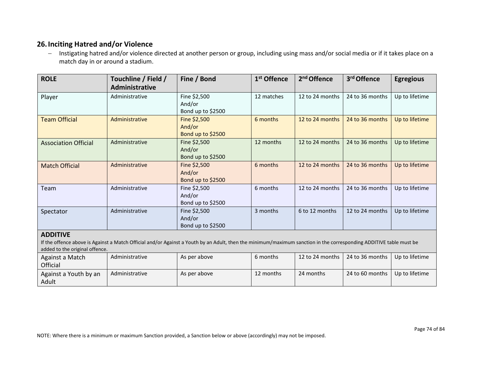# **26.Inciting Hatred and/or Violence**

− Instigating hatred and/or violence directed at another person or group, including using mass and/or social media or if it takes place on a match day in or around a stadium.

| <b>ROLE</b>                                       | Touchline / Field /<br>Administrative | Fine / Bond                                                                                                                                                        | 1 <sup>st</sup> Offence | 2 <sup>nd</sup> Offence | 3 <sup>rd</sup> Offence | <b>Egregious</b> |
|---------------------------------------------------|---------------------------------------|--------------------------------------------------------------------------------------------------------------------------------------------------------------------|-------------------------|-------------------------|-------------------------|------------------|
| Player                                            | Administrative                        | Fine \$2,500<br>And/or<br>Bond up to \$2500                                                                                                                        | 12 matches              | 12 to 24 months         | 24 to 36 months         | Up to lifetime   |
| <b>Team Official</b>                              | Administrative                        | Fine \$2,500<br>And/or<br>Bond up to \$2500                                                                                                                        | 6 months                | 12 to 24 months         | 24 to 36 months         | Up to lifetime   |
| <b>Association Official</b>                       | Administrative                        | Fine \$2,500<br>And/or<br>Bond up to \$2500                                                                                                                        | 12 months               | 12 to 24 months         | 24 to 36 months         | Up to lifetime   |
| <b>Match Official</b>                             | Administrative                        | Fine \$2,500<br>And/or<br>Bond up to \$2500                                                                                                                        | 6 months                | 12 to 24 months         | 24 to 36 months         | Up to lifetime   |
| Team                                              | Administrative                        | Fine \$2,500<br>And/or<br>Bond up to \$2500                                                                                                                        | 6 months                | 12 to 24 months         | 24 to 36 months         | Up to lifetime   |
| Spectator                                         | Administrative                        | Fine \$2,500<br>And/or<br>Bond up to \$2500                                                                                                                        | 3 months                | 6 to 12 months          | 12 to 24 months         | Up to lifetime   |
| <b>ADDITIVE</b><br>added to the original offence. |                                       | If the offence above is Against a Match Official and/or Against a Youth by an Adult, then the minimum/maximum sanction in the corresponding ADDITIVE table must be |                         |                         |                         |                  |

| Against a Match<br>Official    | Administrative | As per above | 6 months  |           | 12 to 24 months 24 to 36 months Up to lifetime |  |
|--------------------------------|----------------|--------------|-----------|-----------|------------------------------------------------|--|
| Against a Youth by an<br>Adult | Administrative | As per above | 12 months | 24 months | 24 to 60 months   Up to lifetime               |  |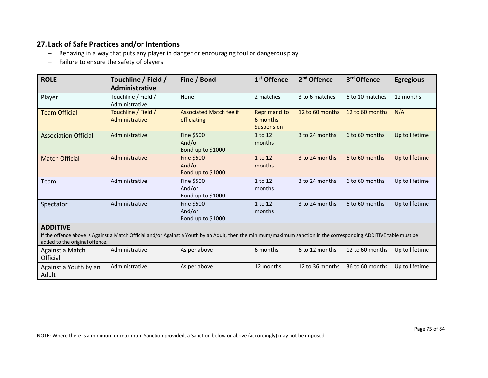# **27. Lack of Safe Practices and/or Intentions**

- − Behaving in a way that puts any player in danger or encouraging foul or dangerous play
- − Failure to ensure the safety of players

| <b>ROLE</b>                                                                                                                                                                                                             | Touchline / Field /<br>Administrative | Fine / Bond                                   | 1 <sup>st</sup> Offence                       | 2 <sup>nd</sup> Offence | 3rd Offence     | <b>Egregious</b> |  |
|-------------------------------------------------------------------------------------------------------------------------------------------------------------------------------------------------------------------------|---------------------------------------|-----------------------------------------------|-----------------------------------------------|-------------------------|-----------------|------------------|--|
| Player                                                                                                                                                                                                                  | Touchline / Field /<br>Administrative | None                                          | 2 matches                                     | 3 to 6 matches          | 6 to 10 matches | 12 months        |  |
| <b>Team Official</b>                                                                                                                                                                                                    | Touchline / Field /<br>Administrative | <b>Associated Match fee if</b><br>officiating | <b>Reprimand to</b><br>6 months<br>Suspension | 12 to 60 months         | 12 to 60 months | N/A              |  |
| <b>Association Official</b>                                                                                                                                                                                             | Administrative                        | Fine \$500<br>And/or<br>Bond up to \$1000     | 1 to 12<br>months                             | 3 to 24 months          | 6 to 60 months  | Up to lifetime   |  |
| <b>Match Official</b>                                                                                                                                                                                                   | Administrative                        | Fine \$500<br>And/or<br>Bond up to \$1000     | 1 to 12<br>months                             | 3 to 24 months          | 6 to 60 months  | Up to lifetime   |  |
| Team                                                                                                                                                                                                                    | Administrative                        | Fine \$500<br>And/or<br>Bond up to \$1000     | 1 to 12<br>months                             | 3 to 24 months          | 6 to 60 months  | Up to lifetime   |  |
| Spectator                                                                                                                                                                                                               | Administrative                        | Fine \$500<br>And/or<br>Bond up to \$1000     | 1 to 12<br>months                             | 3 to 24 months          | 6 to 60 months  | Up to lifetime   |  |
| <b>ADDITIVE</b><br>If the offence above is Against a Match Official and/or Against a Youth by an Adult, then the minimum/maximum sanction in the corresponding ADDITIVE table must be<br>added to the original offence. |                                       |                                               |                                               |                         |                 |                  |  |

| Against a Match<br>Official    | Administrative | As per above | 6 months  | 6 to 12 months    | 12 to 60 months 1 | Up to lifetime |
|--------------------------------|----------------|--------------|-----------|-------------------|-------------------|----------------|
| Against a Youth by an<br>Adult | Administrative | As per above | 12 months | 12 to 36 months I | $36$ to 60 months | Up to lifetime |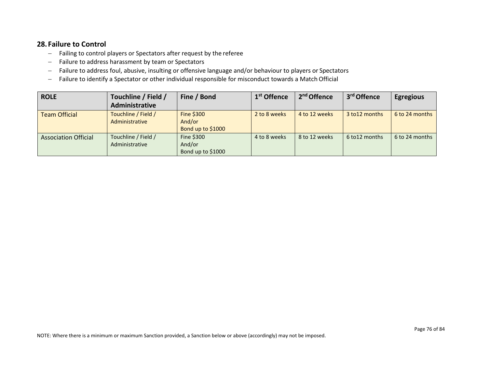### **28. Failure to Control**

- − Failing to control players or Spectators after request by the referee
- − Failure to address harassment by team or Spectators
- − Failure to address foul, abusive, insulting or offensive language and/or behaviour to players or Spectators
- − Failure to identify a Spectator or other individual responsible for misconduct towards a Match Official

| <b>ROLE</b>                 | Touchline / Field /<br>Administrative | Fine / Bond                               | 1 <sup>st</sup> Offence | 2 <sup>nd</sup> Offence | 3 <sup>rd</sup> Offence | <b>Egregious</b> |
|-----------------------------|---------------------------------------|-------------------------------------------|-------------------------|-------------------------|-------------------------|------------------|
| <b>Team Official</b>        | Touchline / Field /<br>Administrative | Fine \$300<br>And/or<br>Bond up to \$1000 | 2 to 8 weeks            | 4 to 12 weeks           | 3 to 12 months          | 6 to 24 months   |
| <b>Association Official</b> | Touchline / Field /<br>Administrative | Fine \$300<br>And/or<br>Bond up to \$1000 | 4 to 8 weeks            | 8 to 12 weeks           | 6 to 12 months          | 6 to 24 months   |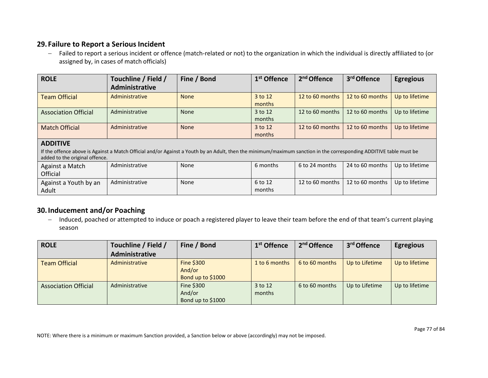#### **29. Failure to Report a Serious Incident**

− Failed to report a serious incident or offence (match-related or not) to the organization in which the individual is directly affiliated to (or assigned by, in cases of match officials)

| <b>ROLE</b>                 | Touchline / Field /<br>Administrative | Fine / Bond | 1 <sup>st</sup> Offence | 2 <sup>nd</sup> Offence | 3 <sup>rd</sup> Offence | <b>Egregious</b> |
|-----------------------------|---------------------------------------|-------------|-------------------------|-------------------------|-------------------------|------------------|
| <b>Team Official</b>        | Administrative                        | <b>None</b> | 3 to 12<br>months       | 12 to 60 months         | 12 to 60 months         | Up to lifetime   |
| <b>Association Official</b> | Administrative                        | <b>None</b> | 3 to 12<br>months       | 12 to 60 months         | 12 to 60 months         | Up to lifetime   |
| <b>Match Official</b>       | Administrative                        | <b>None</b> | 3 to 12<br>months       | 12 to 60 months         | 12 to 60 months         | Up to lifetime   |

#### **ADDITIVE**

If the offence above is Against a Match Official and/or Against a Youth by an Adult, then the minimum/maximum sanction in the corresponding ADDITIVE table must be added to the original offence.

| Against a Match<br>Official    | Administrative | None | 6 months          | 6 to 24 months | 24 to 60 months   Up to lifetime                   |  |
|--------------------------------|----------------|------|-------------------|----------------|----------------------------------------------------|--|
| Against a Youth by an<br>Adult | Administrative | None | 6 to 12<br>months |                | 12 to 60 months   12 to 60 months   Up to lifetime |  |

# **30.Inducement and/or Poaching**

− Induced, poached or attempted to induce or poach a registered player to leave their team before the end of that team's current playing season

| <b>ROLE</b>                 | Touchline / Field / | Fine / Bond                               | 1 <sup>st</sup> Offence | 2 <sup>nd</sup> Offence | 3 <sup>rd</sup> Offence | <b>Egregious</b> |
|-----------------------------|---------------------|-------------------------------------------|-------------------------|-------------------------|-------------------------|------------------|
|                             | Administrative      |                                           |                         |                         |                         |                  |
| <b>Team Official</b>        | Administrative      | Fine \$300<br>And/or<br>Bond up to \$1000 | 1 to 6 months           | 6 to 60 months          | Up to Lifetime          | Up to lifetime   |
| <b>Association Official</b> | Administrative      | Fine \$300<br>And/or<br>Bond up to \$1000 | 3 to 12<br>months       | 6 to 60 months          | Up to Lifetime          | Up to lifetime   |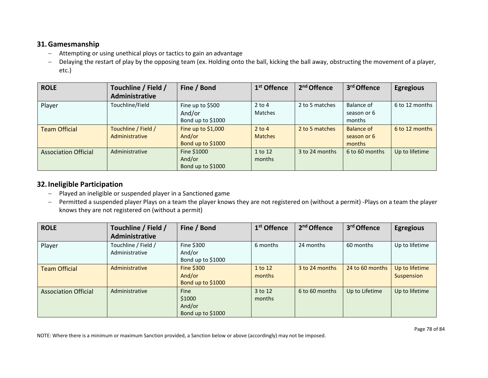### **31.Gamesmanship**

- − Attempting or using unethical ploys or tactics to gain an advantage
- − Delaying the restart of play by the opposing team (ex. Holding onto the ball, kicking the ball away, obstructing the movement of a player, etc.)

| <b>ROLE</b>                 | Touchline / Field /<br>Administrative | Fine / Bond                                        | 1 <sup>st</sup> Offence    | 2 <sup>nd</sup> Offence | 3rd Offence                         | <b>Egregious</b> |
|-----------------------------|---------------------------------------|----------------------------------------------------|----------------------------|-------------------------|-------------------------------------|------------------|
| Player                      | Touchline/Field                       | Fine up to \$500<br>And/or<br>Bond up to \$1000    | $2$ to 4<br><b>Matches</b> | 2 to 5 matches          | Balance of<br>season or 6<br>months | 6 to 12 months   |
| <b>Team Official</b>        | Touchline / Field /<br>Administrative | Fine up to $$1,000$<br>And/or<br>Bond up to \$1000 | $2$ to 4<br><b>Matches</b> | 2 to 5 matches          | Balance of<br>season or 6<br>months | 6 to 12 months   |
| <b>Association Official</b> | Administrative                        | Fine \$1000<br>And/or<br>Bond up to \$1000         | 1 to 12<br>months          | 3 to 24 months          | 6 to 60 months                      | Up to lifetime   |

# **32.Ineligible Participation**

- − Played an ineligible or suspended player in a Sanctioned game
- − Permitted a suspended player Plays on a team the player knows they are not registered on (without a permit) -Plays on a team the player knows they are not registered on (without a permit)

| <b>ROLE</b>                 | Touchline / Field /<br><b>Administrative</b> | Fine / Bond                                      | 1 <sup>st</sup> Offence | 2 <sup>nd</sup> Offence | 3rd Offence     | <b>Egregious</b>             |
|-----------------------------|----------------------------------------------|--------------------------------------------------|-------------------------|-------------------------|-----------------|------------------------------|
| Player                      | Touchline / Field /<br>Administrative        | Fine \$300<br>And/or<br>Bond up to \$1000        | 6 months                | 24 months               | 60 months       | Up to lifetime               |
| <b>Team Official</b>        | Administrative                               | <b>Fine \$300</b><br>And/or<br>Bond up to \$1000 | 1 to 12<br>months       | 3 to 24 months          | 24 to 60 months | Up to lifetime<br>Suspension |
| <b>Association Official</b> | Administrative                               | Fine<br>\$1000<br>And/or<br>Bond up to \$1000    | 3 to 12<br>months       | 6 to 60 months          | Up to Lifetime  | Up to lifetime               |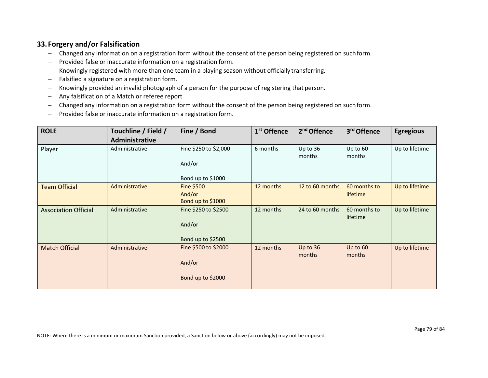# **33. Forgery and/or Falsification**

- − Changed any information on a registration form without the consent of the person being registered on suchform.
- − Provided false or inaccurate information on a registration form.
- − Knowingly registered with more than one team in a playing season without officially transferring.
- − Falsified a signature on a registration form.
- − Knowingly provided an invalid photograph of a person for the purpose of registering that person.
- − Any falsification of a Match or referee report
- − Changed any information on a registration form without the consent of the person being registered on suchform.
- − Provided false or inaccurate information on a registration form.

| <b>ROLE</b>                 | Touchline / Field / | Fine / Bond                                          | 1 <sup>st</sup> Offence | 2 <sup>nd</sup> Offence | 3rd Offence              | <b>Egregious</b> |
|-----------------------------|---------------------|------------------------------------------------------|-------------------------|-------------------------|--------------------------|------------------|
|                             | Administrative      |                                                      |                         |                         |                          |                  |
| Player                      | Administrative      | Fine \$250 to \$2,000<br>And/or<br>Bond up to \$1000 | 6 months                | Up to 36<br>months      | Up to 60<br>months       | Up to lifetime   |
| <b>Team Official</b>        | Administrative      | <b>Fine \$500</b><br>And/or<br>Bond up to \$1000     | 12 months               | 12 to 60 months         | 60 months to<br>lifetime | Up to lifetime   |
| <b>Association Official</b> | Administrative      | Fine \$250 to \$2500<br>And/or<br>Bond up to \$2500  | 12 months               | 24 to 60 months         | 60 months to<br>lifetime | Up to lifetime   |
| <b>Match Official</b>       | Administrative      | Fine \$500 to \$2000<br>And/or<br>Bond up to \$2000  | 12 months               | Up to $36$<br>months    | Up to 60<br>months       | Up to lifetime   |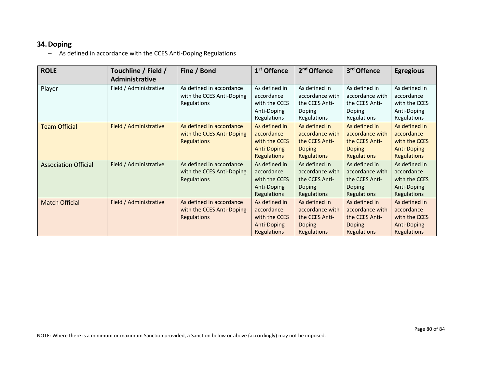#### **34.Doping**

− As defined in accordance with the CCES Anti-Doping Regulations

| <b>ROLE</b>                 | Touchline / Field /<br>Administrative | Fine / Bond                                                                 | 1 <sup>st</sup> Offence                                                                  | 2 <sup>nd</sup> Offence                                                                   | 3rd Offence                                                                               | <b>Egregious</b>                                                                         |
|-----------------------------|---------------------------------------|-----------------------------------------------------------------------------|------------------------------------------------------------------------------------------|-------------------------------------------------------------------------------------------|-------------------------------------------------------------------------------------------|------------------------------------------------------------------------------------------|
| Player                      | Field / Administrative                | As defined in accordance<br>with the CCES Anti-Doping<br>Regulations        | As defined in<br>accordance<br>with the CCES<br>Anti-Doping<br>Regulations               | As defined in<br>accordance with<br>the CCES Anti-<br>Doping<br>Regulations               | As defined in<br>accordance with<br>the CCES Anti-<br>Doping<br>Regulations               | As defined in<br>accordance<br>with the CCES<br>Anti-Doping<br>Regulations               |
| <b>Team Official</b>        | Field / Administrative                | As defined in accordance<br>with the CCES Anti-Doping<br><b>Regulations</b> | As defined in<br>accordance<br>with the CCES<br><b>Anti-Doping</b><br><b>Regulations</b> | As defined in<br>accordance with<br>the CCES Anti-<br><b>Doping</b><br><b>Regulations</b> | As defined in<br>accordance with<br>the CCES Anti-<br><b>Doping</b><br><b>Regulations</b> | As defined in<br>accordance<br>with the CCES<br><b>Anti-Doping</b><br><b>Regulations</b> |
| <b>Association Official</b> | Field / Administrative                | As defined in accordance<br>with the CCES Anti-Doping<br><b>Regulations</b> | As defined in<br>accordance<br>with the CCES<br>Anti-Doping<br>Regulations               | As defined in<br>accordance with<br>the CCES Anti-<br>Doping<br>Regulations               | As defined in<br>accordance with<br>the CCES Anti-<br><b>Doping</b><br><b>Regulations</b> | As defined in<br>accordance<br>with the CCES<br>Anti-Doping<br>Regulations               |
| <b>Match Official</b>       | Field / Administrative                | As defined in accordance<br>with the CCES Anti-Doping<br><b>Regulations</b> | As defined in<br>accordance<br>with the CCES<br>Anti-Doping<br><b>Regulations</b>        | As defined in<br>accordance with<br>the CCES Anti-<br><b>Doping</b><br>Regulations        | As defined in<br>accordance with<br>the CCES Anti-<br>Doping<br><b>Regulations</b>        | As defined in<br>accordance<br>with the CCES<br>Anti-Doping<br><b>Regulations</b>        |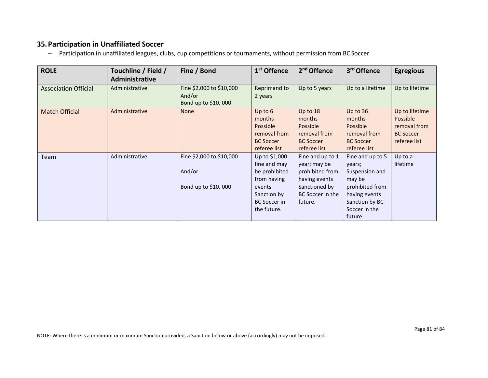#### **35.Participation in Unaffiliated Soccer**

− Participation in unaffiliated leagues, clubs, cup competitions or tournaments, without permission from BC Soccer

| <b>ROLE</b>                 | Touchline / Field /<br>Administrative | Fine / Bond                                               | 1 <sup>st</sup> Offence                                                                                                      | 2 <sup>nd</sup> Offence                                                                                              | 3rd Offence                                                                                                                              | <b>Egregious</b>                                                               |
|-----------------------------|---------------------------------------|-----------------------------------------------------------|------------------------------------------------------------------------------------------------------------------------------|----------------------------------------------------------------------------------------------------------------------|------------------------------------------------------------------------------------------------------------------------------------------|--------------------------------------------------------------------------------|
| <b>Association Official</b> | Administrative                        | Fine \$2,000 to \$10,000<br>And/or<br>Bond up to \$10,000 | Reprimand to<br>2 years                                                                                                      | Up to 5 years                                                                                                        | Up to a lifetime                                                                                                                         | Up to lifetime                                                                 |
| <b>Match Official</b>       | Administrative                        | <b>None</b>                                               | Up to 6<br>months<br><b>Possible</b><br>removal from<br><b>BC Soccer</b><br>referee list                                     | Up to 18<br>months<br>Possible<br>removal from<br><b>BC Soccer</b><br>referee list                                   | Up to $36$<br>months<br>Possible<br>removal from<br><b>BC Soccer</b><br>referee list                                                     | Up to lifetime<br>Possible<br>removal from<br><b>BC Soccer</b><br>referee list |
| Team                        | Administrative                        | Fine \$2,000 to \$10,000<br>And/or<br>Bond up to \$10,000 | Up to \$1,000<br>fine and may<br>be prohibited<br>from having<br>events<br>Sanction by<br><b>BC</b> Soccer in<br>the future. | Fine and up to 1<br>year; may be<br>prohibited from<br>having events<br>Sanctioned by<br>BC Soccer in the<br>future. | Fine and up to 5<br>years;<br>Suspension and<br>may be<br>prohibited from<br>having events<br>Sanction by BC<br>Soccer in the<br>future. | Up to a<br>lifetime                                                            |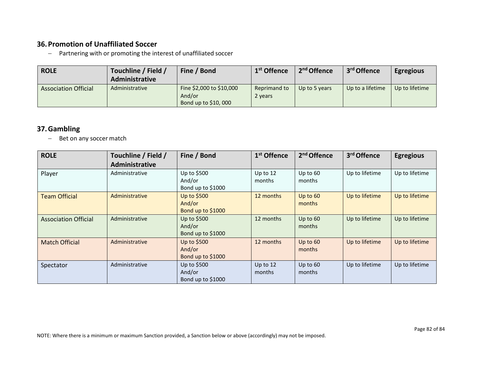## **36.Promotion of Unaffiliated Soccer**

− Partnering with or promoting the interest of unaffiliated soccer

| <b>ROLE</b>                 | Touchline / Field /<br>Administrative | Fine / Bond                                               | 1 <sup>st</sup> Offence | 2 <sup>nd</sup> Offence | 3 <sup>rd</sup> Offence | <b>Egregious</b> |
|-----------------------------|---------------------------------------|-----------------------------------------------------------|-------------------------|-------------------------|-------------------------|------------------|
| <b>Association Official</b> | Administrative                        | Fine \$2,000 to \$10,000<br>And/or<br>Bond up to \$10,000 | Reprimand to<br>2 years | Up to 5 years           | Up to a lifetime        | Up to lifetime   |

# **37.Gambling**

− Bet on any soccer match

| <b>ROLE</b>                 | Touchline / Field /<br>Administrative | Fine / Bond                                | 1 <sup>st</sup> Offence | 2 <sup>nd</sup> Offence | 3rd Offence    | <b>Egregious</b> |
|-----------------------------|---------------------------------------|--------------------------------------------|-------------------------|-------------------------|----------------|------------------|
| Player                      | Administrative                        | Up to \$500<br>And/or<br>Bond up to \$1000 | Up to 12<br>months      | Up to $60$<br>months    | Up to lifetime | Up to lifetime   |
| <b>Team Official</b>        | Administrative                        | Up to \$500<br>And/or<br>Bond up to \$1000 | 12 months               | Up to 60<br>months      | Up to lifetime | Up to lifetime   |
| <b>Association Official</b> | Administrative                        | Up to \$500<br>And/or<br>Bond up to \$1000 | 12 months               | Up to 60<br>months      | Up to lifetime | Up to lifetime   |
| <b>Match Official</b>       | Administrative                        | Up to \$500<br>And/or<br>Bond up to \$1000 | 12 months               | Up to 60<br>months      | Up to lifetime | Up to lifetime   |
| Spectator                   | Administrative                        | Up to \$500<br>And/or<br>Bond up to \$1000 | Up to 12<br>months      | Up to 60<br>months      | Up to lifetime | Up to lifetime   |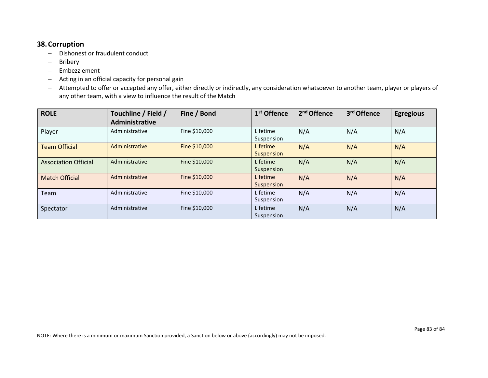#### **38.Corruption**

- − Dishonest or fraudulent conduct
- − Bribery
- − Embezzlement
- − Acting in an official capacity for personal gain
- − Attempted to offer or accepted any offer, either directly or indirectly, any consideration whatsoever to another team, player or players of any other team, with a view to influence the result of the Match

| <b>ROLE</b>                 | Touchline / Field /<br>Administrative | Fine / Bond   | 1 <sup>st</sup> Offence | 2 <sup>nd</sup> Offence | 3rd Offence | <b>Egregious</b> |
|-----------------------------|---------------------------------------|---------------|-------------------------|-------------------------|-------------|------------------|
| Player                      | Administrative                        | Fine \$10,000 | Lifetime<br>Suspension  | N/A                     | N/A         | N/A              |
| <b>Team Official</b>        | Administrative                        | Fine \$10,000 | Lifetime<br>Suspension  | N/A                     | N/A         | N/A              |
| <b>Association Official</b> | Administrative                        | Fine \$10,000 | Lifetime<br>Suspension  | N/A                     | N/A         | N/A              |
| <b>Match Official</b>       | Administrative                        | Fine \$10,000 | Lifetime<br>Suspension  | N/A                     | N/A         | N/A              |
| Team                        | Administrative                        | Fine \$10,000 | Lifetime<br>Suspension  | N/A                     | N/A         | N/A              |
| Spectator                   | Administrative                        | Fine \$10,000 | Lifetime<br>Suspension  | N/A                     | N/A         | N/A              |